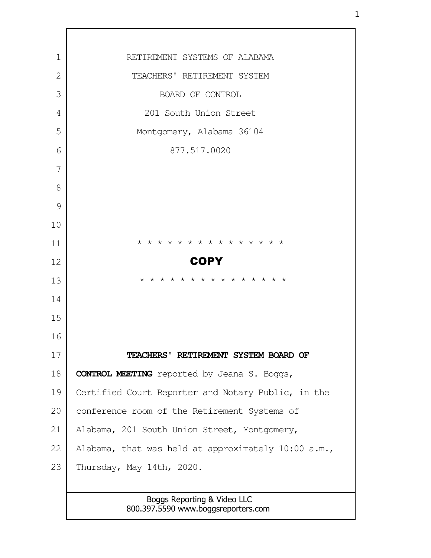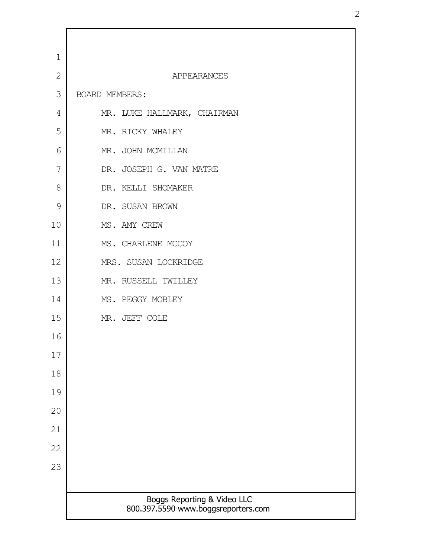| $\mathbf 1$    |                                                                    |
|----------------|--------------------------------------------------------------------|
| $\overline{2}$ | APPEARANCES                                                        |
| 3              | BOARD MEMBERS:                                                     |
| 4              | MR. LUKE HALLMARK, CHAIRMAN                                        |
| 5              | MR. RICKY WHALEY                                                   |
| 6              | MR. JOHN MCMILLAN                                                  |
| 7              | DR. JOSEPH G. VAN MATRE                                            |
| 8              | DR. KELLI SHOMAKER                                                 |
| $\mathcal{G}$  | DR. SUSAN BROWN                                                    |
| 10             | MS. AMY CREW                                                       |
| 11             | MS. CHARLENE MCCOY                                                 |
| 12             | MRS. SUSAN LOCKRIDGE                                               |
| 13             | MR. RUSSELL TWILLEY                                                |
| 14             | MS. PEGGY MOBLEY                                                   |
| 15             | MR. JEFF COLE                                                      |
| 16             |                                                                    |
| 17             |                                                                    |
| 18             |                                                                    |
| 19             |                                                                    |
| 20             |                                                                    |
| 21             |                                                                    |
| 22             |                                                                    |
| 23             |                                                                    |
|                |                                                                    |
|                | Boggs Reporting & Video LLC<br>800.397.5590 www.boggsreporters.com |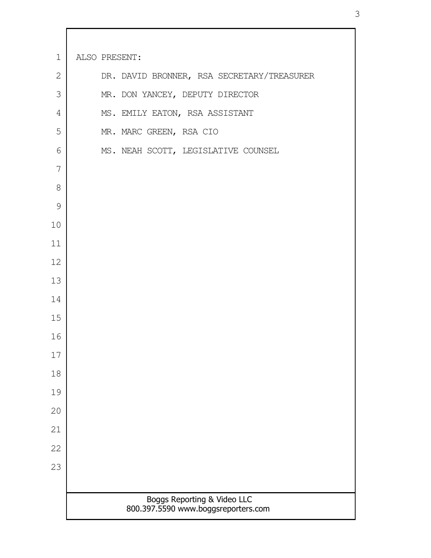| $1\,$         | ALSO PRESENT:                                                      |
|---------------|--------------------------------------------------------------------|
| $\mathbf{2}$  | DR. DAVID BRONNER, RSA SECRETARY/TREASURER                         |
| 3             | MR. DON YANCEY, DEPUTY DIRECTOR                                    |
| 4             | MS. EMILY EATON, RSA ASSISTANT                                     |
| 5             | MR. MARC GREEN, RSA CIO                                            |
| 6             | MS. NEAH SCOTT, LEGISLATIVE COUNSEL                                |
| 7             |                                                                    |
| 8             |                                                                    |
| $\mathcal{G}$ |                                                                    |
| 10            |                                                                    |
| 11            |                                                                    |
| 12            |                                                                    |
| 13            |                                                                    |
| 14            |                                                                    |
| 15            |                                                                    |
| 16            |                                                                    |
| 17            |                                                                    |
| 18            |                                                                    |
| 19            |                                                                    |
| 20            |                                                                    |
| 21            |                                                                    |
| 22            |                                                                    |
| 23            |                                                                    |
|               |                                                                    |
|               | Boggs Reporting & Video LLC<br>800.397.5590 www.boggsreporters.com |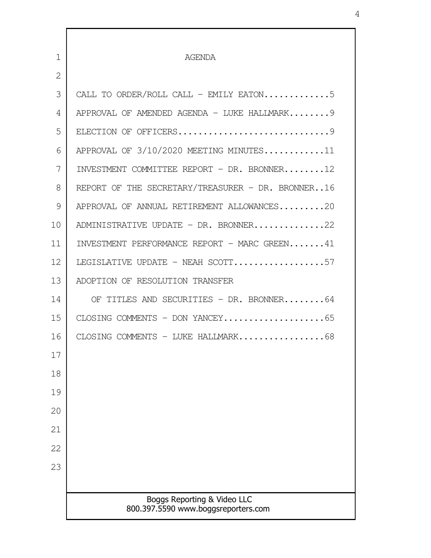| $\mathbf{1}$ | <b>AGENDA</b>                                                      |
|--------------|--------------------------------------------------------------------|
| 2            |                                                                    |
| 3            | CALL TO ORDER/ROLL CALL - EMILY EATON5                             |
| 4            | APPROVAL OF AMENDED AGENDA - LUKE HALLMARK 9                       |
| 5            |                                                                    |
| 6            | APPROVAL OF $3/10/2020$ MEETING MINUTES11                          |
| 7            | INVESTMENT COMMITTEE REPORT - DR. BRONNER12                        |
| 8            | REPORT OF THE SECRETARY/TREASURER - DR. BRONNER16                  |
| 9            | APPROVAL OF ANNUAL RETIREMENT ALLOWANCES20                         |
| 10           | ADMINISTRATIVE UPDATE - DR. BRONNER22                              |
| 11           | INVESTMENT PERFORMANCE REPORT - MARC GREEN41                       |
| 12           | LEGISLATIVE UPDATE - NEAH SCOTT57                                  |
| 13           | ADOPTION OF RESOLUTION TRANSFER                                    |
| 14           | OF TITLES AND SECURITIES - DR. BRONNER64                           |
| 15           |                                                                    |
| 16           | CLOSING COMMENTS - LUKE HALLMARK68                                 |
| 17           |                                                                    |
| 18           |                                                                    |
| 19           |                                                                    |
| 20           |                                                                    |
| 21           |                                                                    |
| 22           |                                                                    |
| 23           |                                                                    |
|              |                                                                    |
|              | Boggs Reporting & Video LLC<br>800.397.5590 www.boggsreporters.com |
|              |                                                                    |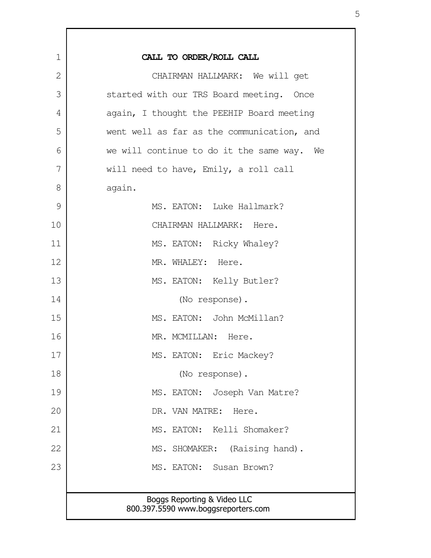| $\mathbf 1$ | CALL TO ORDER/ROLL CALL                                            |
|-------------|--------------------------------------------------------------------|
| 2           | CHAIRMAN HALLMARK: We will get                                     |
| 3           | started with our TRS Board meeting. Once                           |
| 4           | again, I thought the PEEHIP Board meeting                          |
| 5           | went well as far as the communication, and                         |
| 6           | we will continue to do it the same way. We                         |
| 7           | will need to have, Emily, a roll call                              |
| 8           | again.                                                             |
| 9           | MS. EATON: Luke Hallmark?                                          |
| 10          | CHAIRMAN HALLMARK: Here.                                           |
| 11          | MS. EATON: Ricky Whaley?                                           |
| 12          | MR. WHALEY: Here.                                                  |
| 13          | MS. EATON: Kelly Butler?                                           |
| 14          | (No response).                                                     |
| 15          | MS. EATON: John McMillan?                                          |
| 16          | MR. MCMILLAN: Here.                                                |
| 17          | MS. EATON: Eric Mackey?                                            |
| 18          | (No response).                                                     |
| 19          | MS. EATON: Joseph Van Matre?                                       |
| 20          | DR. VAN MATRE: Here.                                               |
| 21          | MS. EATON: Kelli Shomaker?                                         |
| 22          | MS. SHOMAKER: (Raising hand).                                      |
| 23          | MS. EATON: Susan Brown?                                            |
|             |                                                                    |
|             | Boggs Reporting & Video LLC<br>800.397.5590 www.boggsreporters.com |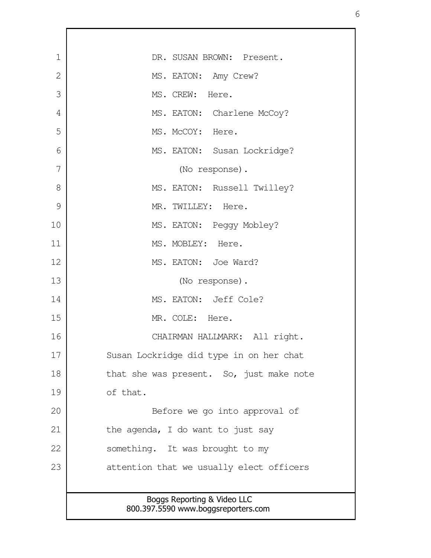| $\mathbf 1$  | DR. SUSAN BROWN: Present.                                          |
|--------------|--------------------------------------------------------------------|
| $\mathbf{2}$ | MS. EATON: Amy Crew?                                               |
| 3            | MS. CREW: Here.                                                    |
| 4            | MS. EATON: Charlene McCoy?                                         |
| 5            | MS. McCOY: Here.                                                   |
| 6            | MS. EATON: Susan Lockridge?                                        |
| 7            | (No response).                                                     |
| 8            | MS. EATON: Russell Twilley?                                        |
| 9            | MR. TWILLEY: Here.                                                 |
| 10           | MS. EATON: Peggy Mobley?                                           |
| 11           | MS. MOBLEY: Here.                                                  |
| 12           | MS. EATON: Joe Ward?                                               |
| 13           | (No response).                                                     |
| 14           | MS. EATON: Jeff Cole?                                              |
| 15           | MR. COLE: Here.                                                    |
| 16           | CHAIRMAN HALLMARK: All right.                                      |
| 17           | Susan Lockridge did type in on her chat                            |
| 18           | that she was present. So, just make note                           |
| 19           | of that.                                                           |
| 20           | Before we go into approval of                                      |
| 21           | the agenda, I do want to just say                                  |
| 22           | something. It was brought to my                                    |
| 23           | attention that we usually elect officers                           |
|              |                                                                    |
|              | Boggs Reporting & Video LLC<br>800.397.5590 www.boggsreporters.com |
|              |                                                                    |

Г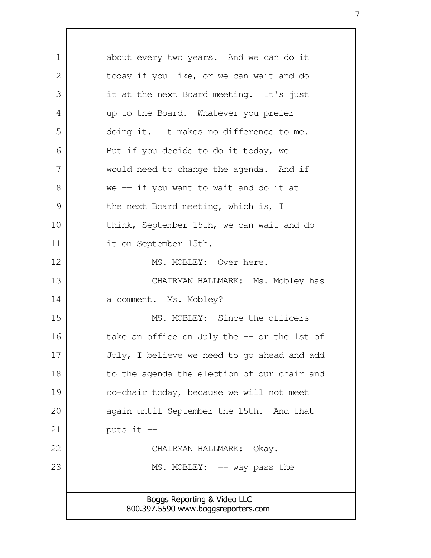Boggs Reporting & Video LLC 800.397.5590 www.boggsreporters.com about every two years. And we can do it today if you like, or we can wait and do it at the next Board meeting. It's just up to the Board. Whatever you prefer doing it. It makes no difference to me. But if you decide to do it today, we would need to change the agenda. And if we -- if you want to wait and do it at the next Board meeting, which is, I think, September 15th, we can wait and do it on September 15th. MS. MOBLEY: Over here. CHAIRMAN HALLMARK: Ms. Mobley has a comment. Ms. Mobley? MS. MOBLEY: Since the officers take an office on July the -- or the 1st of July, I believe we need to go ahead and add to the agenda the election of our chair and co-chair today, because we will not meet again until September the 15th. And that puts it -- CHAIRMAN HALLMARK: Okay. MS. MOBLEY: -- way pass the 1  $\mathcal{L}$  3 4 5 6 7 8 9 10 11 12 13 14 15 16 17 18 19 20 21 22 23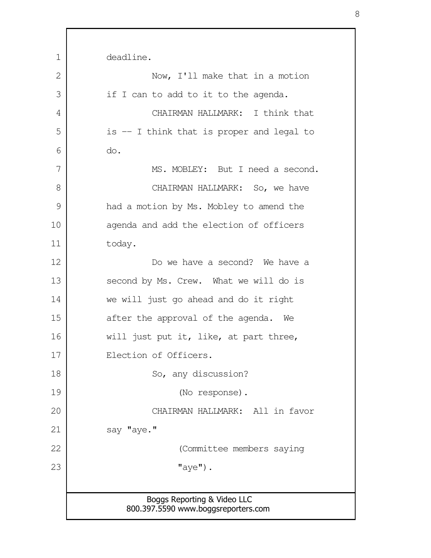| 1             | deadline.                                                          |
|---------------|--------------------------------------------------------------------|
| 2             | Now, I'll make that in a motion                                    |
| 3             | if I can to add to it to the agenda.                               |
| 4             | CHAIRMAN HALLMARK: I think that                                    |
| 5             | is $-$ I think that is proper and legal to                         |
| 6             | do.                                                                |
| 7             | MS. MOBLEY: But I need a second.                                   |
| 8             | CHAIRMAN HALLMARK: So, we have                                     |
| $\mathcal{G}$ | had a motion by Ms. Mobley to amend the                            |
| 10            | agenda and add the election of officers                            |
| 11            | today.                                                             |
| 12            | Do we have a second? We have a                                     |
| 13            | second by Ms. Crew. What we will do is                             |
| 14            | we will just go ahead and do it right                              |
| 15            | after the approval of the agenda. We                               |
| 16            | will just put it, like, at part three,                             |
| 17            | Election of Officers.                                              |
| 18            | So, any discussion?                                                |
| 19            | (No response).                                                     |
| 20            | CHAIRMAN HALLMARK: All in favor                                    |
| 21            | say "aye."                                                         |
| 22            | (Committee members saying                                          |
| 23            | $"$ aye").                                                         |
|               |                                                                    |
|               | Boggs Reporting & Video LLC<br>800.397.5590 www.boggsreporters.com |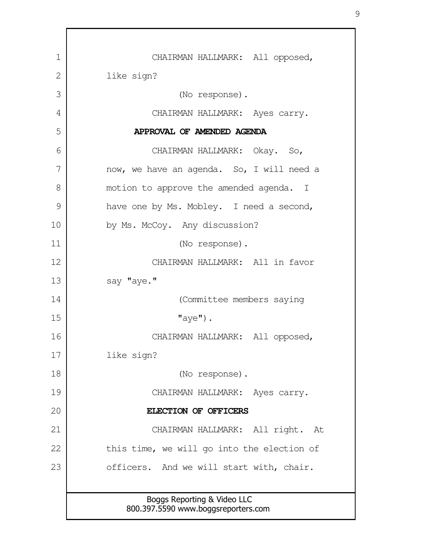Boggs Reporting & Video LLC 800.397.5590 www.boggsreporters.com CHAIRMAN HALLMARK: All opposed, like sign? (No response). CHAIRMAN HALLMARK: Ayes carry. **APPROVAL OF AMENDED AGENDA** CHAIRMAN HALLMARK: Okay. So, now, we have an agenda. So, I will need a motion to approve the amended agenda. I have one by Ms. Mobley. I need a second, by Ms. McCoy. Any discussion? (No response). CHAIRMAN HALLMARK: All in favor say "aye." (Committee members saying  $"ave"$ ). CHAIRMAN HALLMARK: All opposed, like sign? (No response). CHAIRMAN HALLMARK: Ayes carry. **ELECTION OF OFFICERS** CHAIRMAN HALLMARK: All right. At this time, we will go into the election of officers. And we will start with, chair. 1 2 3 4 5 6 7 8 9 10 11 12 13 14 15 16 17 18 19 20 21 22 23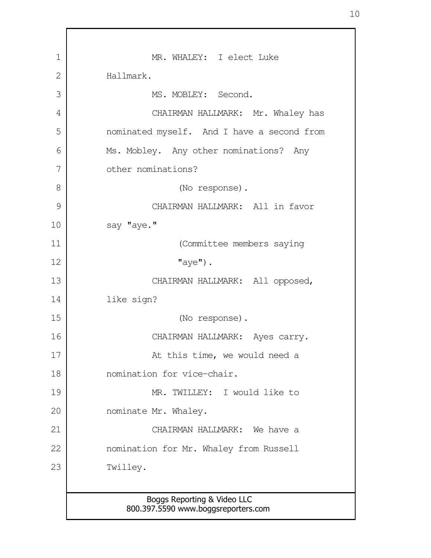| 1  | MR. WHALEY: I elect Luke                                           |
|----|--------------------------------------------------------------------|
| 2  | Hallmark.                                                          |
| 3  | MS. MOBLEY: Second.                                                |
| 4  | CHAIRMAN HALLMARK: Mr. Whaley has                                  |
| 5  | nominated myself. And I have a second from                         |
| 6  | Ms. Mobley. Any other nominations? Any                             |
| 7  | other nominations?                                                 |
| 8  | (No response).                                                     |
| 9  | CHAIRMAN HALLMARK: All in favor                                    |
| 10 | say "aye."                                                         |
| 11 | (Committee members saying                                          |
| 12 | $"$ aye").                                                         |
| 13 | CHAIRMAN HALLMARK: All opposed,                                    |
| 14 | like sign?                                                         |
| 15 | (No response).                                                     |
| 16 | CHAIRMAN HALLMARK: Ayes carry.                                     |
| 17 | At this time, we would need a                                      |
| 18 | nomination for vice-chair.                                         |
| 19 | MR. TWILLEY: I would like to                                       |
| 20 | nominate Mr. Whaley.                                               |
| 21 | CHAIRMAN HALLMARK: We have a                                       |
| 22 | nomination for Mr. Whaley from Russell                             |
| 23 | Twilley.                                                           |
|    |                                                                    |
|    | Boggs Reporting & Video LLC<br>800.397.5590 www.boggsreporters.com |
|    |                                                                    |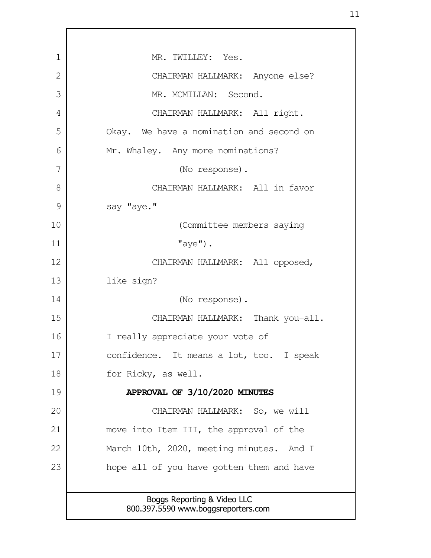Boggs Reporting & Video LLC 800.397.5590 www.boggsreporters.com MR. TWILLEY: Yes. CHAIRMAN HALLMARK: Anyone else? MR. MCMILLAN: Second. CHAIRMAN HALLMARK: All right. Okay. We have a nomination and second on Mr. Whaley. Any more nominations? (No response). CHAIRMAN HALLMARK: All in favor say "aye." (Committee members saying  $"$ aye $")$ . CHAIRMAN HALLMARK: All opposed, like sign? (No response). CHAIRMAN HALLMARK: Thank you-all. I really appreciate your vote of confidence. It means a lot, too. I speak for Ricky, as well. **APPROVAL OF 3/10/2020 MINUTES** CHAIRMAN HALLMARK: So, we will move into Item III, the approval of the March 10th, 2020, meeting minutes. And I hope all of you have gotten them and have 1 2 3 4 5 6 7 8 9 10 11 12 13 14 15 16 17 18 19 20 21 22 23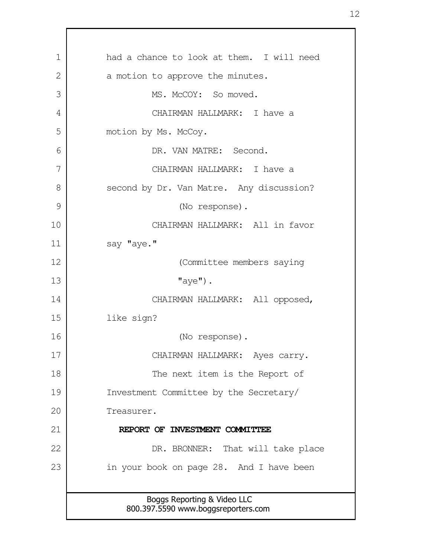Boggs Reporting & Video LLC 800.397.5590 www.boggsreporters.com had a chance to look at them. I will need a motion to approve the minutes. MS. McCOY: So moved. CHAIRMAN HALLMARK: I have a motion by Ms. McCoy. DR. VAN MATRE: Second. CHAIRMAN HALLMARK: I have a second by Dr. Van Matre. Any discussion? (No response). CHAIRMAN HALLMARK: All in favor say "aye." (Committee members saying "aye"). CHAIRMAN HALLMARK: All opposed, like sign? (No response). CHAIRMAN HALLMARK: Ayes carry. The next item is the Report of Investment Committee by the Secretary/ Treasurer. **REPORT OF INVESTMENT COMMITTEE**  DR. BRONNER: That will take place in your book on page 28. And I have been 1 2 3 4 5 6 7 8 9 10 11 12 13 14 15 16 17 18 19 20 21 22 23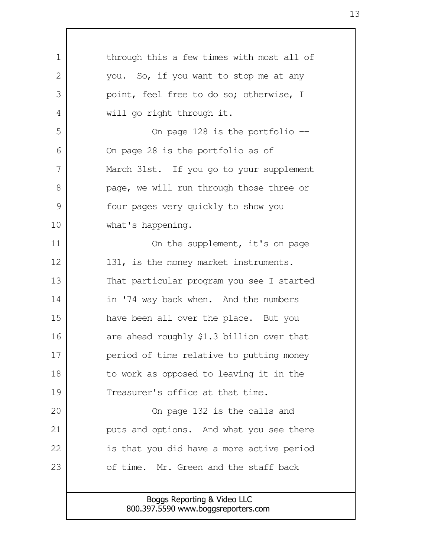| $\mathbf 1$   | through this a few times with most all of                          |
|---------------|--------------------------------------------------------------------|
| $\mathbf{2}$  | you. So, if you want to stop me at any                             |
| 3             | point, feel free to do so; otherwise, I                            |
| 4             | will go right through it.                                          |
| 5             | On page 128 is the portfolio --                                    |
| 6             | On page 28 is the portfolio as of                                  |
| 7             | March 31st. If you go to your supplement                           |
| 8             | page, we will run through those three or                           |
| $\mathcal{G}$ | four pages very quickly to show you                                |
| 10            | what's happening.                                                  |
| 11            | On the supplement, it's on page                                    |
| 12            | 131, is the money market instruments.                              |
| 13            | That particular program you see I started                          |
| 14            | in '74 way back when. And the numbers                              |
| 15            | have been all over the place. But you                              |
| 16            | are ahead roughly \$1.3 billion over that                          |
| 17            | period of time relative to putting money                           |
| 18            | to work as opposed to leaving it in the                            |
| 19            | Treasurer's office at that time.                                   |
| 20            | On page 132 is the calls and                                       |
| 21            | puts and options. And what you see there                           |
| 22            | is that you did have a more active period                          |
| 23            | of time. Mr. Green and the staff back                              |
|               |                                                                    |
|               | Boggs Reporting & Video LLC<br>800.397.5590 www.boggsreporters.com |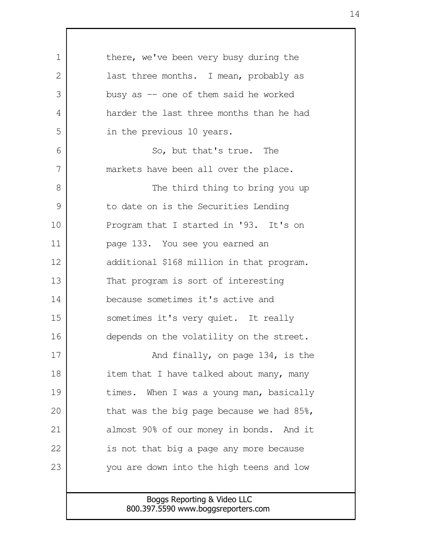there, we've been very busy during the last three months. I mean, probably as busy as -- one of them said he worked harder the last three months than he had in the previous 10 years. So, but that's true. The markets have been all over the place. The third thing to bring you up to date on is the Securities Lending Program that I started in '93. It's on page 133. You see you earned an additional \$168 million in that program. That program is sort of interesting because sometimes it's active and sometimes it's very quiet. It really depends on the volatility on the street. And finally, on page 134, is the item that I have talked about many, many times. When I was a young man, basically that was the big page because we had 85%, almost 90% of our money in bonds. And it is not that big a page any more because you are down into the high teens and low 1  $\mathcal{L}$  3 4 5 6 7 8 9 10 11 12 13 14 15 16 17 18 19 20 21 22 23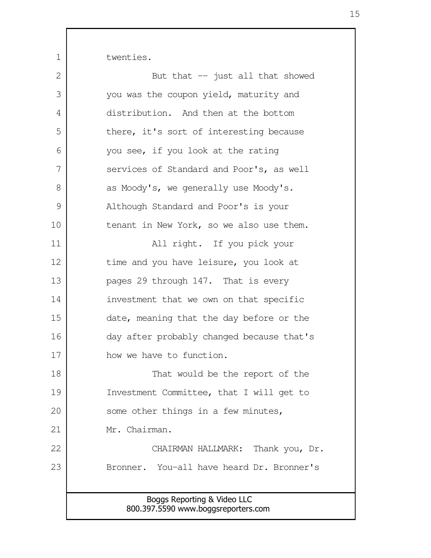twenties.

| $\mathbf{2}$ | But that $-$ just all that showed                                  |
|--------------|--------------------------------------------------------------------|
| 3            | you was the coupon yield, maturity and                             |
| 4            | distribution. And then at the bottom                               |
| 5            | there, it's sort of interesting because                            |
| 6            | you see, if you look at the rating                                 |
| 7            | services of Standard and Poor's, as well                           |
| 8            | as Moody's, we generally use Moody's.                              |
| 9            | Although Standard and Poor's is your                               |
| 10           | tenant in New York, so we also use them.                           |
| 11           | All right. If you pick your                                        |
| 12           | time and you have leisure, you look at                             |
| 13           | pages 29 through 147. That is every                                |
| 14           | investment that we own on that specific                            |
| 15           | date, meaning that the day before or the                           |
| 16           | day after probably changed because that's                          |
| 17           | how we have to function.                                           |
| 18           | That would be the report of the                                    |
| 19           | Investment Committee, that I will get to                           |
| 20           | some other things in a few minutes,                                |
| 21           | Mr. Chairman.                                                      |
| 22           | CHAIRMAN HALLMARK: Thank you, Dr.                                  |
| 23           | Bronner. You-all have heard Dr. Bronner's                          |
|              |                                                                    |
|              | Boggs Reporting & Video LLC<br>800.397.5590 www.boggsreporters.com |
|              |                                                                    |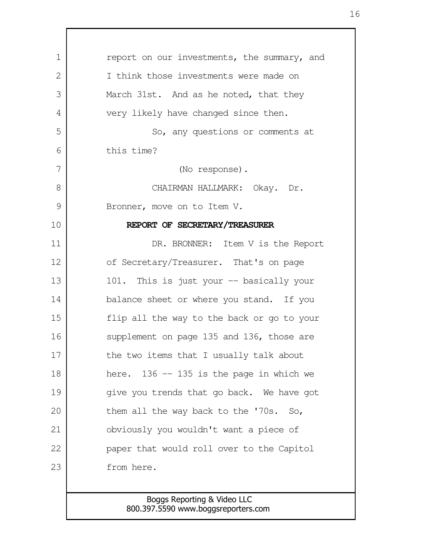| 1  | report on our investments, the summary, and |
|----|---------------------------------------------|
| 2  | I think those investments were made on      |
| 3  | March 31st. And as he noted, that they      |
| 4  | very likely have changed since then.        |
| 5  | So, any questions or comments at            |
| 6  | this time?                                  |
| 7  | (No response).                              |
| 8  | CHAIRMAN HALLMARK: Okay. Dr.                |
| 9  | Bronner, move on to Item V.                 |
| 10 | REPORT OF SECRETARY/TREASURER               |
| 11 | DR. BRONNER: Item V is the Report           |
| 12 | of Secretary/Treasurer. That's on page      |
| 13 | 101. This is just your -- basically your    |
| 14 | balance sheet or where you stand. If you    |
| 15 | flip all the way to the back or go to your  |
| 16 | supplement on page 135 and 136, those are   |
| 17 | the two items that I usually talk about     |
| 18 | here. $136 - 135$ is the page in which we   |
| 19 | give you trends that go back. We have got   |
| 20 | them all the way back to the '70s. So,      |
| 21 | obviously you wouldn't want a piece of      |
| 22 | paper that would roll over to the Capitol   |
| 23 | from here.                                  |
|    |                                             |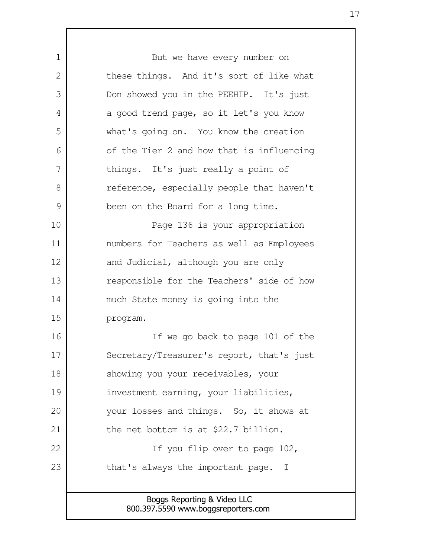Boggs Reporting & Video LLC 800.397.5590 www.boggsreporters.com But we have every number on these things. And it's sort of like what Don showed you in the PEEHIP. It's just a good trend page, so it let's you know what's going on. You know the creation of the Tier 2 and how that is influencing things. It's just really a point of reference, especially people that haven't been on the Board for a long time. Page 136 is your appropriation numbers for Teachers as well as Employees and Judicial, although you are only responsible for the Teachers' side of how much State money is going into the program. If we go back to page 101 of the Secretary/Treasurer's report, that's just showing you your receivables, your investment earning, your liabilities, your losses and things. So, it shows at the net bottom is at \$22.7 billion. If you flip over to page 102, that's always the important page. I 1 2 3 4 5 6 7 8 9 10 11 12 13 14 15 16 17 18 19 20 21 22 23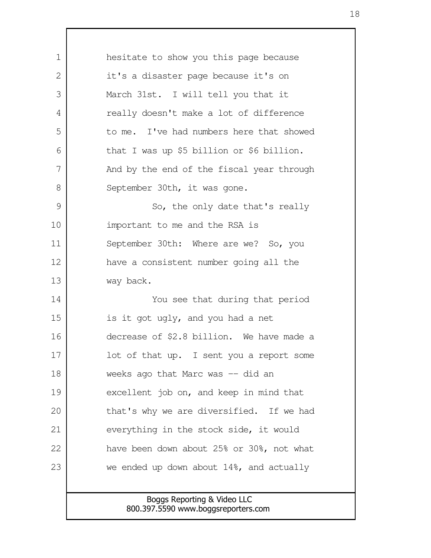Boggs Reporting & Video LLC 800.397.5590 www.boggsreporters.com hesitate to show you this page because it's a disaster page because it's on March 31st. I will tell you that it really doesn't make a lot of difference to me. I've had numbers here that showed that I was up \$5 billion or \$6 billion. And by the end of the fiscal year through September 30th, it was gone. So, the only date that's really important to me and the RSA is September 30th: Where are we? So, you have a consistent number going all the way back. You see that during that period is it got ugly, and you had a net decrease of \$2.8 billion. We have made a lot of that up. I sent you a report some weeks ago that Marc was -- did an excellent job on, and keep in mind that that's why we are diversified. If we had everything in the stock side, it would have been down about 25% or 30%, not what we ended up down about 14%, and actually 1  $\mathcal{L}$  3 4 5 6 7 8 9 10 11 12 13 14 15 16 17 18 19 20 21 22 23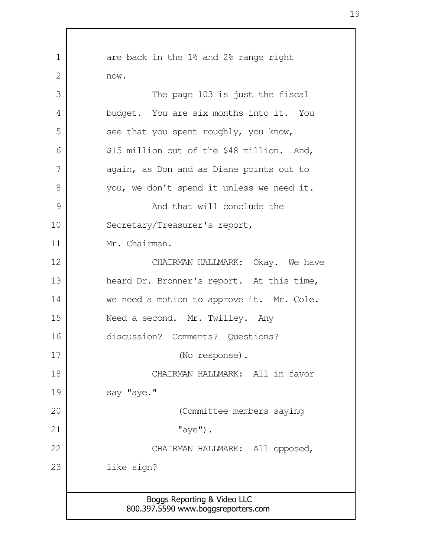| $\mathbf 1$ | are back in the 1% and 2% range right      |
|-------------|--------------------------------------------|
| 2           | now.                                       |
| 3           | The page 103 is just the fiscal            |
| 4           | budget. You are six months into it. You    |
| 5           | see that you spent roughly, you know,      |
| 6           | \$15 million out of the \$48 million. And, |
| 7           | again, as Don and as Diane points out to   |
| 8           | you, we don't spend it unless we need it.  |
| 9           | And that will conclude the                 |
| 10          | Secretary/Treasurer's report,              |
| 11          | Mr. Chairman.                              |
| 12          | CHAIRMAN HALLMARK: Okay. We have           |
| 13          | heard Dr. Bronner's report. At this time,  |
| 14          | we need a motion to approve it. Mr. Cole.  |
| 15          | Need a second. Mr. Twilley. Any            |
| 16          | discussion? Comments? Questions?           |
| 17          | (No response).                             |
| 18          | CHAIRMAN HALLMARK: All in favor            |
| 19          | say "aye."                                 |
| 20          | (Committee members saying                  |
| 21          | $"$ aye").                                 |
| 22          | CHAIRMAN HALLMARK: All opposed,            |
| 23          | like sign?                                 |
|             |                                            |
|             | Boggs Reporting & Video LLC                |
|             | 800.397.5590 www.boggsreporters.com        |

 $\Gamma$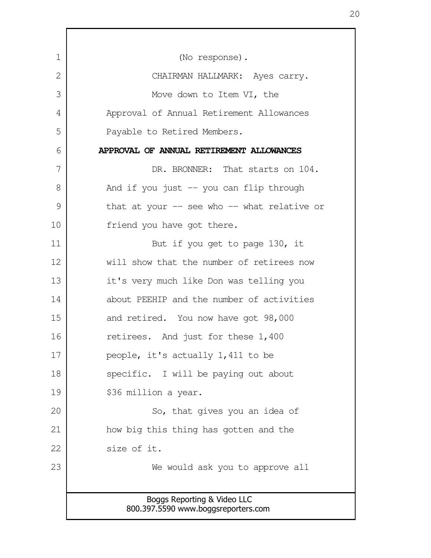| $\mathbf 1$ | (No response).                                                     |
|-------------|--------------------------------------------------------------------|
| 2           | CHAIRMAN HALLMARK: Ayes carry.                                     |
| 3           | Move down to Item VI, the                                          |
| 4           | Approval of Annual Retirement Allowances                           |
| 5           | Payable to Retired Members.                                        |
| 6           | APPROVAL OF ANNUAL RETIREMENT ALLOWANCES                           |
| 7           | DR. BRONNER: That starts on 104.                                   |
| 8           | And if you just $-$ you can flip through                           |
| 9           | that at your -- see who -- what relative or                        |
| 10          | friend you have got there.                                         |
| 11          | But if you get to page 130, it                                     |
| 12          | will show that the number of retirees now                          |
| 13          | it's very much like Don was telling you                            |
| 14          | about PEEHIP and the number of activities                          |
| 15          | and retired. You now have got 98,000                               |
| 16          | retirees. And just for these 1,400                                 |
| 17          | people, it's actually 1,411 to be                                  |
| 18          | specific. I will be paying out about                               |
| 19          | \$36 million a year.                                               |
| 20          | So, that gives you an idea of                                      |
| 21          | how big this thing has gotten and the                              |
| 22          | size of it.                                                        |
| 23          | We would ask you to approve all                                    |
|             |                                                                    |
|             | Boggs Reporting & Video LLC<br>800.397.5590 www.boggsreporters.com |
|             |                                                                    |

r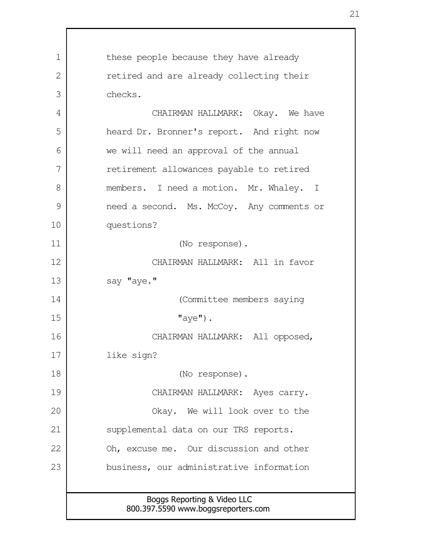Boggs Reporting & Video LLC 800.397.5590 www.boggsreporters.com these people because they have already retired and are already collecting their checks. CHAIRMAN HALLMARK: Okay. We have heard Dr. Bronner's report. And right now we will need an approval of the annual retirement allowances payable to retired members. I need a motion. Mr. Whaley. I need a second. Ms. McCoy. Any comments or questions? (No response). CHAIRMAN HALLMARK: All in favor say "aye." (Committee members saying  $"ave"$ ). CHAIRMAN HALLMARK: All opposed, like sign? (No response). CHAIRMAN HALLMARK: Ayes carry. Okay. We will look over to the supplemental data on our TRS reports. Oh, excuse me. Our discussion and other business, our administrative information 1 2 3 4 5 6 7 8 9 10 11 12 13 14 15 16 17 18 19 20 21 22 23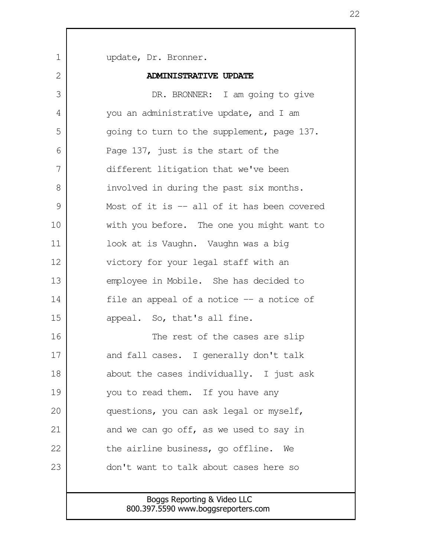Boggs Reporting & Video LLC update, Dr. Bronner. **ADMINISTRATIVE UPDATE** DR. BRONNER: I am going to give you an administrative update, and I am going to turn to the supplement, page 137. Page 137, just is the start of the different litigation that we've been involved in during the past six months. Most of it is -- all of it has been covered with you before. The one you might want to look at is Vaughn. Vaughn was a big victory for your legal staff with an employee in Mobile. She has decided to file an appeal of a notice -- a notice of appeal. So, that's all fine. The rest of the cases are slip and fall cases. I generally don't talk about the cases individually. I just ask you to read them. If you have any questions, you can ask legal or myself, and we can go off, as we used to say in the airline business, go offline. We don't want to talk about cases here so 1  $\mathcal{L}$  3 4 5 6 7 8 9 10 11 12 13 14 15 16 17 18 19 20 21 22 23

800.397.5590 www.boggsreporters.com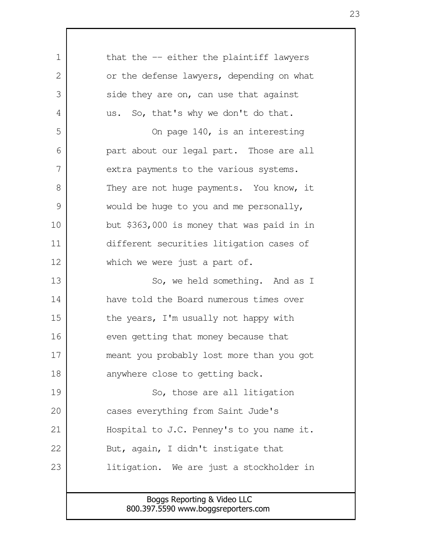| $\mathbf 1$  | that the -- either the plaintiff lawyers   |
|--------------|--------------------------------------------|
| $\mathbf{2}$ | or the defense lawyers, depending on what  |
| 3            | side they are on, can use that against     |
| 4            | us. So, that's why we don't do that.       |
| 5            | On page 140, is an interesting             |
| 6            | part about our legal part. Those are all   |
| 7            | extra payments to the various systems.     |
| 8            | They are not huge payments. You know, it   |
| 9            | would be huge to you and me personally,    |
| 10           | but \$363,000 is money that was paid in in |
| 11           | different securities litigation cases of   |
| 12           | which we were just a part of.              |
| 13           | So, we held something. And as I            |
| 14           | have told the Board numerous times over    |
| 15           | the years, I'm usually not happy with      |
| 16           | even getting that money because that       |
| 17           | meant you probably lost more than you got  |
| 18           | anywhere close to getting back.            |
| 19           | So, those are all litigation               |
| 20           | cases everything from Saint Jude's         |
| 21           | Hospital to J.C. Penney's to you name it.  |
| 22           | But, again, I didn't instigate that        |
| 23           | litigation. We are just a stockholder in   |
|              |                                            |
|              | Boggs Reporting & Video LLC                |

800.397.5590 www.boggsreporters.com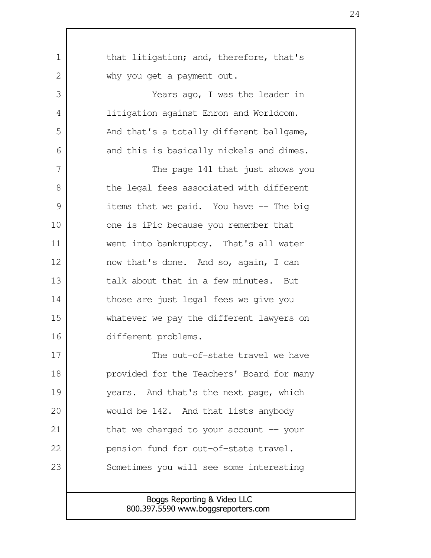| $\mathbf 1$ | that litigation; and, therefore, that's                            |
|-------------|--------------------------------------------------------------------|
| 2           | why you get a payment out.                                         |
| 3           | Years ago, I was the leader in                                     |
| 4           | litigation against Enron and Worldcom.                             |
| 5           | And that's a totally different ballgame,                           |
| 6           | and this is basically nickels and dimes.                           |
| 7           | The page 141 that just shows you                                   |
| 8           | the legal fees associated with different                           |
| 9           | items that we paid. You have -- The big                            |
| 10          | one is iPic because you remember that                              |
| 11          | went into bankruptcy. That's all water                             |
| 12          | now that's done. And so, again, I can                              |
| 13          | talk about that in a few minutes. But                              |
| 14          | those are just legal fees we give you                              |
| 15          | whatever we pay the different lawyers on                           |
| 16          | different problems.                                                |
| 17          | The out-of-state travel we have                                    |
| 18          | provided for the Teachers' Board for many                          |
| 19          | years. And that's the next page, which                             |
| 20          | would be 142. And that lists anybody                               |
| 21          | that we charged to your account $-$ your                           |
| 22          | pension fund for out-of-state travel.                              |
| 23          | Sometimes you will see some interesting                            |
|             |                                                                    |
|             | Boggs Reporting & Video LLC<br>800.397.5590 www.boggsreporters.com |

 $\mathbf{I}$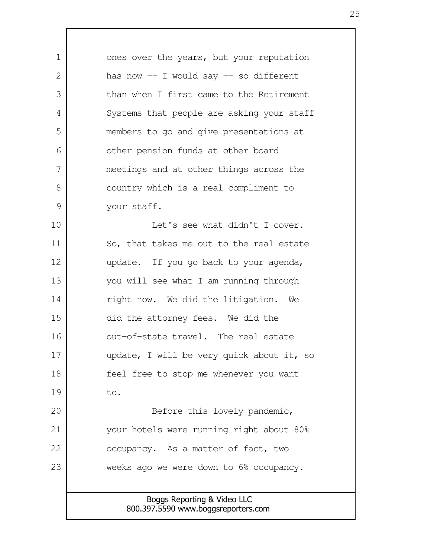Boggs Reporting & Video LLC 800.397.5590 www.boggsreporters.com ones over the years, but your reputation has now  $-$  I would say  $-$  so different than when I first came to the Retirement Systems that people are asking your staff members to go and give presentations at other pension funds at other board meetings and at other things across the country which is a real compliment to your staff. Let's see what didn't I cover. So, that takes me out to the real estate update. If you go back to your agenda, you will see what I am running through right now. We did the litigation. We did the attorney fees. We did the out-of-state travel. The real estate update, I will be very quick about it, so feel free to stop me whenever you want to. Before this lovely pandemic, your hotels were running right about 80% occupancy. As a matter of fact, two weeks ago we were down to 6% occupancy. 1  $\mathcal{L}$  3 4 5 6 7 8 9 10 11 12 13 14 15 16 17 18 19 20 21 22 23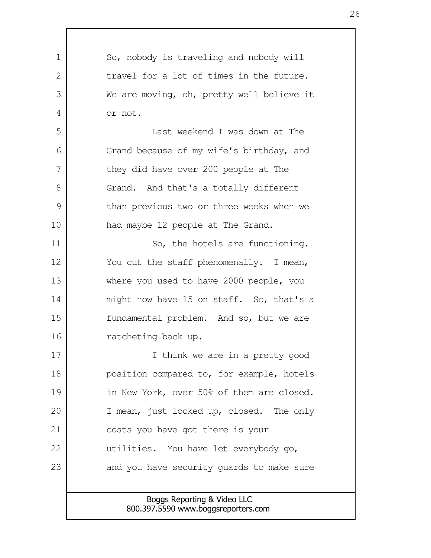Boggs Reporting & Video LLC 800.397.5590 www.boggsreporters.com So, nobody is traveling and nobody will travel for a lot of times in the future. We are moving, oh, pretty well believe it or not. Last weekend I was down at The Grand because of my wife's birthday, and they did have over 200 people at The Grand. And that's a totally different than previous two or three weeks when we had maybe 12 people at The Grand. So, the hotels are functioning. You cut the staff phenomenally. I mean, where you used to have 2000 people, you might now have 15 on staff. So, that's a fundamental problem. And so, but we are ratcheting back up. I think we are in a pretty good position compared to, for example, hotels in New York, over 50% of them are closed. I mean, just locked up, closed. The only costs you have got there is your utilities. You have let everybody go, and you have security guards to make sure 1  $\mathcal{L}$  3 4 5 6 7 8 9 10 11 12 13 14 15 16 17 18 19 20 21 22 23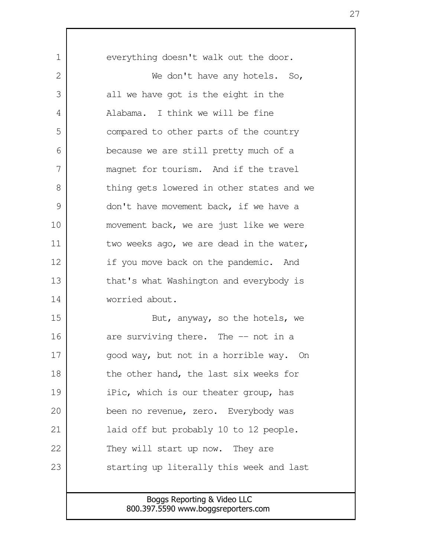everything doesn't walk out the door. We don't have any hotels. So, all we have got is the eight in the Alabama. I think we will be fine compared to other parts of the country because we are still pretty much of a magnet for tourism. And if the travel thing gets lowered in other states and we don't have movement back, if we have a movement back, we are just like we were two weeks ago, we are dead in the water, if you move back on the pandemic. And that's what Washington and everybody is worried about. But, anyway, so the hotels, we are surviving there. The -- not in a good way, but not in a horrible way. On the other hand, the last six weeks for iPic, which is our theater group, has been no revenue, zero. Everybody was laid off but probably 10 to 12 people. They will start up now. They are starting up literally this week and last 1  $\mathcal{L}$  3 4 5 6 7 8 9 10 11 12 13 14 15 16 17 18 19 20 21 22 23

> Boggs Reporting & Video LLC 800.397.5590 www.boggsreporters.com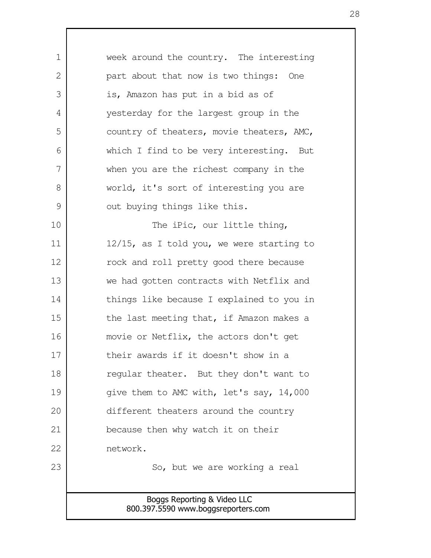| $\mathbf 1$   | week around the country. The interesting     |
|---------------|----------------------------------------------|
| 2             | part about that now is two things: One       |
| 3             | is, Amazon has put in a bid as of            |
| 4             | yesterday for the largest group in the       |
| 5             | country of theaters, movie theaters, AMC,    |
| 6             | which I find to be very interesting. But     |
| 7             | when you are the richest company in the      |
| 8             | world, it's sort of interesting you are      |
| $\mathcal{G}$ | out buying things like this.                 |
| 10            | The iPic, our little thing,                  |
| 11            | $12/15$ , as I told you, we were starting to |
| 12            | rock and roll pretty good there because      |
| 13            | we had gotten contracts with Netflix and     |
| 14            | things like because I explained to you in    |
| 15            | the last meeting that, if Amazon makes a     |
| 16            | movie or Netflix, the actors don't get       |
| 17            | their awards if it doesn't show in a         |
| 18            | regular theater. But they don't want to      |
| 19            | give them to AMC with, let's say, 14,000     |
| 20            | different theaters around the country        |
| 21            | because then why watch it on their           |
| 22            | network.                                     |
| 23            | So, but we are working a real                |
|               |                                              |
|               | Boggs Reporting & Video LLC                  |
|               | 800.397.5590 www.boggsreporters.com          |

 $\mathsf{I}$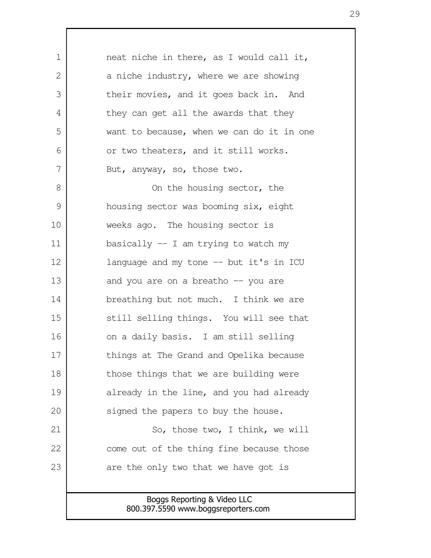neat niche in there, as I would call it, a niche industry, where we are showing their movies, and it goes back in. And they can get all the awards that they want to because, when we can do it in one or two theaters, and it still works. But, anyway, so, those two. On the housing sector, the housing sector was booming six, eight weeks ago. The housing sector is basically -- I am trying to watch my language and my tone -- but it's in ICU and you are on a breatho -- you are breathing but not much. I think we are still selling things. You will see that on a daily basis. I am still selling things at The Grand and Opelika because those things that we are building were already in the line, and you had already signed the papers to buy the house. So, those two, I think, we will come out of the thing fine because those are the only two that we have got is 1  $\mathcal{L}$  3 4 5 6 7 8 9 10 11 12 13 14 15 16 17 18 19 20 21 22 23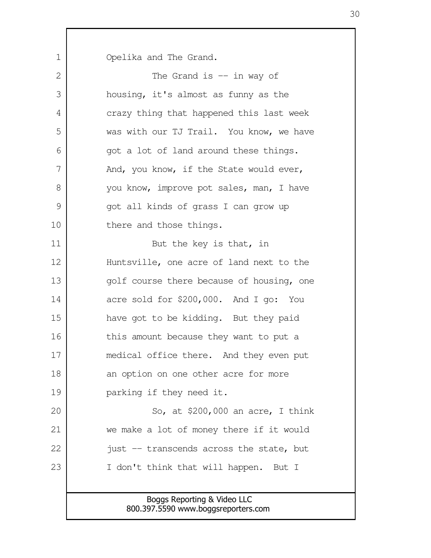Opelika and The Grand.

1

| $\mathbf{2}$ | The Grand is $-$ in way of                |
|--------------|-------------------------------------------|
| 3            | housing, it's almost as funny as the      |
| 4            | crazy thing that happened this last week  |
| 5            | was with our TJ Trail. You know, we have  |
| 6            | got a lot of land around these things.    |
| 7            | And, you know, if the State would ever,   |
| 8            | you know, improve pot sales, man, I have  |
| 9            | got all kinds of grass I can grow up      |
| 10           | there and those things.                   |
| 11           | But the key is that, in                   |
| 12           | Huntsville, one acre of land next to the  |
| 13           | golf course there because of housing, one |
| 14           | acre sold for \$200,000. And I go: You    |
| 15           | have got to be kidding. But they paid     |
| 16           | this amount because they want to put a    |
| 17           | medical office there. And they even put   |
| 18           | an option on one other acre for more      |
| 19           | parking if they need it.                  |
| 20           | So, at $$200,000$ an acre, I think        |
| 21           | we make a lot of money there if it would  |
| 22           | just -- transcends across the state, but  |
| 23           | I don't think that will happen. But I     |
|              |                                           |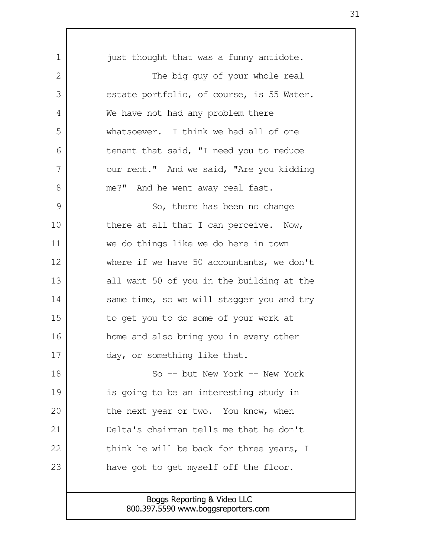| $\mathbf 1$ | just thought that was a funny antidote.   |
|-------------|-------------------------------------------|
| 2           | The big guy of your whole real            |
| 3           | estate portfolio, of course, is 55 Water. |
| 4           | We have not had any problem there         |
| 5           | whatsoever. I think we had all of one     |
| 6           | tenant that said, "I need you to reduce   |
| 7           | our rent." And we said, "Are you kidding  |
| 8           | me?" And he went away real fast.          |
| 9           | So, there has been no change              |
| 10          | there at all that I can perceive. Now,    |
| 11          | we do things like we do here in town      |
| 12          | where if we have 50 accountants, we don't |
| 13          | all want 50 of you in the building at the |
| 14          | same time, so we will stagger you and try |
| 15          | to get you to do some of your work at     |
| 16          | home and also bring you in every other    |
| 17          | day, or something like that.              |
| 18          | So -- but New York -- New York            |
| 19          | is going to be an interesting study in    |
| 20          | the next year or two. You know, when      |
| 21          | Delta's chairman tells me that he don't   |
| 22          | think he will be back for three years, I  |
| 23          | have got to get myself off the floor.     |
|             |                                           |
|             | Boggs Reporting & Video LLC               |

I

800.397.5590 www.boggsreporters.com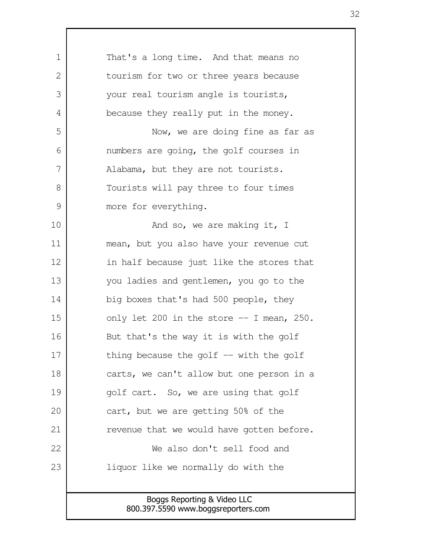| 1  | That's a long time. And that means no      |
|----|--------------------------------------------|
| 2  | tourism for two or three years because     |
| 3  | your real tourism angle is tourists,       |
| 4  | because they really put in the money.      |
| 5  | Now, we are doing fine as far as           |
| 6  | numbers are going, the golf courses in     |
| 7  | Alabama, but they are not tourists.        |
| 8  | Tourists will pay three to four times      |
| 9  | more for everything.                       |
| 10 | And so, we are making it, I                |
| 11 | mean, but you also have your revenue cut   |
| 12 | in half because just like the stores that  |
| 13 | you ladies and gentlemen, you go to the    |
| 14 | big boxes that's had 500 people, they      |
| 15 | only let 200 in the store $-$ I mean, 250. |
| 16 | But that's the way it is with the golf     |
| 17 | thing because the golf $-$ with the golf   |
| 18 | carts, we can't allow but one person in a  |
| 19 | golf cart. So, we are using that golf      |
| 20 | cart, but we are getting 50% of the        |
| 21 | revenue that we would have gotten before.  |
| 22 | We also don't sell food and                |
| 23 | liquor like we normally do with the        |
|    |                                            |
|    | Boggs Reporting & Video LLC                |
|    | 800.397.5590 www.boggsreporters.com        |

 $\mathbf l$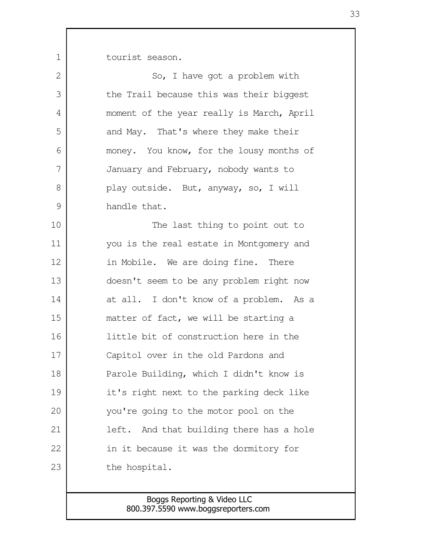tourist season.

1

| 2             | So, I have got a problem with               |
|---------------|---------------------------------------------|
| 3             | the Trail because this was their biggest    |
| 4             | moment of the year really is March, April   |
| 5             | and May. That's where they make their       |
| 6             | money. You know, for the lousy months of    |
| 7             | January and February, nobody wants to       |
| 8             | play outside. But, anyway, so, I will       |
| $\mathcal{G}$ | handle that.                                |
| 10            | The last thing to point out to              |
| 11            | you is the real estate in Montgomery and    |
| 12            | in Mobile. We are doing fine. There         |
| 13            | doesn't seem to be any problem right now    |
| 14            | at all. I don't know of a problem. As a     |
| 15            | matter of fact, we will be starting a       |
| 16            | little bit of construction here in the      |
| 17            | Capitol over in the old Pardons and         |
| 18            | Parole Building, which I didn't know is     |
| 19            | it's right next to the parking deck like    |
| 20            | you're going to the motor pool on the       |
| 21            | And that building there has a hole<br>left. |
| 22            | in it because it was the dormitory for      |
| 23            | the hospital.                               |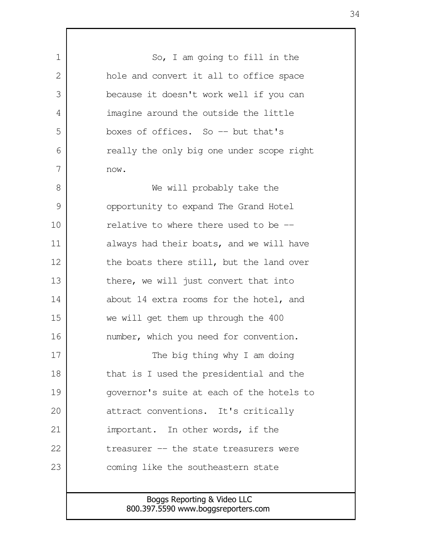Boggs Reporting & Video LLC 800.397.5590 www.boggsreporters.com So, I am going to fill in the hole and convert it all to office space because it doesn't work well if you can imagine around the outside the little boxes of offices. So -- but that's really the only big one under scope right now. We will probably take the opportunity to expand The Grand Hotel relative to where there used to be - always had their boats, and we will have the boats there still, but the land over there, we will just convert that into about 14 extra rooms for the hotel, and we will get them up through the 400 number, which you need for convention. The big thing why I am doing that is I used the presidential and the governor's suite at each of the hotels to attract conventions. It's critically important. In other words, if the treasurer -- the state treasurers were coming like the southeastern state 1  $\mathcal{L}$  3 4 5 6 7 8 9 10 11 12 13 14 15 16 17 18 19 20 21 22 23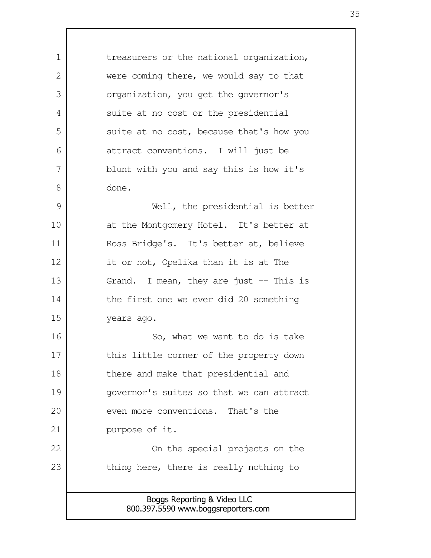Boggs Reporting & Video LLC treasurers or the national organization, were coming there, we would say to that organization, you get the governor's suite at no cost or the presidential suite at no cost, because that's how you attract conventions. I will just be blunt with you and say this is how it's done. Well, the presidential is better at the Montgomery Hotel. It's better at Ross Bridge's. It's better at, believe it or not, Opelika than it is at The Grand. I mean, they are just  $-$  This is the first one we ever did 20 something years ago. So, what we want to do is take this little corner of the property down there and make that presidential and governor's suites so that we can attract even more conventions. That's the purpose of it. On the special projects on the thing here, there is really nothing to 1 2 3 4 5 6 7 8 9 10 11 12 13 14 15 16 17 18 19 20 21 22 23

800.397.5590 www.boggsreporters.com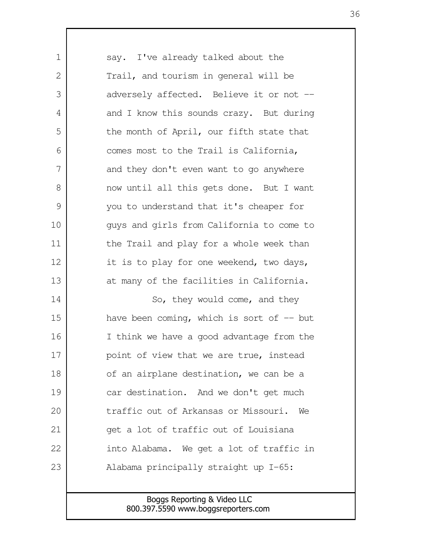say. I've already talked about the Trail, and tourism in general will be adversely affected. Believe it or not - and I know this sounds crazy. But during the month of April, our fifth state that comes most to the Trail is California, and they don't even want to go anywhere now until all this gets done. But I want you to understand that it's cheaper for guys and girls from California to come to the Trail and play for a whole week than it is to play for one weekend, two days, at many of the facilities in California. So, they would come, and they have been coming, which is sort of  $-$  but I think we have a good advantage from the point of view that we are true, instead of an airplane destination, we can be a car destination. And we don't get much traffic out of Arkansas or Missouri. We get a lot of traffic out of Louisiana into Alabama. We get a lot of traffic in Alabama principally straight up I-65: 1  $\mathcal{D}$  3 4 5 6 7 8 9 10 11 12 13 14 15 16 17 18 19 20 21 22 23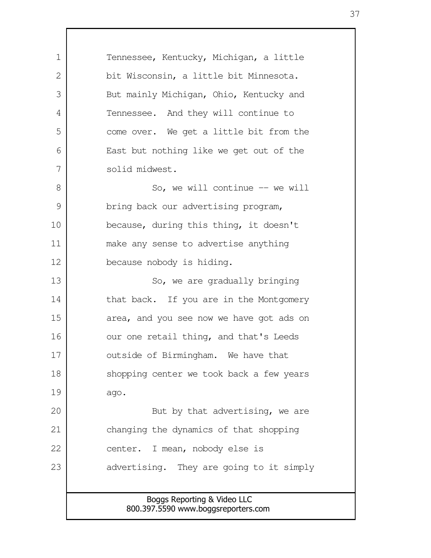Boggs Reporting & Video LLC 800.397.5590 www.boggsreporters.com Tennessee, Kentucky, Michigan, a little bit Wisconsin, a little bit Minnesota. But mainly Michigan, Ohio, Kentucky and Tennessee. And they will continue to come over. We get a little bit from the East but nothing like we get out of the solid midwest. So, we will continue -- we will bring back our advertising program, because, during this thing, it doesn't make any sense to advertise anything because nobody is hiding. So, we are gradually bringing that back. If you are in the Montgomery area, and you see now we have got ads on our one retail thing, and that's Leeds outside of Birmingham. We have that shopping center we took back a few years ago. But by that advertising, we are changing the dynamics of that shopping center. I mean, nobody else is advertising. They are going to it simply 1  $\mathcal{L}$  3 4 5 6 7 8 9 10 11 12 13 14 15 16 17 18 19 20 21 22 23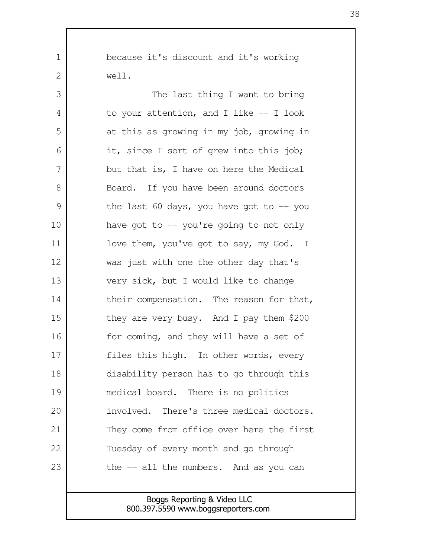because it's discount and it's working well.

1

2

The last thing I want to bring to your attention, and I like -- I look at this as growing in my job, growing in it, since I sort of grew into this job; but that is, I have on here the Medical Board. If you have been around doctors the last 60 days, you have got to  $-$  you have got to  $-$  you're going to not only love them, you've got to say, my God. I was just with one the other day that's very sick, but I would like to change their compensation. The reason for that, they are very busy. And I pay them \$200 for coming, and they will have a set of files this high. In other words, every disability person has to go through this medical board. There is no politics involved. There's three medical doctors. They come from office over here the first Tuesday of every month and go through the -- all the numbers. And as you can 3 4 5 6 7 8 9 10 11 12 13 14 15 16 17 18 19 20 21 22 23

> Boggs Reporting & Video LLC 800.397.5590 www.boggsreporters.com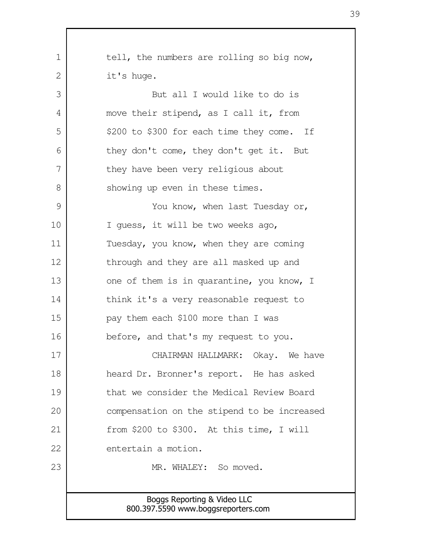| $\mathbf 1$  | tell, the numbers are rolling so big now,                          |
|--------------|--------------------------------------------------------------------|
| $\mathbf{2}$ | it's huge.                                                         |
| 3            | But all I would like to do is                                      |
| 4            | move their stipend, as I call it, from                             |
| 5            | \$200 to \$300 for each time they come. If                         |
| 6            | they don't come, they don't get it. But                            |
| 7            | they have been very religious about                                |
| 8            | showing up even in these times.                                    |
| 9            | You know, when last Tuesday or,                                    |
| 10           | I quess, it will be two weeks ago,                                 |
| 11           | Tuesday, you know, when they are coming                            |
| 12           | through and they are all masked up and                             |
| 13           | one of them is in quarantine, you know, I                          |
| 14           | think it's a very reasonable request to                            |
| 15           | pay them each \$100 more than I was                                |
| 16           | before, and that's my request to you.                              |
| 17           | CHAIRMAN HALLMARK: Okay. We have                                   |
| 18           | heard Dr. Bronner's report. He has asked                           |
| 19           | that we consider the Medical Review Board                          |
| 20           | compensation on the stipend to be increased                        |
| 21           | from \$200 to \$300. At this time, I will                          |
| 22           | entertain a motion.                                                |
| 23           | MR. WHALEY: So moved.                                              |
|              |                                                                    |
|              | Boggs Reporting & Video LLC<br>800.397.5590 www.boggsreporters.com |
|              |                                                                    |

 $\Gamma$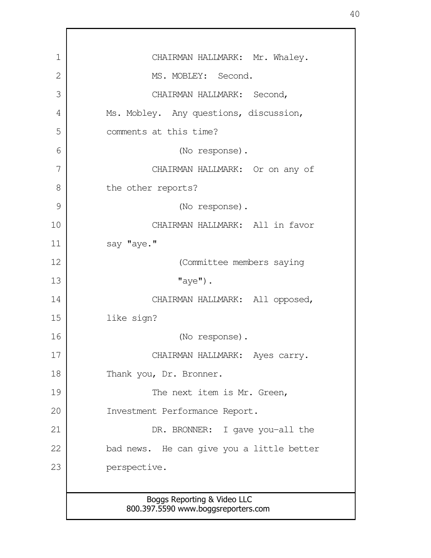Boggs Reporting & Video LLC 800.397.5590 www.boggsreporters.com CHAIRMAN HALLMARK: Mr. Whaley. MS. MOBLEY: Second. CHAIRMAN HALLMARK: Second, Ms. Mobley. Any questions, discussion, comments at this time? (No response). CHAIRMAN HALLMARK: Or on any of the other reports? (No response). CHAIRMAN HALLMARK: All in favor say "aye." (Committee members saying  $"$ aye"). CHAIRMAN HALLMARK: All opposed, like sign? (No response). CHAIRMAN HALLMARK: Ayes carry. Thank you, Dr. Bronner. The next item is Mr. Green, Investment Performance Report. DR. BRONNER: I gave you-all the bad news. He can give you a little better perspective. 1 2 3 4 5 6 7 8 9 10 11 12 13 14 15 16 17 18 19 20 21 22 23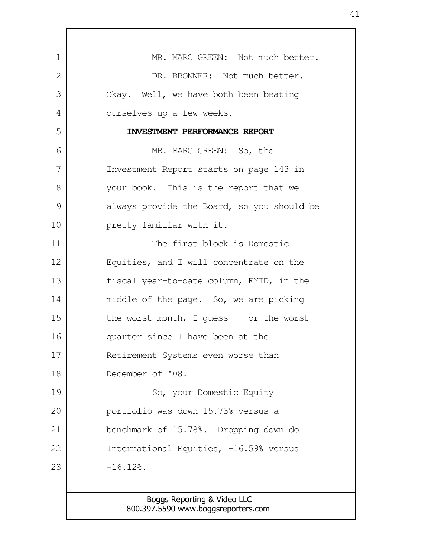| $\mathbf 1$ | MR. MARC GREEN: Not much better.           |
|-------------|--------------------------------------------|
| 2           | DR. BRONNER: Not much better.              |
| 3           | Okay. Well, we have both been beating      |
| 4           | ourselves up a few weeks.                  |
| 5           | INVESTMENT PERFORMANCE REPORT              |
| 6           | MR. MARC GREEN: So, the                    |
| 7           | Investment Report starts on page 143 in    |
| 8           | your book. This is the report that we      |
| 9           | always provide the Board, so you should be |
| 10          | pretty familiar with it.                   |
| 11          | The first block is Domestic                |
| 12          | Equities, and I will concentrate on the    |
| 13          | fiscal year-to-date column, FYTD, in the   |
| 14          | middle of the page. So, we are picking     |
| 15          | the worst month, I quess $-$ or the worst  |
| 16          | quarter since I have been at the           |
| 17          | Retirement Systems even worse than         |
| 18          | December of '08.                           |
| 19          | So, your Domestic Equity                   |
| 20          | portfolio was down 15.73% versus a         |
| 21          | benchmark of 15.78%. Dropping down do      |
| 22          | International Equities, -16.59% versus     |
| 23          | $-16.12$ .                                 |
|             |                                            |
|             | Boggs Reporting & Video LLC                |

Г

800.397.5590 www.boggsreporters.com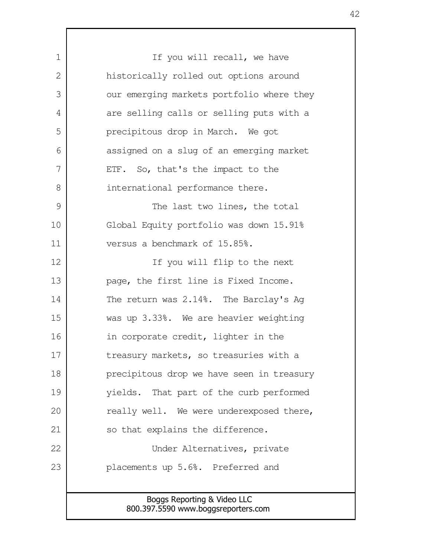| 1  | If you will recall, we have                                        |
|----|--------------------------------------------------------------------|
| 2  | historically rolled out options around                             |
| 3  | our emerging markets portfolio where they                          |
| 4  | are selling calls or selling puts with a                           |
| 5  | precipitous drop in March. We got                                  |
| 6  | assigned on a slug of an emerging market                           |
| 7  | ETF. So, that's the impact to the                                  |
| 8  | international performance there.                                   |
| 9  | The last two lines, the total                                      |
| 10 | Global Equity portfolio was down 15.91%                            |
| 11 | versus a benchmark of 15.85%.                                      |
| 12 | If you will flip to the next                                       |
| 13 | page, the first line is Fixed Income.                              |
| 14 | The return was 2.14%. The Barclay's Ag                             |
| 15 | was up 3.33%. We are heavier weighting                             |
| 16 | in corporate credit, lighter in the                                |
| 17 | treasury markets, so treasuries with a                             |
| 18 | precipitous drop we have seen in treasury                          |
| 19 | yields. That part of the curb performed                            |
| 20 | really well. We were underexposed there,                           |
| 21 | so that explains the difference.                                   |
| 22 | Under Alternatives, private                                        |
| 23 | placements up 5.6%. Preferred and                                  |
|    |                                                                    |
|    | Boggs Reporting & Video LLC<br>800.397.5590 www.boggsreporters.com |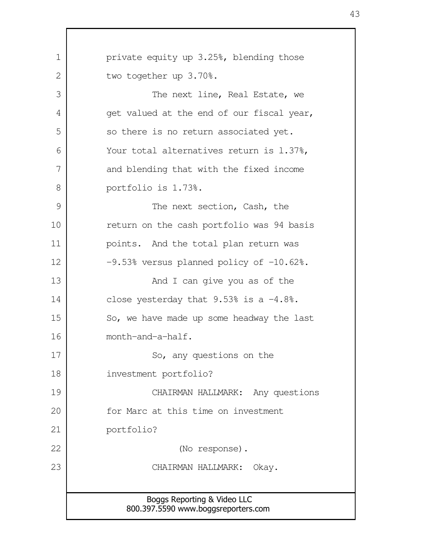Boggs Reporting & Video LLC 800.397.5590 www.boggsreporters.com private equity up 3.25%, blending those two together up 3.70%. The next line, Real Estate, we get valued at the end of our fiscal year, so there is no return associated yet. Your total alternatives return is 1.37%, and blending that with the fixed income portfolio is 1.73%. The next section, Cash, the return on the cash portfolio was 94 basis points. And the total plan return was  $-9.53$ % versus planned policy of  $-10.62$ %. And I can give you as of the close yesterday that  $9.53\%$  is a  $-4.8\%$ . So, we have made up some headway the last month-and-a-half. So, any questions on the investment portfolio? CHAIRMAN HALLMARK: Any questions for Marc at this time on investment portfolio? (No response). CHAIRMAN HALLMARK: Okay. 1 2 3 4 5 6 7 8 9 10 11 12 13 14 15 16 17 18 19 20 21 22 23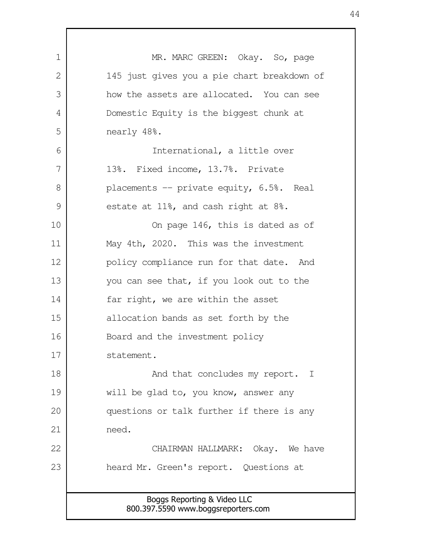| 1  | MR. MARC GREEN: Okay. So, page                                     |
|----|--------------------------------------------------------------------|
| 2  | 145 just gives you a pie chart breakdown of                        |
| 3  | how the assets are allocated. You can see                          |
| 4  | Domestic Equity is the biggest chunk at                            |
| 5  | nearly 48%.                                                        |
| 6  | International, a little over                                       |
| 7  | 13%. Fixed income, 13.7%. Private                                  |
| 8  | placements -- private equity, 6.5%. Real                           |
| 9  | estate at 11%, and cash right at 8%.                               |
| 10 | On page 146, this is dated as of                                   |
| 11 | May 4th, 2020. This was the investment                             |
| 12 | policy compliance run for that date. And                           |
| 13 | you can see that, if you look out to the                           |
| 14 | far right, we are within the asset                                 |
| 15 | allocation bands as set forth by the                               |
| 16 | Board and the investment policy                                    |
| 17 | statement.                                                         |
| 18 | And that concludes my report. I                                    |
| 19 | will be glad to, you know, answer any                              |
| 20 | questions or talk further if there is any                          |
| 21 | need.                                                              |
| 22 | CHAIRMAN HALLMARK: Okay. We have                                   |
| 23 | heard Mr. Green's report. Questions at                             |
|    |                                                                    |
|    | Boggs Reporting & Video LLC<br>800.397.5590 www.boggsreporters.com |

 $\Gamma$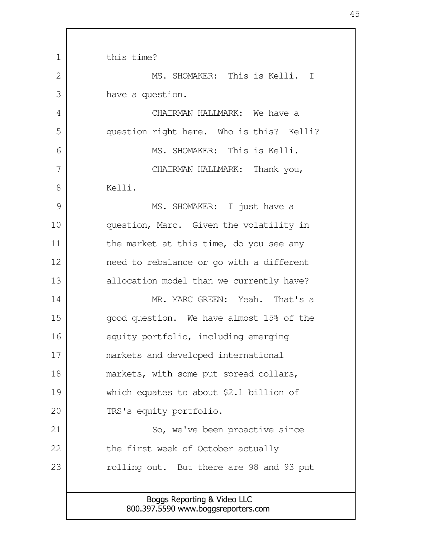Boggs Reporting & Video LLC 800.397.5590 www.boggsreporters.com this time? MS. SHOMAKER: This is Kelli. I have a question. CHAIRMAN HALLMARK: We have a question right here. Who is this? Kelli? MS. SHOMAKER: This is Kelli. CHAIRMAN HALLMARK: Thank you, Kelli. MS. SHOMAKER: I just have a question, Marc. Given the volatility in the market at this time, do you see any need to rebalance or go with a different allocation model than we currently have? MR. MARC GREEN: Yeah. That's a good question. We have almost 15% of the equity portfolio, including emerging markets and developed international markets, with some put spread collars, which equates to about \$2.1 billion of TRS's equity portfolio. So, we've been proactive since the first week of October actually rolling out. But there are 98 and 93 put 1  $\mathcal{L}$  3 4 5 6 7 8 9 10 11 12 13 14 15 16 17 18 19 20 21 22 23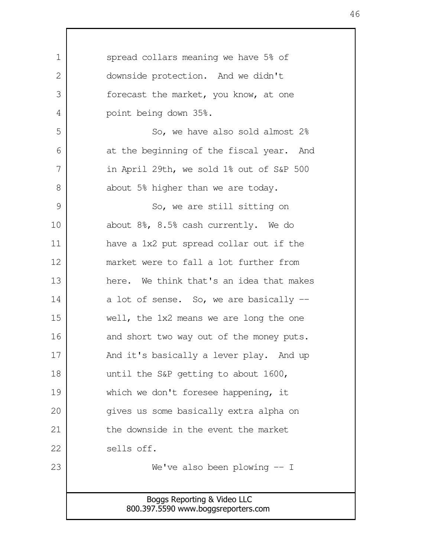| $\mathbf 1$    | spread collars meaning we have 5% of                               |
|----------------|--------------------------------------------------------------------|
| $\overline{2}$ | downside protection. And we didn't                                 |
| 3              | forecast the market, you know, at one                              |
| 4              | point being down 35%.                                              |
| 5              | So, we have also sold almost 2%                                    |
| 6              | at the beginning of the fiscal year. And                           |
| 7              | in April 29th, we sold 1% out of S&P 500                           |
| 8              | about 5% higher than we are today.                                 |
| $\mathcal{G}$  | So, we are still sitting on                                        |
| 10             | about 8%, 8.5% cash currently. We do                               |
| 11             | have a 1x2 put spread collar out if the                            |
| 12             | market were to fall a lot further from                             |
| 13             | here. We think that's an idea that makes                           |
| 14             | a lot of sense. So, we are basically --                            |
| 15             | well, the 1x2 means we are long the one                            |
| 16             | and short two way out of the money puts.                           |
| 17             | And it's basically a lever play. And up                            |
| 18             | until the S&P getting to about 1600,                               |
| 19             | which we don't foresee happening, it                               |
| 20             | gives us some basically extra alpha on                             |
| 21             | the downside in the event the market                               |
| 22             | sells off.                                                         |
| 23             | We've also been plowing $-$ I                                      |
|                |                                                                    |
|                | Boggs Reporting & Video LLC<br>800.397.5590 www.boggsreporters.com |
|                |                                                                    |

 $\Gamma$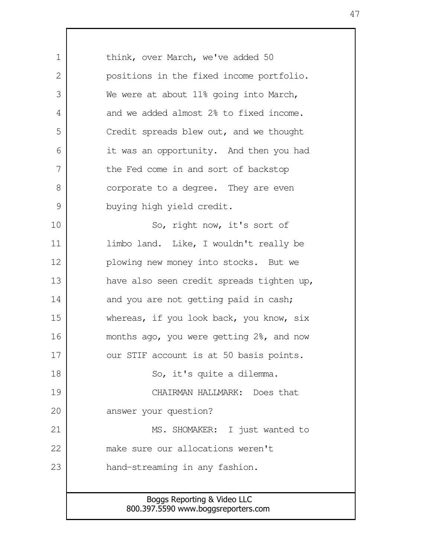Boggs Reporting & Video LLC 800.397.5590 www.boggsreporters.com think, over March, we've added 50 positions in the fixed income portfolio. We were at about 11% going into March, and we added almost 2% to fixed income. Credit spreads blew out, and we thought it was an opportunity. And then you had the Fed come in and sort of backstop corporate to a degree. They are even buying high yield credit. So, right now, it's sort of limbo land. Like, I wouldn't really be plowing new money into stocks. But we have also seen credit spreads tighten up, and you are not getting paid in cash; whereas, if you look back, you know, six months ago, you were getting 2%, and now our STIF account is at 50 basis points. So, it's quite a dilemma. CHAIRMAN HALLMARK: Does that answer your question? MS. SHOMAKER: I just wanted to make sure our allocations weren't hand-streaming in any fashion. 1 2 3 4 5 6 7 8 9 10 11 12 13 14 15 16 17 18 19 20 21 22 23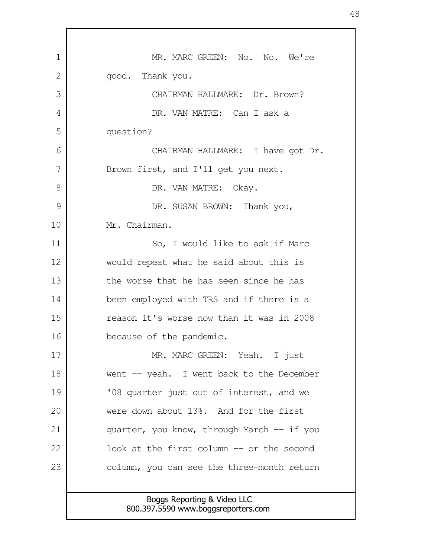| 1  | MR. MARC GREEN: No. No. We're                                      |
|----|--------------------------------------------------------------------|
| 2  | good. Thank you.                                                   |
| 3  | CHAIRMAN HALLMARK: Dr. Brown?                                      |
| 4  | DR. VAN MATRE: Can I ask a                                         |
| 5  | question?                                                          |
| 6  | CHAIRMAN HALLMARK: I have got Dr.                                  |
| 7  | Brown first, and I'll get you next.                                |
| 8  | DR. VAN MATRE:<br>Okay.                                            |
| 9  | DR. SUSAN BROWN: Thank you,                                        |
| 10 | Mr. Chairman.                                                      |
| 11 | So, I would like to ask if Marc                                    |
| 12 | would repeat what he said about this is                            |
| 13 | the worse that he has seen since he has                            |
| 14 | been employed with TRS and if there is a                           |
| 15 | reason it's worse now than it was in 2008                          |
| 16 | because of the pandemic.                                           |
| 17 | MR. MARC GREEN: Yeah. I just                                       |
| 18 | went -- yeah. I went back to the December                          |
| 19 | '08 quarter just out of interest, and we                           |
| 20 | were down about 13%. And for the first                             |
| 21 | quarter, you know, through March -- if you                         |
| 22 | look at the first column -- or the second                          |
| 23 | column, you can see the three-month return                         |
|    |                                                                    |
|    | Boggs Reporting & Video LLC<br>800.397.5590 www.boggsreporters.com |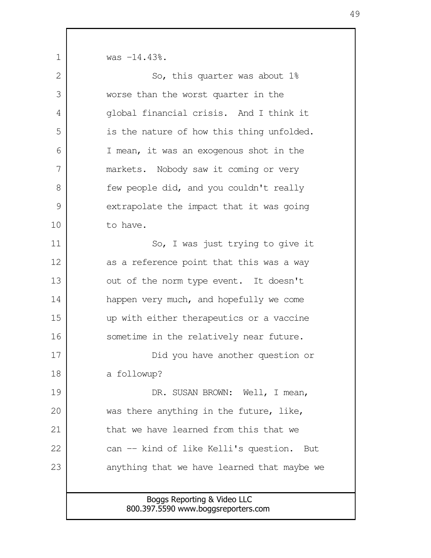was -14.43%.

1

| $\mathbf{2}$ | So, this quarter was about 1%                |
|--------------|----------------------------------------------|
| 3            | worse than the worst quarter in the          |
| 4            | global financial crisis. And I think it      |
| 5            | is the nature of how this thing unfolded.    |
| 6            | I mean, it was an exogenous shot in the      |
| 7            | markets. Nobody saw it coming or very        |
| 8            | few people did, and you couldn't really      |
| 9            | extrapolate the impact that it was going     |
| 10           | to have.                                     |
| 11           | So, I was just trying to give it             |
| 12           | as a reference point that this was a way     |
| 13           | out of the norm type event. It doesn't       |
| 14           | happen very much, and hopefully we come      |
| 15           | up with either therapeutics or a vaccine     |
| 16           | sometime in the relatively near future.      |
| 17           | Did you have another question or             |
| 18           | a followup?                                  |
| 19           | DR. SUSAN BROWN: Well, I mean,               |
| 20           | was there anything in the future, like,      |
| 21           | that we have learned from this that we       |
| 22           | can -- kind of like Kelli's question.<br>But |
| 23           | anything that we have learned that maybe we  |
|              |                                              |
|              | Boggs Reporting & Video LLC                  |

800.397.5590 www.boggsreporters.com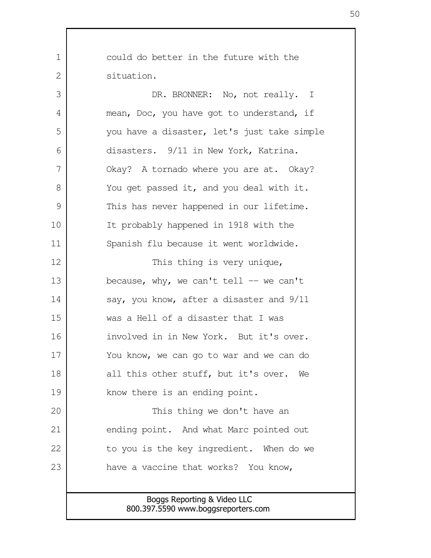could do better in the future with the situation.

1

 $\mathcal{L}$ 

DR. BRONNER: No, not really. I mean, Doc, you have got to understand, if you have a disaster, let's just take simple disasters. 9/11 in New York, Katrina. Okay? A tornado where you are at. Okay? You get passed it, and you deal with it. This has never happened in our lifetime. It probably happened in 1918 with the Spanish flu because it went worldwide. This thing is very unique, because, why, we can't tell  $-$  we can't say, you know, after a disaster and 9/11 was a Hell of a disaster that I was involved in in New York. But it's over. You know, we can go to war and we can do all this other stuff, but it's over. We know there is an ending point. This thing we don't have an 3 4 5 6 7 8 9 10 11 12 13 14 15 16 17 18 19 20

ending point. And what Marc pointed out to you is the key ingredient. When do we have a vaccine that works? You know, 21 22 23

> Boggs Reporting & Video LLC 800.397.5590 www.boggsreporters.com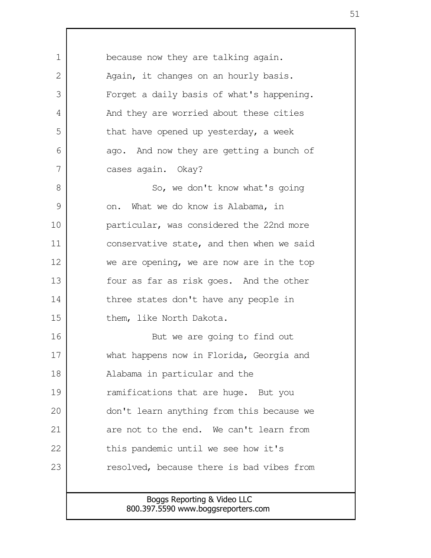because now they are talking again. Again, it changes on an hourly basis. Forget a daily basis of what's happening. And they are worried about these cities that have opened up yesterday, a week ago. And now they are getting a bunch of cases again. Okay? So, we don't know what's going on. What we do know is Alabama, in particular, was considered the 22nd more conservative state, and then when we said we are opening, we are now are in the top four as far as risk goes. And the other three states don't have any people in them, like North Dakota. But we are going to find out what happens now in Florida, Georgia and Alabama in particular and the ramifications that are huge. But you don't learn anything from this because we are not to the end. We can't learn from this pandemic until we see how it's resolved, because there is bad vibes from 1  $\mathcal{L}$  3 4 5 6 7 8 9 10 11 12 13 14 15 16 17 18 19 20 21 22 23

> Boggs Reporting & Video LLC 800.397.5590 www.boggsreporters.com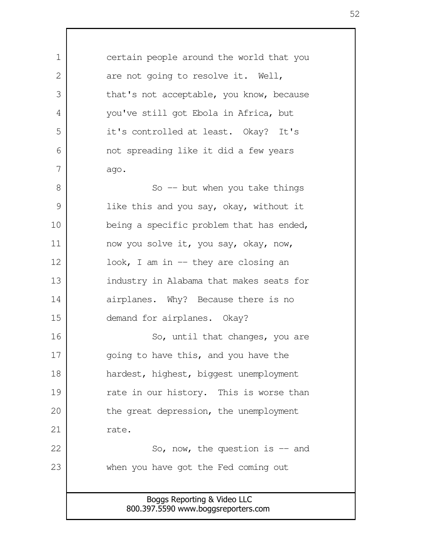Boggs Reporting & Video LLC 800.397.5590 www.boggsreporters.com certain people around the world that you are not going to resolve it. Well, that's not acceptable, you know, because you've still got Ebola in Africa, but it's controlled at least. Okay? It's not spreading like it did a few years ago. So  $-$  but when you take things like this and you say, okay, without it being a specific problem that has ended, now you solve it, you say, okay, now, look, I am in  $-$  they are closing an industry in Alabama that makes seats for airplanes. Why? Because there is no demand for airplanes. Okay? So, until that changes, you are going to have this, and you have the hardest, highest, biggest unemployment rate in our history. This is worse than the great depression, the unemployment rate. So, now, the question is  $-$  and when you have got the Fed coming out 1 2 3 4 5 6 7 8 9 10 11 12 13 14 15 16 17 18 19 20 21 22 23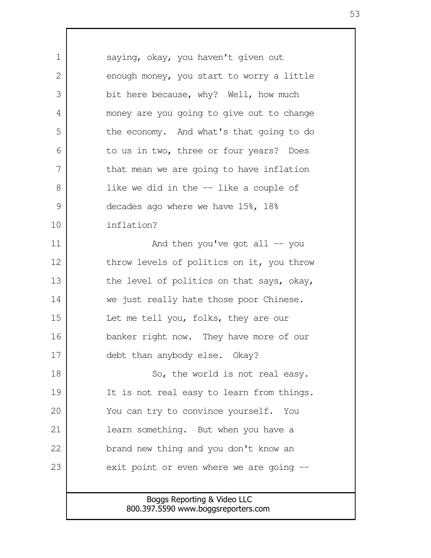Boggs Reporting & Video LLC 800.397.5590 www.boggsreporters.com saying, okay, you haven't given out enough money, you start to worry a little bit here because, why? Well, how much money are you going to give out to change the economy. And what's that going to do to us in two, three or four years? Does that mean we are going to have inflation like we did in the -- like a couple of decades ago where we have 15%, 18% inflation? And then you've got all  $-$  you throw levels of politics on it, you throw the level of politics on that says, okay, we just really hate those poor Chinese. Let me tell you, folks, they are our banker right now. They have more of our debt than anybody else. Okay? So, the world is not real easy. It is not real easy to learn from things. You can try to convince yourself. You learn something. But when you have a brand new thing and you don't know an exit point or even where we are going -- 1  $\mathcal{L}$  3 4 5 6 7 8 9 10 11 12 13 14 15 16 17 18 19 20 21 22 23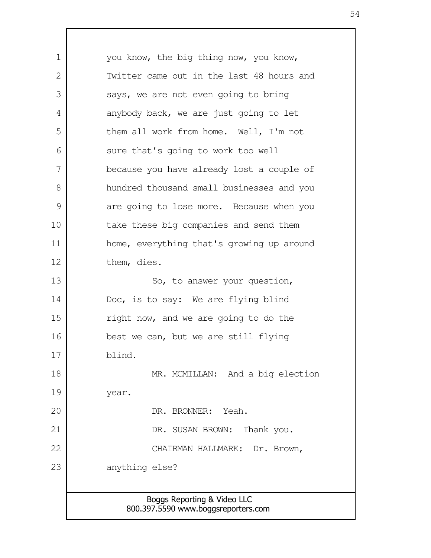Boggs Reporting & Video LLC 800.397.5590 www.boggsreporters.com you know, the big thing now, you know, Twitter came out in the last 48 hours and says, we are not even going to bring anybody back, we are just going to let them all work from home. Well, I'm not sure that's going to work too well because you have already lost a couple of hundred thousand small businesses and you are going to lose more. Because when you take these big companies and send them home, everything that's growing up around them, dies. So, to answer your question, Doc, is to say: We are flying blind right now, and we are going to do the best we can, but we are still flying blind. MR. MCMILLAN: And a big election year. DR. BRONNER: Yeah. DR. SUSAN BROWN: Thank you. CHAIRMAN HALLMARK: Dr. Brown, anything else? 1  $\mathcal{L}$  3 4 5 6 7 8 9 10 11 12 13 14 15 16 17 18 19 20 21 22 23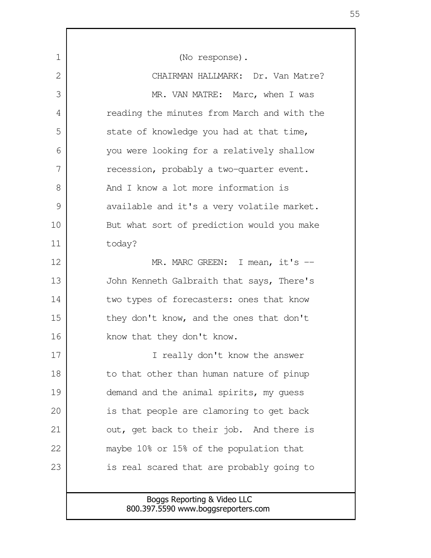Boggs Reporting & Video LLC 800.397.5590 www.boggsreporters.com (No response). CHAIRMAN HALLMARK: Dr. Van Matre? MR. VAN MATRE: Marc, when I was reading the minutes from March and with the state of knowledge you had at that time, you were looking for a relatively shallow recession, probably a two-quarter event. And I know a lot more information is available and it's a very volatile market. But what sort of prediction would you make today? MR. MARC GREEN: I mean, it's --John Kenneth Galbraith that says, There's two types of forecasters: ones that know they don't know, and the ones that don't know that they don't know. I really don't know the answer to that other than human nature of pinup demand and the animal spirits, my guess is that people are clamoring to get back out, get back to their job. And there is maybe 10% or 15% of the population that is real scared that are probably going to 1  $\mathcal{L}$  3 4 5 6 7 8 9 10 11 12 13 14 15 16 17 18 19 20 21 22 23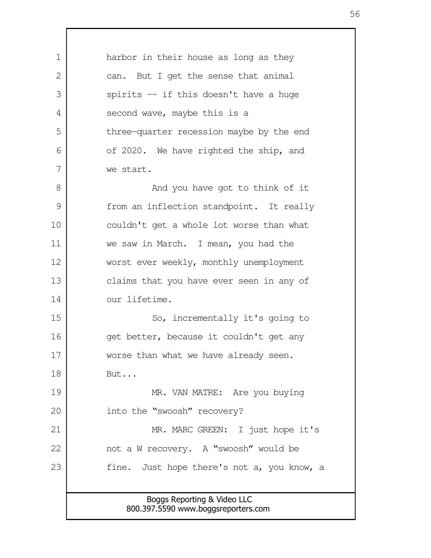| 1  | harbor in their house as long as they      |
|----|--------------------------------------------|
| 2  | can. But I get the sense that animal       |
| 3  | spirits -- if this doesn't have a huge     |
| 4  | second wave, maybe this is a               |
| 5  | three-quarter recession maybe by the end   |
| 6  | of 2020. We have righted the ship, and     |
| 7  | we start.                                  |
| 8  | And you have got to think of it            |
| 9  | from an inflection standpoint. It really   |
| 10 | couldn't get a whole lot worse than what   |
| 11 | we saw in March. I mean, you had the       |
| 12 | worst ever weekly, monthly unemployment    |
| 13 | claims that you have ever seen in any of   |
| 14 | our lifetime.                              |
| 15 | So, incrementally it's going to            |
| 16 | get better, because it couldn't get any    |
| 17 | worse than what we have already seen.      |
| 18 | But                                        |
| 19 | MR. VAN MATRE: Are you buying              |
| 20 | into the "swoosh" recovery?                |
| 21 | MR. MARC GREEN: I just hope it's           |
| 22 | not a W recovery. A "swoosh" would be      |
| 23 | fine. Just hope there's not a, you know, a |
|    |                                            |
|    | Boggs Reporting & Video LLC                |
|    | 800.397.5590 www.boggsreporters.com        |

 $\mathsf{I}$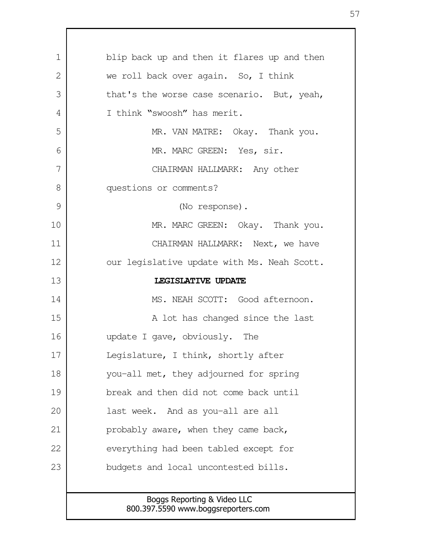| 1            | blip back up and then it flares up and then |
|--------------|---------------------------------------------|
| $\mathbf{2}$ | we roll back over again. So, I think        |
| 3            | that's the worse case scenario. But, yeah,  |
| 4            | I think "swoosh" has merit.                 |
| 5            | MR. VAN MATRE: Okay. Thank you.             |
| 6            | MR. MARC GREEN: Yes, sir.                   |
| 7            | CHAIRMAN HALLMARK: Any other                |
| 8            | questions or comments?                      |
| 9            | (No response).                              |
| 10           | MR. MARC GREEN: Okay. Thank you.            |
| 11           | CHAIRMAN HALLMARK: Next, we have            |
| 12           | our legislative update with Ms. Neah Scott. |
| 13           | LEGISLATIVE UPDATE                          |
| 14           | MS. NEAH SCOTT: Good afternoon.             |
| 15           | A lot has changed since the last            |
| 16           | update I gave, obviously. The               |
| 17           | Legislature, I think, shortly after         |
| 18           | you-all met, they adjourned for spring      |
| 19           | break and then did not come back until      |
| 20           | last week. And as you-all are all           |
| 21           | probably aware, when they came back,        |
| 22           | everything had been tabled except for       |
| 23           | budgets and local uncontested bills.        |
|              |                                             |
|              | Boggs Reporting & Video LLC                 |

 $\Gamma$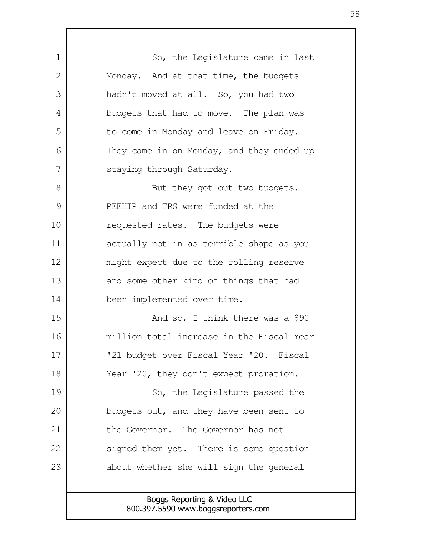Boggs Reporting & Video LLC 800.397.5590 www.boggsreporters.com So, the Legislature came in last Monday. And at that time, the budgets hadn't moved at all. So, you had two budgets that had to move. The plan was to come in Monday and leave on Friday. They came in on Monday, and they ended up staying through Saturday. But they got out two budgets. PEEHIP and TRS were funded at the requested rates. The budgets were actually not in as terrible shape as you might expect due to the rolling reserve and some other kind of things that had been implemented over time. And so, I think there was a \$90 million total increase in the Fiscal Year '21 budget over Fiscal Year '20. Fiscal Year '20, they don't expect proration. So, the Legislature passed the budgets out, and they have been sent to the Governor. The Governor has not signed them yet. There is some question about whether she will sign the general 1  $\mathcal{L}$  3 4 5 6 7 8 9 10 11 12 13 14 15 16 17 18 19 20 21 22 23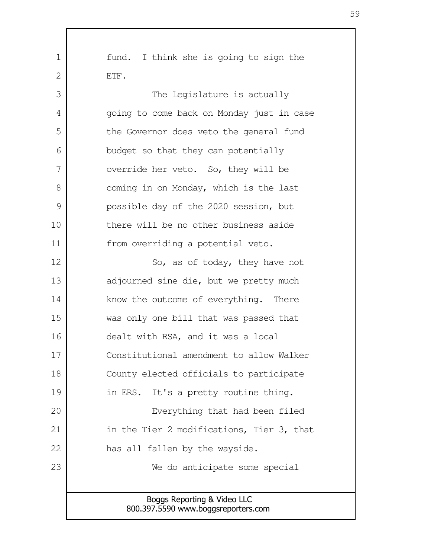Boggs Reporting & Video LLC 800.397.5590 www.boggsreporters.com fund. I think she is going to sign the ETF. The Legislature is actually going to come back on Monday just in case the Governor does veto the general fund budget so that they can potentially override her veto. So, they will be coming in on Monday, which is the last possible day of the 2020 session, but there will be no other business aside from overriding a potential veto. So, as of today, they have not adjourned sine die, but we pretty much know the outcome of everything. There was only one bill that was passed that dealt with RSA, and it was a local Constitutional amendment to allow Walker County elected officials to participate in ERS. It's a pretty routine thing. Everything that had been filed in the Tier 2 modifications, Tier 3, that has all fallen by the wayside. We do anticipate some special 1  $\mathcal{L}$  3 4 5 6 7 8 9 10 11 12 13 14 15 16 17 18 19 20 21 22 23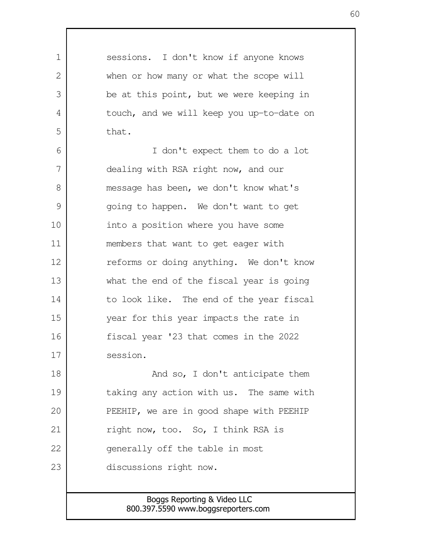sessions. I don't know if anyone knows when or how many or what the scope will be at this point, but we were keeping in touch, and we will keep you up-to-date on that. I don't expect them to do a lot dealing with RSA right now, and our message has been, we don't know what's going to happen. We don't want to get into a position where you have some members that want to get eager with reforms or doing anything. We don't know what the end of the fiscal year is going to look like. The end of the year fiscal year for this year impacts the rate in fiscal year '23 that comes in the 2022 session. And so, I don't anticipate them taking any action with us. The same with PEEHIP, we are in good shape with PEEHIP right now, too. So, I think RSA is generally off the table in most discussions right now. 1  $\mathcal{L}$  3 4 5 6 7 8 9 10 11 12 13 14 15 16 17 18 19 20 21 22 23

> Boggs Reporting & Video LLC 800.397.5590 www.boggsreporters.com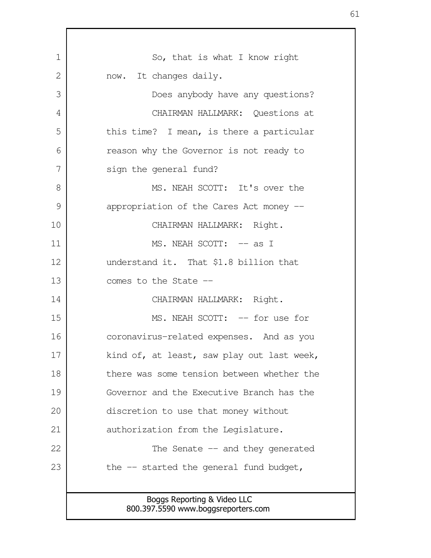Boggs Reporting & Video LLC 800.397.5590 www.boggsreporters.com So, that is what I know right now. It changes daily. Does anybody have any questions? CHAIRMAN HALLMARK: Questions at this time? I mean, is there a particular reason why the Governor is not ready to sign the general fund? MS. NEAH SCOTT: It's over the appropriation of the Cares Act money -- CHAIRMAN HALLMARK: Right. MS. NEAH SCOTT:  $--$  as I understand it. That \$1.8 billion that comes to the State -- CHAIRMAN HALLMARK: Right. MS. NEAH SCOTT:  $-$  for use for coronavirus-related expenses. And as you kind of, at least, saw play out last week, there was some tension between whether the Governor and the Executive Branch has the discretion to use that money without authorization from the Legislature. The Senate  $-$  and they generated the -- started the general fund budget, 1  $\mathcal{L}$  3 4 5 6 7 8 9 10 11 12 13 14 15 16 17 18 19 20 21 22 23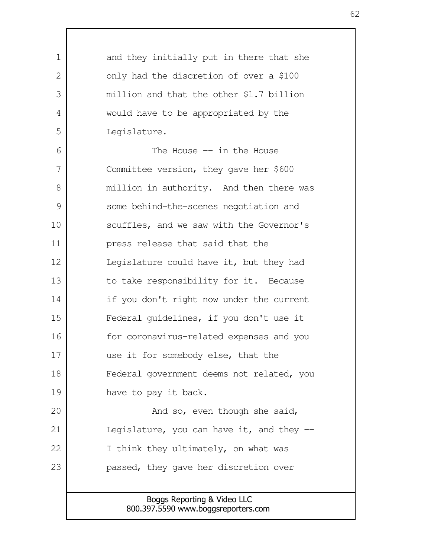Boggs Reporting & Video LLC 800.397.5590 www.boggsreporters.com and they initially put in there that she only had the discretion of over a \$100 million and that the other \$l.7 billion would have to be appropriated by the Legislature. The House  $-$  in the House Committee version, they gave her \$600 million in authority. And then there was some behind-the-scenes negotiation and scuffles, and we saw with the Governor's press release that said that the Legislature could have it, but they had to take responsibility for it. Because if you don't right now under the current Federal guidelines, if you don't use it for coronavirus-related expenses and you use it for somebody else, that the Federal government deems not related, you have to pay it back. And so, even though she said, Legislature, you can have it, and they  $-$ I think they ultimately, on what was passed, they gave her discretion over 1  $\mathcal{L}$  3 4 5 6 7 8 9 10 11 12 13 14 15 16 17 18 19 20 21 22 23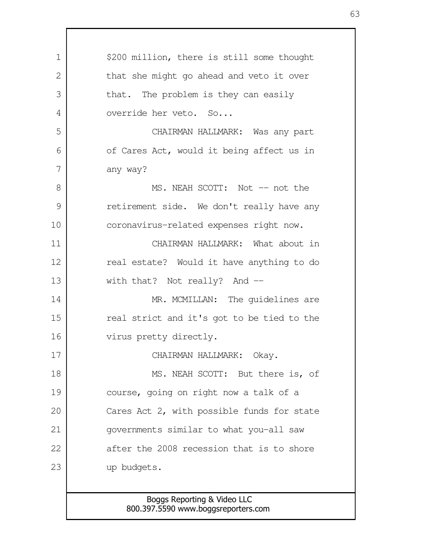Boggs Reporting & Video LLC \$200 million, there is still some thought that she might go ahead and veto it over that. The problem is they can easily override her veto. So... CHAIRMAN HALLMARK: Was any part of Cares Act, would it being affect us in any way? MS. NEAH SCOTT: Not -- not the retirement side. We don't really have any coronavirus-related expenses right now. CHAIRMAN HALLMARK: What about in real estate? Would it have anything to do with that? Not really? And --MR. MCMILLAN: The quidelines are real strict and it's got to be tied to the virus pretty directly. CHAIRMAN HALLMARK: Okay. MS. NEAH SCOTT: But there is, of course, going on right now a talk of a Cares Act 2, with possible funds for state governments similar to what you-all saw after the 2008 recession that is to shore up budgets. 1  $\mathcal{L}$  3 4 5 6 7 8 9 10 11 12 13 14 15 16 17 18 19 20 21 22 23

800.397.5590 www.boggsreporters.com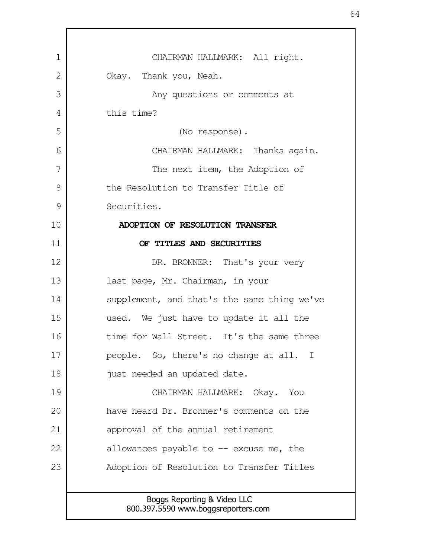| $\mathbf 1$ | CHAIRMAN HALLMARK: All right.                                      |
|-------------|--------------------------------------------------------------------|
| 2           | Okay. Thank you, Neah.                                             |
| 3           | Any questions or comments at                                       |
| 4           | this time?                                                         |
| 5           | (No response).                                                     |
| 6           | CHAIRMAN HALLMARK: Thanks again.                                   |
| 7           | The next item, the Adoption of                                     |
| 8           | the Resolution to Transfer Title of                                |
| 9           | Securities.                                                        |
| 10          | ADOPTION OF RESOLUTION TRANSFER                                    |
| 11          | OF TITLES AND SECURITIES                                           |
| 12          | DR. BRONNER: That's your very                                      |
| 13          | last page, Mr. Chairman, in your                                   |
| 14          | supplement, and that's the same thing we've                        |
| 15          | used. We just have to update it all the                            |
| 16          | time for Wall Street. It's the same three                          |
| 17          | people. So, there's no change at all. I                            |
| 18          | just needed an updated date.                                       |
| 19          | CHAIRMAN HALLMARK: Okay.<br>You                                    |
| 20          | have heard Dr. Bronner's comments on the                           |
| 21          | approval of the annual retirement                                  |
| 22          | allowances payable to $-$ excuse me, the                           |
| 23          | Adoption of Resolution to Transfer Titles                          |
|             |                                                                    |
|             | Boggs Reporting & Video LLC<br>800.397.5590 www.boggsreporters.com |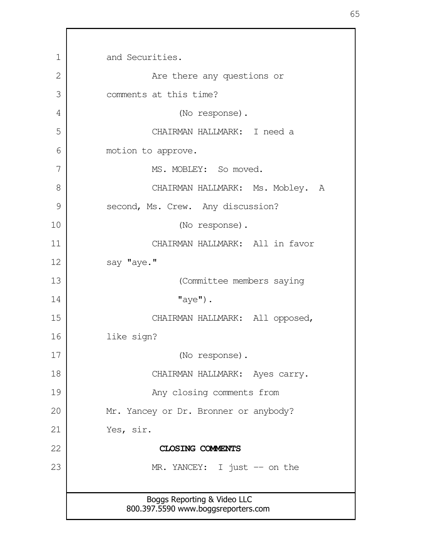Boggs Reporting & Video LLC 800.397.5590 www.boggsreporters.com and Securities. Are there any questions or comments at this time? (No response). CHAIRMAN HALLMARK: I need a motion to approve. MS. MOBLEY: So moved. CHAIRMAN HALLMARK: Ms. Mobley. A second, Ms. Crew. Any discussion? (No response). CHAIRMAN HALLMARK: All in favor say "aye." (Committee members saying  $"$ aye"). CHAIRMAN HALLMARK: All opposed, like sign? (No response). CHAIRMAN HALLMARK: Ayes carry. Any closing comments from Mr. Yancey or Dr. Bronner or anybody? Yes, sir. **CLOSING COMMENTS** MR. YANCEY: I just -- on the 1 2 3 4 5 6 7 8 9 10 11 12 13 14 15 16 17 18 19 20 21 22 23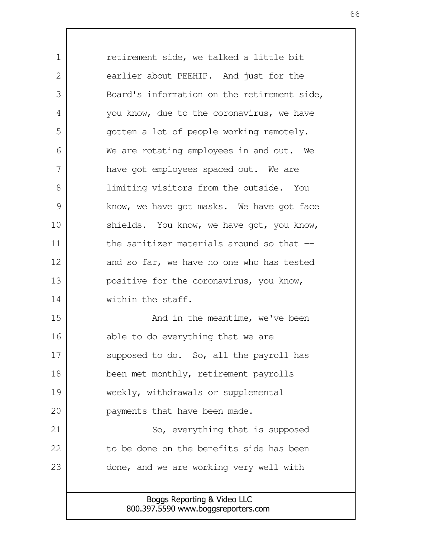Boggs Reporting & Video LLC retirement side, we talked a little bit earlier about PEEHIP. And just for the Board's information on the retirement side, you know, due to the coronavirus, we have gotten a lot of people working remotely. We are rotating employees in and out. We have got employees spaced out. We are limiting visitors from the outside. You know, we have got masks. We have got face shields. You know, we have got, you know, the sanitizer materials around so that -and so far, we have no one who has tested positive for the coronavirus, you know, within the staff. And in the meantime, we've been able to do everything that we are supposed to do. So, all the payroll has been met monthly, retirement payrolls weekly, withdrawals or supplemental payments that have been made. So, everything that is supposed to be done on the benefits side has been done, and we are working very well with 1  $\mathcal{L}$  3 4 5 6 7 8 9 10 11 12 13 14 15 16 17 18 19 20 21 22 23

800.397.5590 www.boggsreporters.com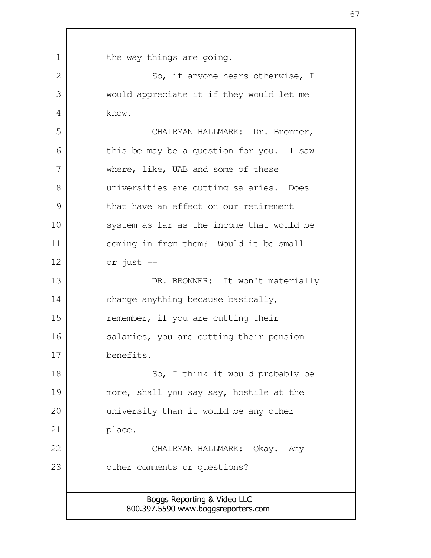| $\mathbf 1$ | the way things are going.                                          |
|-------------|--------------------------------------------------------------------|
| 2           | So, if anyone hears otherwise, I                                   |
| 3           | would appreciate it if they would let me                           |
| 4           | know.                                                              |
| 5           | CHAIRMAN HALLMARK: Dr. Bronner,                                    |
| 6           | this be may be a question for you. I saw                           |
| 7           | where, like, UAB and some of these                                 |
| 8           | universities are cutting salaries. Does                            |
| 9           | that have an effect on our retirement                              |
| 10          | system as far as the income that would be                          |
| 11          | coming in from them? Would it be small                             |
| 12          | or just --                                                         |
| 13          | DR. BRONNER: It won't materially                                   |
| 14          | change anything because basically,                                 |
| 15          | remember, if you are cutting their                                 |
| 16          | salaries, you are cutting their pension                            |
| 17          | benefits.                                                          |
| 18          | So, I think it would probably be                                   |
| 19          | more, shall you say say, hostile at the                            |
| 20          | university than it would be any other                              |
| 21          | place.                                                             |
| 22          | CHAIRMAN HALLMARK:<br>Okay. Any                                    |
| 23          | other comments or questions?                                       |
|             |                                                                    |
|             | Boggs Reporting & Video LLC<br>800.397.5590 www.boggsreporters.com |

Г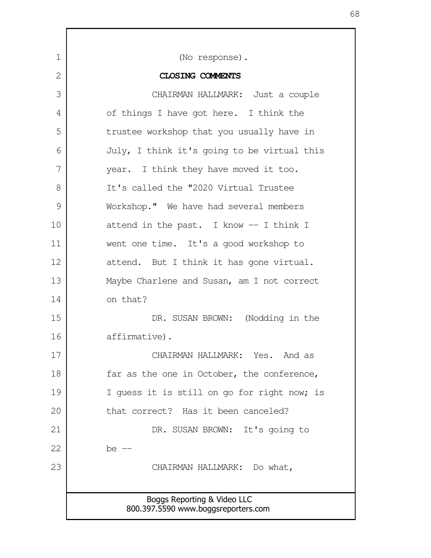| 1             | (No response).                                                     |
|---------------|--------------------------------------------------------------------|
| 2             | <b>CLOSING COMMENTS</b>                                            |
| 3             | CHAIRMAN HALLMARK: Just a couple                                   |
| 4             | of things I have got here. I think the                             |
| 5             | trustee workshop that you usually have in                          |
| 6             | July, I think it's going to be virtual this                        |
| 7             | year. I think they have moved it too.                              |
| 8             | It's called the "2020 Virtual Trustee                              |
| $\mathcal{G}$ | Workshop." We have had several members                             |
| 10            | attend in the past. I know -- I think I                            |
| 11            | went one time. It's a good workshop to                             |
| 12            | attend. But I think it has gone virtual.                           |
| 13            | Maybe Charlene and Susan, am I not correct                         |
| 14            | on that?                                                           |
| 15            | DR. SUSAN BROWN: (Nodding in the                                   |
| 16            | affirmative).                                                      |
| 17            | CHAIRMAN HALLMARK: Yes. And as                                     |
| 18            | far as the one in October, the conference,                         |
| 19            | I quess it is still on go for right now; is                        |
| 20            | that correct? Has it been canceled?                                |
| 21            | DR. SUSAN BROWN: It's going to                                     |
| 22            | be -                                                               |
| 23            | CHAIRMAN HALLMARK: Do what,                                        |
|               |                                                                    |
|               | Boggs Reporting & Video LLC<br>800.397.5590 www.boggsreporters.com |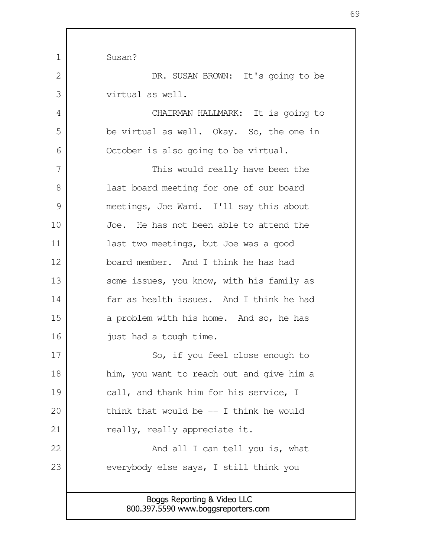| 1<br>Susan?                                                        |  |
|--------------------------------------------------------------------|--|
|                                                                    |  |
|                                                                    |  |
| 2<br>DR. SUSAN BROWN: It's going to be                             |  |
| 3<br>virtual as well.                                              |  |
| CHAIRMAN HALLMARK: It is going to<br>4                             |  |
| 5<br>be virtual as well. Okay. So, the one in                      |  |
| 6<br>October is also going to be virtual.                          |  |
| 7<br>This would really have been the                               |  |
| 8<br>last board meeting for one of our board                       |  |
| 9<br>meetings, Joe Ward. I'll say this about                       |  |
| 10<br>Joe. He has not been able to attend the                      |  |
| 11<br>last two meetings, but Joe was a good                        |  |
| 12<br>board member. And I think he has had                         |  |
| 13<br>some issues, you know, with his family as                    |  |
| far as health issues. And I think he had<br>14                     |  |
| 15<br>a problem with his home. And so, he has                      |  |
| 16<br>just had a tough time.                                       |  |
| So, if you feel close enough to<br>17                              |  |
| 18<br>him, you want to reach out and give him a                    |  |
| 19<br>call, and thank him for his service, I                       |  |
| 20<br>think that would be $-$ I think he would                     |  |
| 21<br>really, really appreciate it.                                |  |
| 22<br>And all I can tell you is, what                              |  |
| 23<br>everybody else says, I still think you                       |  |
|                                                                    |  |
| Boggs Reporting & Video LLC<br>800.397.5590 www.boggsreporters.com |  |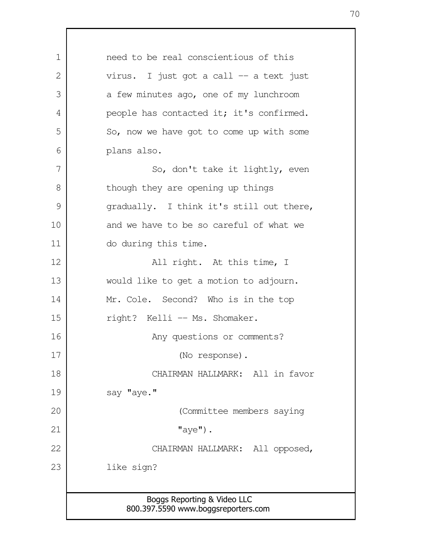Boggs Reporting & Video LLC 800.397.5590 www.boggsreporters.com need to be real conscientious of this virus. I just got a call -- a text just a few minutes ago, one of my lunchroom people has contacted it; it's confirmed. So, now we have got to come up with some plans also. So, don't take it lightly, even though they are opening up things gradually. I think it's still out there, and we have to be so careful of what we do during this time. All right. At this time, I would like to get a motion to adjourn. Mr. Cole. Second? Who is in the top right? Kelli -- Ms. Shomaker. Any questions or comments? (No response). CHAIRMAN HALLMARK: All in favor say "aye." (Committee members saying "aye"). CHAIRMAN HALLMARK: All opposed, like sign? 1 2 3 4 5 6 7 8 9 10 11 12 13 14 15 16 17 18 19 20 21 22 23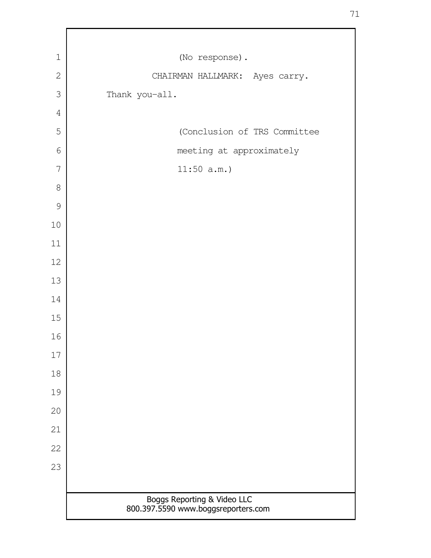| $1\,$          | (No response).                                                     |
|----------------|--------------------------------------------------------------------|
| $\mathbf{2}$   | CHAIRMAN HALLMARK: Ayes carry.                                     |
| 3              | Thank you-all.                                                     |
| $\overline{4}$ |                                                                    |
| 5              | (Conclusion of TRS Committee                                       |
| 6              | meeting at approximately                                           |
| 7              | 11:50 a.m.                                                         |
| 8              |                                                                    |
| 9              |                                                                    |
| $10$           |                                                                    |
| 11             |                                                                    |
| 12             |                                                                    |
| 13             |                                                                    |
| 14             |                                                                    |
| 15             |                                                                    |
| 16             |                                                                    |
| 17             |                                                                    |
| 18             |                                                                    |
| 19             |                                                                    |
| 20             |                                                                    |
| 21             |                                                                    |
| 22             |                                                                    |
| 23             |                                                                    |
|                |                                                                    |
|                | Boggs Reporting & Video LLC<br>800.397.5590 www.boggsreporters.com |

Г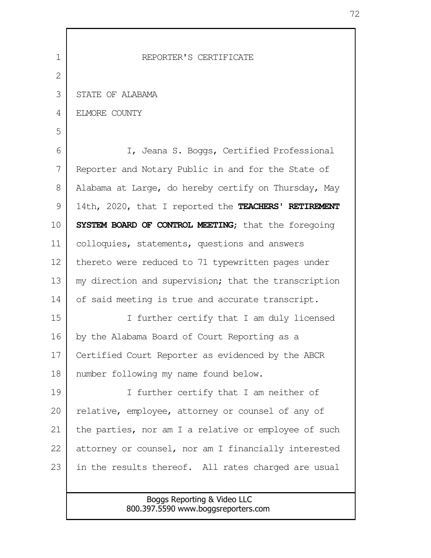| $\mathbf 1$ | REPORTER'S CERTIFICATE                               |
|-------------|------------------------------------------------------|
| 2           |                                                      |
| 3           | STATE OF ALABAMA                                     |
| 4           | ELMORE COUNTY                                        |
| 5           |                                                      |
| 6           | I, Jeana S. Boggs, Certified Professional            |
| 7           | Reporter and Notary Public in and for the State of   |
| 8           | Alabama at Large, do hereby certify on Thursday, May |
| 9           | 14th, 2020, that I reported the TEACHERS' RETIREMENT |
| 10          | SYSTEM BOARD OF CONTROL MEETING; that the foregoing  |
| 11          | colloquies, statements, questions and answers        |
| 12          | thereto were reduced to 71 typewritten pages under   |
| 13          | my direction and supervision; that the transcription |
| 14          | of said meeting is true and accurate transcript.     |
| 15          | I further certify that I am duly licensed            |
| 16          | by the Alabama Board of Court Reporting as a         |
| 17          | Certified Court Reporter as evidenced by the ABCR    |
| 18          | number following my name found below.                |
| 19          | I further certify that I am neither of               |
| 20          | relative, employee, attorney or counsel of any of    |
| 21          | the parties, nor am I a relative or employee of such |
| 22          | attorney or counsel, nor am I financially interested |
| 23          | in the results thereof. All rates charged are usual  |
|             |                                                      |
|             | Boggs Reporting & Video LLC                          |

800.397.5590 www.boggsreporters.com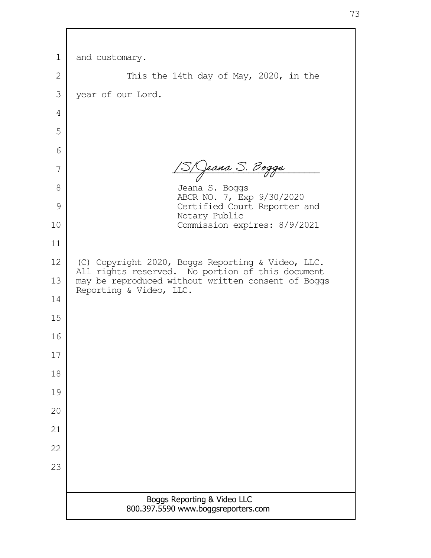| $\mathbf 1$  | and customary.                                                                                        |
|--------------|-------------------------------------------------------------------------------------------------------|
| $\mathbf{2}$ | This the 14th day of May, 2020, in the                                                                |
| 3            | year of our Lord.                                                                                     |
| 4            |                                                                                                       |
| 5            |                                                                                                       |
| 6            |                                                                                                       |
| 7            | 3/Qeana S. Boggs                                                                                      |
| 8            | Jeana S. Boggs                                                                                        |
| 9            | ABCR NO. 7, Exp 9/30/2020<br>Certified Court Reporter and                                             |
| 10           | Notary Public<br>Commission expires: 8/9/2021                                                         |
| 11           |                                                                                                       |
| 12           | (C) Copyright 2020, Boggs Reporting & Video, LLC.<br>All rights reserved. No portion of this document |
| 13           | may be reproduced without written consent of Boggs<br>Reporting & Video, LLC.                         |
| 14           |                                                                                                       |
| 15           |                                                                                                       |
| 16           |                                                                                                       |
| 17           |                                                                                                       |
| 18           |                                                                                                       |
| 19           |                                                                                                       |
| 20           |                                                                                                       |
| 21           |                                                                                                       |
| 22           |                                                                                                       |
| 23           |                                                                                                       |
|              |                                                                                                       |
|              | Boggs Reporting & Video LLC<br>800.397.5590 www.boggsreporters.com                                    |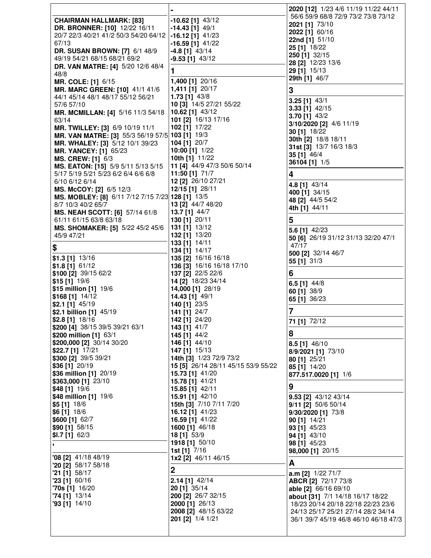|                                                                                    |                                                  | 2020 [12] 1/23 4/6 11/19 11/22 44/11     |
|------------------------------------------------------------------------------------|--------------------------------------------------|------------------------------------------|
| <b>CHAIRMAN HALLMARK: [83]</b>                                                     | $-10.62$ [1] $43/12$                             | 56/6 59/9 68/8 72/9 73/2 73/8 73/12      |
| DR. BRONNER: [10] 12/22 16/11                                                      | $-14.43$ [1] $49/1$                              | 2021 [1] 73/10                           |
| 20/7 22/3 40/21 41/2 50/3 54/20 64/12                                              | $-16.12$ [1] $41/23$                             | 2022 [1] 60/16                           |
| 67/13                                                                              | $-16.59$ [1] $41/22$                             | 22nd [1] 51/10                           |
| <b>DR. SUSAN BROWN: [7] 6/1 48/9</b>                                               | $-4.8$ [1] $43/14$                               | 25 [1] 18/22                             |
| 49/19 54/21 68/15 68/21 69/2                                                       | $-9.53$ [1] $43/12$                              | 250 [1] 32/15                            |
| <b>DR. VAN MATRE: [4] 5/20 12/6 48/4</b>                                           |                                                  | 28 [2] 12/23 13/6                        |
| 48/8                                                                               | 1                                                | 29 [1] 15/13<br><b>29th [1] 46/7</b>     |
| <b>MR. COLE: [1] 6/15</b>                                                          | 1,400 [1] 20/16                                  |                                          |
| MR. MARC GREEN: [10] 41/1 41/6                                                     | 1,411 [1] 20/17                                  | 3                                        |
| 44/1 45/14 48/1 48/17 55/12 56/21                                                  | 1.73 [1] 43/8                                    | $3.25$ [1] $43/1$                        |
| 57/6 57/10                                                                         | 10 [3] 14/5 27/21 55/22                          | 3.33 [1] 42/15                           |
| MR. MCMILLAN: [4] 5/16 11/3 54/18                                                  | 10.62 [1] 43/12                                  | 3.70 $[1]$ 43/2                          |
| 63/14                                                                              | 101 [2] 16/13 17/16                              | 3/10/2020 [2] 4/6 11/19                  |
| MR. TWILLEY: [3] 6/9 10/19 11/1                                                    | 102 [1] 17/22                                    | 30 [1] 18/22                             |
| MR. VAN MATRE: [3] 55/3 56/19 57/5 103 [1] 19/3<br>MR. WHALEY: [3] 5/12 10/1 39/23 | 104 [1] 20/7                                     | 30th [2] 18/8 18/11                      |
| <b>MR. YANCEY: [1] 65/23</b>                                                       | 10:00 [1] 1/22                                   | 31st [3] 13/7 16/3 18/3                  |
| <b>MS. CREW: [1] 6/3</b>                                                           | <b>10th [1]</b> 11/22                            | 35 [1] 46/4                              |
| MS. EATON: [15] 5/9 5/11 5/13 5/15                                                 | 11 [4] 44/9 47/3 50/6 50/14                      | 36104 [1] 1/5                            |
| 5/17 5/19 5/21 5/23 6/2 6/4 6/6 6/8                                                | 11:50 [1] 71/7                                   | 4                                        |
| 6/10 6/12 6/14                                                                     | 12 [2] 26/10 27/21                               |                                          |
| MS. McCOY: [2] 6/5 12/3                                                            | 12/15 [1] 28/11                                  | 4.8 [1] 43/14                            |
| MS. MOBLEY: [8] 6/11 7/12 7/15 7/23 128 [1] 13/5                                   |                                                  | 400 [1] 34/15<br>48 [2] 44/5 54/2        |
| 8/7 10/3 40/2 65/7                                                                 | 13 [2] 44/7 48/20                                | 4th [1] 44/11                            |
| MS. NEAH SCOTT: [6] 57/14 61/8                                                     | 13.7 [1] 44/7                                    |                                          |
| 61/11 61/15 63/8 63/18                                                             | 130 [1] 20/11                                    | 5                                        |
| MS. SHOMAKER: [5] 5/22 45/2 45/6                                                   | 131 [1] 13/12                                    | <b>5.6 [1]</b> 42/23                     |
| 45/9 47/21                                                                         | 132 [1] 13/20                                    | 50 [6] 26/19 31/12 31/13 32/20 47/1      |
| \$                                                                                 | 133 [1] 14/11                                    | 47/17                                    |
|                                                                                    | 134 [1] 14/17                                    | 500 [2] 32/14 46/7                       |
| $$1.3$ [1] $13/16$<br>$$1.8$ [1] 61/12                                             | 135 [2] 16/16 16/18<br>136 [3] 16/16 16/18 17/10 | 55 [1] 31/3                              |
| \$100 [2] 39/15 62/2                                                               | 137 [2] 22/5 22/6                                | 6                                        |
| $$15$ [1] $19/6$                                                                   | 14 [2] 18/23 34/14                               |                                          |
| \$15 million [1] 19/6                                                              | 14,000 [1] 28/19                                 | 6.5 $[1]$ 44/8                           |
| \$168 [1] 14/12                                                                    | 14.43 [1] 49/1                                   | 60 [1] 38/9<br>65 [1] 36/23              |
| $$2.1$ [1] 45/19                                                                   | 140 [1] 23/5                                     |                                          |
| \$2.1 billion [1] 45/19                                                            | 141 [1] 24/7                                     | 7                                        |
| \$2.8 [1] 18/16                                                                    | 142 [1] 24/20                                    | 71 [1] 72/12                             |
| \$200 [4] 38/15 39/5 39/21 63/1                                                    | 143 [1] 41/7                                     |                                          |
| \$200 million [1] 63/1                                                             | 145 [1] 44/2                                     | 8                                        |
| \$200,000 [2] 30/14 30/20                                                          | 146 [1] 44/10                                    | 8.5 [1] 46/10                            |
| \$22.7 [1] 17/21                                                                   | 147 [1] 15/13                                    | 8/9/2021 [1] 73/10                       |
| \$300 [2] 39/5 39/21                                                               | 14th [3] 1/23 72/9 73/2                          | 80 [1] 25/21                             |
| \$36 [1] 20/19                                                                     | 15 [5] 26/14 28/11 45/15 53/9 55/22              | 85 [1] 14/20                             |
| \$36 million [1] 20/19<br>\$363,000 [1] 23/10                                      | 15.73 [1] 41/20<br>15.78 [1] 41/21               | 877.517.0020 [1] 1/6                     |
| \$48 [1] 19/6                                                                      | 15.85 [1] 42/11                                  | 9                                        |
| \$48 million [1] 19/6                                                              | 15.91 [1] 42/10                                  | <b>9.53 [2]</b> $43/12$ $43/14$          |
| \$5 [1] 18/6                                                                       | <b>15th [3] 7/10 7/11 7/20</b>                   | 9/11 [2] 50/6 50/14                      |
| \$6 [1] 18/6                                                                       | 16.12 [1] 41/23                                  | 9/30/2020 [1] 73/8                       |
| \$600 [1] 62/7                                                                     | 16.59 [1] 41/22                                  | 90 [1] 14/21                             |
| \$90 [1] 58/15                                                                     | 1600 [1] 46/18                                   | 93 [1] 45/23                             |
| $$I.7$ [1] 62/3                                                                    | 18 [1] 53/9                                      | 94 [1] 43/10                             |
|                                                                                    | 1918 [1] 50/10                                   | 98 [1] 45/23                             |
|                                                                                    | 1st [1] 7/16                                     | 98,000 [1] 20/15                         |
| '08 [2] 41/18 48/19                                                                | <b>1x2</b> [2] 46/11 46/15                       | A                                        |
| "20 $[2]$ 58/17 58/18<br>$21$ [1] 58/17                                            | $\mathbf 2$                                      |                                          |
| '23 [1] 60/16                                                                      | $2.14$ [1] 42/14                                 | a.m [2] 1/22 71/7<br>ABCR [2] 72/17 73/8 |
| $70s$ [1] $16/20$                                                                  | 20 [1] 35/14                                     | able [2] 66/16 69/10                     |
| $74$ [1] $13/14$                                                                   | 200 [2] 26/7 32/15                               | about [31] 7/1 14/18 16/17 18/22         |
| $'93$ [1] $14/10$                                                                  | 2000 [1] 26/13                                   | 18/23 20/14 20/18 22/18 22/23 23/6       |
|                                                                                    | 2008 [2] 48/15 63/22                             | 24/13 25/17 25/21 27/14 28/2 34/14       |
|                                                                                    | 201 [2] 1/4 1/21                                 | 36/1 39/7 45/19 46/8 46/10 46/18 47/3    |
|                                                                                    |                                                  |                                          |
|                                                                                    |                                                  |                                          |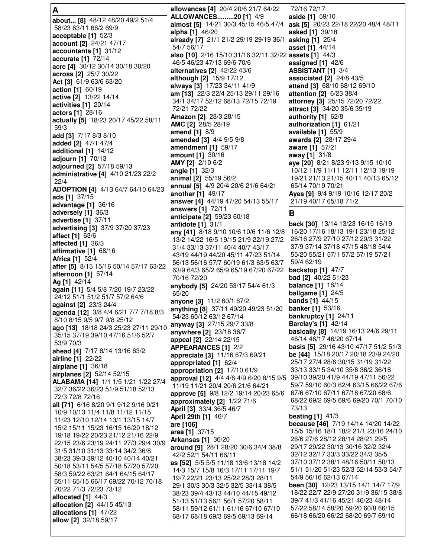| A                                                                      | allowances [4] 20/4 20/6 21/7 64/22                                        | 72/16 72/17                                                                   |
|------------------------------------------------------------------------|----------------------------------------------------------------------------|-------------------------------------------------------------------------------|
| about [8] 48/12 48/20 49/2 51/4                                        | <b>ALLOWANCES20 [1] 4/9</b>                                                | aside [1] 59/10                                                               |
| 58/23 63/11 66/2 69/9                                                  | almost [5] 14/21 30/3 45/15 46/5 47/4 ask [5] 20/23 22/18 22/20 48/4 48/11 |                                                                               |
| acceptable [1] 52/3                                                    | alpha [1] 46/20<br>already [7] 21/1 21/2 29/19 29/19 36/1 asking [1] 25/4  | asked [1] 39/18                                                               |
| account [2] 24/21 47/17                                                | 54/7 56/17                                                                 | asset [1] 44/14                                                               |
| accountants [1] 31/12                                                  | also [10] 2/16 15/10 31/16 32/11 32/22 assets [1] 44/3                     |                                                                               |
| accurate [1] 72/14                                                     | 46/5 46/23 47/13 69/6 70/6                                                 | assigned $[1]$ 42/6                                                           |
| acre [4] 30/12 30/14 30/18 30/20                                       | alternatives [2] 42/22 43/6                                                | ASSISTANT [1] 3/4                                                             |
| across [2] 25/7 30/22<br>Act [3] 61/9 63/6 63/20                       | although [2] 15/9 17/12                                                    | associated [2] 24/8 43/5                                                      |
| <b>action</b> [1] 60/19                                                | <b>always [3]</b> 17/23 34/11 41/9                                         | attend [3] 68/10 68/12 69/10                                                  |
| active [2] 13/22 14/14                                                 | am [13] 22/3 22/4 25/13 29/11 29/16                                        | attention [2] 6/23 38/4                                                       |
| activities [1] 20/14                                                   | 34/1 34/17 52/12 68/13 72/15 72/19                                         | attorney [3] 25/15 72/20 72/22                                                |
| actors [1] 28/16                                                       | 72/21 72/22                                                                | attract [3] 34/20 35/6 35/19                                                  |
| actually [5] 18/23 20/17 45/22 58/11                                   | Amazon [2] 28/3 28/15<br>AMC [2] 28/5 28/19                                | authority [1] 62/8<br>authorization [1] 61/21                                 |
| 59/3                                                                   | amend [1] 8/9                                                              | available $[1]$ 55/9                                                          |
| add [3] 7/17 8/3 8/10                                                  | amended [3] 4/4 9/5 9/8                                                    | awards [2] 28/17 29/4                                                         |
| added [2] 47/1 47/4                                                    | amendment $[1]$ 59/17                                                      | aware [1] 57/21                                                               |
| additional [1] 14/12                                                   | amount [1] 30/16                                                           | away [1] 31/8                                                                 |
| adjourn [1] 70/13<br>adjourned [2] 57/18 59/13                         | AMY [2] 2/10 6/2                                                           | aye [20] 8/21 8/23 9/13 9/15 10/10                                            |
| administrative [4] 4/10 21/23 22/2                                     | <b>angle</b> $[1]$ 32/3                                                    | 10/12 11/9 11/11 12/11 12/13 19/19                                            |
| 22/4                                                                   | animal [2] 55/19 56/2                                                      | 19/21 21/13 21/15 40/11 40/13 65/12                                           |
| <b>ADOPTION [4] 4/13 64/7 64/10 64/23</b>                              | annual [5] 4/9 20/4 20/6 21/6 64/21                                        | 65/14 70/19 70/21                                                             |
| ads [1] 37/15                                                          | <b>another</b> [1] 49/17<br>answer [4] 44/19 47/20 54/13 55/17             | Ayes [9] 9/4 9/19 10/16 12/17 20/2<br>21/19 40/17 65/18 71/2                  |
| <b>advantage</b> [1] 36/16                                             | answers [1] 72/11                                                          |                                                                               |
| adversely $[1]$ 36/3                                                   | anticipate [2] 59/23 60/18                                                 | В                                                                             |
| <b>advertise</b> [1] 37/11                                             | antidote [1] 31/1                                                          | back [30] 13/14 13/23 16/15 16/19                                             |
| advertising [3] 37/9 37/20 37/23                                       | any [41] 8/18 9/10 10/6 10/6 11/6 12/8                                     | 16/20 17/16 18/13 19/1 23/18 25/12                                            |
| <b>affect</b> [1] 63/6<br>affected $[1]$ 36/3                          | 13/2 14/22 16/5 19/15 21/9 22/19 27/2                                      | 26/16 27/9 27/10 27/12 29/3 31/22                                             |
| affirmative [1] 68/16                                                  | 31/4 33/13 37/11 40/4 40/7 43/17                                           | 37/9 37/14 37/18 47/15 48/18 54/4                                             |
| <b>Africa [1] 52/4</b>                                                 | 43/19 44/19 44/20 45/11 47/23 51/14                                        | 55/20 55/21 57/1 57/2 57/19 57/21                                             |
| after [5] 8/15 15/16 50/14 57/17 63/22                                 | 56/13 56/16 57/7 60/19 61/3 63/5 63/7                                      | 59/4 62/19                                                                    |
| afternoon [1] 57/14                                                    | 63/9 64/3 65/2 65/9 65/19 67/20 67/22<br>70/16 72/20                       | <b>backstop</b> [1] 47/7<br><b>bad</b> [2] 40/22 51/23                        |
| Ag [1] 42/14                                                           | anybody [5] 24/20 53/17 54/4 61/3                                          | <b>balance</b> [1] 16/14                                                      |
| again [11] 5/4 5/8 7/20 19/7 23/22                                     | 65/20                                                                      | ballgame $[1]$ 24/5                                                           |
| 24/12 51/1 51/2 51/7 57/2 64/6                                         | anyone [3] 11/2 60/1 67/2                                                  | <b>bands</b> [1] 44/15                                                        |
| against [2] 23/3 24/4                                                  | anything [8] 37/11 49/20 49/23 51/20                                       | <b>banker</b> [1] 53/16                                                       |
| agenda [12] 3/8 4/4 6/21 7/7 7/18 8/3<br>8/10 8/15 9/5 9/7 9/8 25/12   | 54/23 60/12 63/12 67/14                                                    | bankruptcy [1] 24/11                                                          |
| ago [13] 18/18 24/3 25/23 27/11 29/10                                  | anyway [3] 27/15 29/7 33/8                                                 | <b>Barclay's [1] 42/14</b>                                                    |
| 35/15 37/19 39/10 47/16 51/6 52/7                                      | anywhere [2] 23/18 36/7                                                    | basically [8] 14/19 16/13 24/6 29/11                                          |
| 53/9 70/3                                                              | appeal [2] 22/14 22/15                                                     | 46/14 46/17 46/20 67/14<br><b>basis [5]</b> 29/16 43/10 47/17 51/2 51/3       |
| ahead [4] 7/17 8/14 13/16 63/2                                         | <b>APPEARANCES [1] 2/2</b><br>appreciate [3] 11/16 67/3 69/21              | <b>be [44]</b> 15/18 20/17 20/18 23/9 24/20                                   |
| airline [1] 22/22                                                      | appropriated [1] 62/4                                                      | 25/17 27/4 28/6 30/15 31/19 31/22                                             |
| airplane [1] 36/18                                                     | appropriation [2] 17/10 61/9                                               | 33/13 33/15 34/10 35/6 36/2 36/18                                             |
| airplanes [2] 52/14 52/15<br>ALABAMA [14] 1/1 1/5 1/21 1/22 27/4       | approval [12] 4/4 4/6 4/9 6/20 8/15 9/5                                    | 39/10 39/20 41/9 44/19 47/11 56/22                                            |
| 32/7 36/22 36/23 51/9 51/18 52/13                                      | 11/19 11/21 20/4 20/6 21/6 64/21                                           | 59/7 59/10 60/3 62/4 63/15 66/22 67/6                                         |
| 72/3 72/8 72/16                                                        | approve [5] 9/8 12/2 19/14 20/23 65/6                                      | 67/6 67/10 67/11 67/18 67/20 68/6                                             |
| all [71] 6/16 8/20 9/1 9/12 9/16 9/21                                  | approximately [2] 1/22 71/6                                                | 68/22 69/2 69/5 69/6 69/20 70/1 70/10                                         |
| 10/9 10/13 11/4 11/8 11/12 11/15                                       | April [3] 33/4 36/5 46/7                                                   | 73/13<br>beating $[1]$ 41/3                                                   |
| 11/23 12/10 12/14 13/1 13/15 14/7                                      | April 29th [1] 46/7<br>are [106]                                           | because [46] 7/19 14/14 14/20 14/22                                           |
| 15/2 15/11 15/23 16/15 16/20 18/12                                     | area [1] 37/15                                                             | 15/5 15/16 18/1 18/2 21/1 23/16 24/10                                         |
| 19/18 19/22 20/23 21/12 21/16 22/9                                     | <b>Arkansas [1] 36/20</b>                                                  | 26/6 27/6 28/12 28/14 28/21 29/5                                              |
| 22/15 23/6 23/19 24/11 27/3 29/4 30/9                                  | around [9] 28/1 28/20 30/6 34/4 38/8                                       | 29/17 29/22 30/13 30/16 32/2 32/4                                             |
| 31/5 31/10 31/13 33/14 34/2 36/8<br>38/23 39/3 39/12 40/10 40/14 40/21 | 42/2 52/1 54/11 66/11                                                      | 32/12 32/17 33/3 33/22 34/3 35/5                                              |
| 50/18 53/11 54/5 57/18 57/20 57/20                                     | as [52] 5/5 5/5 11/18 13/6 13/18 14/2                                      | 37/10 37/12 38/1 48/16 50/11 50/13                                            |
| 58/3 59/22 63/21 64/1 64/15 64/17                                      | 14/3 15/7 15/8 16/3 17/11 17/11 19/7                                       | 51/1 51/20 51/23 52/3 52/14 53/3 54/7                                         |
| 65/11 65/15 66/17 69/22 70/12 70/18                                    | 19/7 22/21 23/13 25/22 28/3 28/11                                          | 54/9 56/16 62/13 67/14                                                        |
| 70/22 71/3 72/23 73/12                                                 | 29/1 30/3 30/3 32/5 32/5 33/14 38/5<br>38/23 39/4 43/13 44/10 44/15 49/12  | been [30] 12/23 13/15 14/1 14/7 17/9<br>18/22 22/7 22/9 27/20 31/9 36/15 38/8 |
| allocated [1] 44/3                                                     | 51/13 51/13 56/1 56/1 57/20 58/11                                          | 39/7 41/3 41/16 45/21 46/23 48/14                                             |
| allocation [2] 44/15 45/13                                             | 58/11 59/12 61/11 61/16 67/10 67/10                                        | 57/22 58/14 58/20 59/20 60/8 66/15                                            |
| allocations [1] 47/22                                                  | 68/17 68/18 69/3 69/5 69/13 69/14                                          | 66/18 66/20 66/22 68/20 69/7 69/10                                            |
| allow [2] 32/18 59/17                                                  |                                                                            |                                                                               |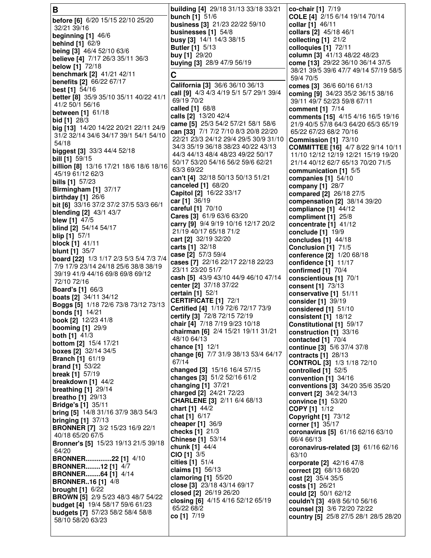**B before [6]** 6/20 15/15 22/10 25/20 32/21 39/16 **beginning [1]** 46/6 **behind [1]** 62/9 **being [3]** 46/4 52/10 63/6 **believe [4]** 7/17 26/3 35/11 36/3 **below [1]** 72/18 **benchmark [2]** 41/21 42/11 **benefits [2]** 66/22 67/17 **best [1]** 54/16 **better [8]** 35/9 35/10 35/11 40/22 41/1 41/2 50/1 56/16 **between [1]** 61/18 **bid [1]** 28/3 **big [13]** 14/20 14/22 20/21 22/11 24/9 31/2 32/14 34/6 34/17 39/1 54/1 54/10 54/18 **biggest [3]** 33/3 44/4 52/18 **bill [1]** 59/15 **billion [8]** 13/16 17/21 18/6 18/6 18/16 45/19 61/12 62/3 **bills [1]** 57/23 **Birmingham [1]** 37/17 **birthday [1]** 26/6 **bit [6]** 33/16 37/2 37/2 37/5 53/3 66/1 **blending [2]** 43/1 43/7 **blew [1]** 47/5 **blind [2]** 54/14 54/17 **blip [1]** 57/1 **block [1]** 41/11 **blunt [1]** 35/7 **board [22]** 1/3 1/17 2/3 5/3 5/4 7/3 7/4 7/9 17/9 23/14 24/18 25/6 38/8 38/19 39/19 41/9 44/16 69/8 69/8 69/12 72/10 72/16 **Board's [1]** 66/3 **boats [2]** 34/11 34/12 **Boggs [5]** 1/18 72/6 73/8 73/12 73/13 **bonds [1]** 14/21 **book [2]** 12/23 41/8 **booming [1]** 29/9 **both [1]** 41/3 **bottom [2]** 15/4 17/21 **boxes [2]** 32/14 34/5 **Branch [1]** 61/19 **brand [1]** 53/22 **break [1]** 57/19 **breakdown [1]** 44/2 **breathing [1]** 29/14 **breatho [1]** 29/13 **Bridge's [1]** 35/11 **bring [5]** 14/8 31/16 37/9 38/3 54/3 **bringing [1]** 37/13 **BRONNER [7]** 3/2 15/23 16/9 22/1 40/18 65/20 67/5 **Bronner's [5]** 15/23 19/13 21/5 39/18 64/20 **BRONNER..............22 [1]** 4/10 **BRONNER........12 [1]** 4/7 **BRONNER........64 [1]** 4/14 **BRONNER..16 [1]** 4/8 **brought [1]** 6/22 **BROWN [5]** 2/9 5/23 48/3 48/7 54/22 **budget [4]** 19/4 58/17 59/6 61/23 **budgets [7]** 57/23 58/2 58/4 58/8 58/10 58/20 63/23 **building [4]** 29/18 31/13 33/18 33/21 **bunch [1]** 51/6 **business [3]** 21/23 22/22 59/10 **businesses [1]** 54/8 **busy [3]** 14/1 14/3 38/15 **Butler [1]** 5/13 **buy [1]** 29/20 **buying [3]** 28/9 47/9 56/19 **C California [3]** 36/6 36/10 36/13 **call [9]** 4/3 4/3 4/19 5/1 5/7 29/1 39/4 69/19 70/2 **called [1]** 68/8 **calls [2]** 13/20 42/4 **came [5]** 25/3 54/2 57/21 58/1 58/6 **can [33]** 7/1 7/2 7/10 8/3 20/8 22/20 22/21 23/3 24/12 29/4 29/5 30/9 31/10 34/3 35/19 36/18 38/23 40/22 43/13 44/3 44/13 48/4 48/23 49/22 50/17 50/17 53/20 54/16 56/2 59/6 62/21 63/3 69/22 **can't [4]** 32/18 50/13 50/13 51/21 **canceled [1]** 68/20 **Capitol [2]** 16/22 33/17 **car [1]** 36/19 **careful [1]** 70/10 **Cares [3]** 61/9 63/6 63/20 **carry [9]** 9/4 9/19 10/16 12/17 20/2 21/19 40/17 65/18 71/2 **cart [2]** 32/19 32/20 **carts [1]** 32/18 **case [2]** 57/3 59/4 **cases [7]** 22/16 22/17 22/18 22/23 23/11 23/20 51/7 **cash [5]** 43/9 43/10 44/9 46/10 47/14 **center [2]** 37/18 37/22 **certain [1]** 52/1 **CERTIFICATE [1]** 72/1 **Certified [4]** 1/19 72/6 72/17 73/9 **certify [3]** 72/8 72/15 72/19 **chair [4]** 7/18 7/19 9/23 10/18 **chairman [6]** 2/4 15/21 19/11 31/21 48/10 64/13 **chance [1]** 12/1 **change [6]** 7/7 31/9 38/13 53/4 64/17 67/14 **changed [3]** 15/16 16/4 57/15 **changes [3]** 51/2 52/16 61/2 **changing [1]** 37/21 **charged [2]** 24/21 72/23 **CHARLENE [3]** 2/11 6/4 68/13 **chart [1]** 44/2 **chat [1]** 6/17 **cheaper [1]** 36/9 **checks [1]** 21/3 **Chinese [1]** 53/14 **chunk [1]** 44/4 **CIO [1]** 3/5 **cities [1]** 51/4 **claims [1]** 56/13 **clamoring [1]** 55/20 **close [3]** 23/18 43/14 69/17 **closed [2]** 26/19 26/20 **closing [6]** 4/15 4/16 52/12 65/19 65/22 68/2 **co [1]** 7/19 **co-chair [1]** 7/19 **COLE [4]** 2/15 6/14 19/14 70/14 **collar [1]** 46/11 **collars [2]** 45/18 46/1 **collecting [1]** 21/2 **colloquies [1]** 72/11 **column [3]** 41/13 48/22 48/23 **come [13]** 29/22 36/10 36/14 37/5 38/21 39/5 39/6 47/7 49/14 57/19 58/5 59/4 70/5 **comes [3]** 36/6 60/16 61/13 **coming [9]** 34/23 35/2 36/15 38/16 39/11 49/7 52/23 59/8 67/11 **comment [1]** 7/14 **comments [15]** 4/15 4/16 16/5 19/16 21/9 40/5 57/8 64/3 64/20 65/3 65/19 65/22 67/23 68/2 70/16 **Commission [1]** 73/10 **COMMITTEE [16]** 4/7 8/22 9/14 10/11 11/10 12/12 12/19 12/21 15/19 19/20 21/14 40/12 62/7 65/13 70/20 71/5 **communication [1]** 5/5 **companies [1]** 54/10 **company [1]** 28/7 **compared [2]** 26/18 27/5 **compensation [2]** 38/14 39/20 **compliance [1]** 44/12 **compliment [1]** 25/8 **concentrate [1]** 41/12 **conclude [1]** 19/9 **concludes [1]** 44/18 **Conclusion [1]** 71/5 **conference [2]** 1/20 68/18 **confidence [1]** 11/17 **confirmed [1]** 70/4 **conscientious [1]** 70/1 **consent [1]** 73/13 **conservative [1]** 51/11 **consider [1]** 39/19 **considered [1]** 51/10 **consistent [1]** 18/12 **Constitutional [1]** 59/17 **construction [1]** 33/16 **contacted [1]** 70/4 **continue [3]** 5/6 37/4 37/8 **contracts [1]** 28/13 **CONTROL [3]** 1/3 1/18 72/10 **controlled [1]** 52/5 **convention [1]** 34/16 **conventions [3]** 34/20 35/6 35/20 **convert [2]** 34/2 34/13 **convince [1]** 53/20 **COPY [1]** 1/12 **Copyright [1]** 73/12 **corner [1]** 35/17 **coronavirus [5]** 61/16 62/16 63/10 66/4 66/13 **coronavirus-related [3]** 61/16 62/16 63/10 **corporate [2]** 42/16 47/8 **correct [2]** 68/13 68/20 **cost [2]** 35/4 35/5 **costs [1]** 26/21 **could [2]** 50/1 62/12 **couldn't [3]** 49/8 56/10 56/16 **counsel [3]** 3/6 72/20 72/22 **country [5]** 25/8 27/5 28/1 28/5 28/20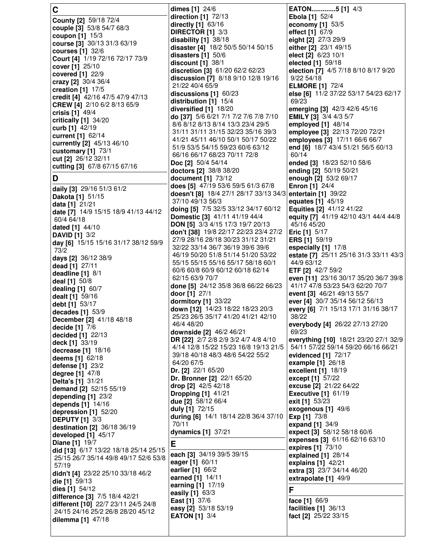**C County [2]** 59/18 72/4 **couple [3]** 53/8 54/7 68/3 **coupon [1]** 15/3 **course [3]** 30/13 31/3 63/19 **courses [1]** 32/6 **Court [4]** 1/19 72/16 72/17 73/9 **cover [1]** 25/10 **covered [1]** 22/9 **crazy [2]** 30/4 36/4 **creation [1]** 17/5 **credit [4]** 42/16 47/5 47/9 47/13 **CREW [4]** 2/10 6/2 8/13 65/9 **crisis [1]** 49/4 **critically [1]** 34/20 **curb [1]** 42/19 **current [1]** 62/14 **currently [2]** 45/13 46/10 **customary [1]** 73/1 **cut [2]** 26/12 32/11 **cutting [3]** 67/8 67/15 67/16 **D daily [3]** 29/16 51/3 61/2 **Dakota [1]** 51/15 **data [1]** 21/21 **date [7]** 14/9 15/15 18/9 41/13 44/12 60/4 64/18 **dated [1]** 44/10 **DAVID [1]** 3/2 **day [6]** 15/15 15/16 31/17 38/12 59/9 73/2 **days [2]** 36/12 38/9 **dead [1]** 27/11 **deadline [1]** 8/1 **deal [1]** 50/8 **dealing [1]** 60/7 **dealt [1]** 59/16 **debt [1]** 53/17 **decades [1]** 53/9 **December [2]** 41/18 48/18 **decide [1]** 7/6 **decided [1]** 22/13 **deck [1]** 33/19 **decrease [1]** 18/16 **deems [1]** 62/18 **defense [1]** 23/2 **degree [1]** 47/8 **Delta's [1]** 31/21 **demand [2]** 52/15 55/19 **depending [1]** 23/2 **depends [1]** 14/16 **depression [1]** 52/20 **DEPUTY [1]** 3/3 **destination [2]** 36/18 36/19 **developed [1]** 45/17 **Diane [1]** 19/7 **did [13]** 6/17 13/22 18/18 25/14 25/15 25/15 26/7 35/14 49/8 49/17 52/6 53/8 57/19 **didn't [4]** 23/22 25/10 33/18 46/2 **die [1]** 59/13 **dies [1]** 54/12 **difference [3]** 7/5 18/4 42/21 **different [10]** 22/7 23/11 24/5 24/8 24/15 24/16 25/2 26/8 28/20 45/12 **dilemma [1]** 47/18

**dimes [1]** 24/6 **direction [1]** 72/13 **directly [1]** 63/16 **DIRECTOR [1]** 3/3 **disability [1]** 38/18 **disaster [4]** 18/2 50/5 50/14 50/15 **disasters [1]** 50/6 **discount [1]** 38/1 **discretion [3]** 61/20 62/2 62/23 **discussion [7]** 8/18 9/10 12/8 19/16 21/22 40/4 65/9 **discussions [1]** 60/23 **distribution [1]** 15/4 **diversified [1]** 18/20 **do [37]** 5/6 6/21 7/1 7/2 7/6 7/8 7/10 8/6 8/12 8/13 8/14 13/3 23/4 29/5 31/11 31/11 31/15 32/23 35/16 39/3 41/21 45/11 46/10 50/1 50/17 50/22 51/9 53/5 54/15 59/23 60/6 63/12 66/16 66/17 68/23 70/11 72/8 **Doc [2]** 50/4 54/14 **doctors [2]** 38/8 38/20 **document [1]** 73/12 **does [5]** 47/19 53/6 59/5 61/3 67/8 **doesn't [8]** 18/4 27/1 28/17 33/13 34/3 37/10 49/13 56/3 **doing [5]** 7/5 32/5 33/12 34/17 60/12 **Domestic [3]** 41/11 41/19 44/4 **DON [5]** 3/3 4/15 17/3 19/7 20/13 **don't [38]** 19/8 22/17 22/23 23/4 27/2 27/9 28/16 28/18 30/23 31/12 31/21 32/22 33/14 36/7 36/19 39/6 39/6 46/19 50/20 51/8 51/14 51/20 53/22 55/15 55/15 55/16 55/17 58/18 60/1 60/6 60/8 60/9 60/12 60/18 62/14 62/15 63/9 70/7 **done [5]** 24/12 35/8 36/8 66/22 66/23 **door [1]** 27/1 **dormitory [1]** 33/22 **down [12]** 14/23 18/22 18/23 20/3 25/23 26/5 35/17 41/20 41/21 42/10 46/4 48/20 **downside [2]** 46/2 46/21 **DR [22]** 2/7 2/8 2/9 3/2 4/7 4/8 4/10 4/14 12/8 15/22 15/23 16/8 19/13 21/5 39/18 40/18 48/3 48/6 54/22 55/2 64/20 67/5 **Dr. [2]** 22/1 65/20 **Dr. Bronner [2]** 22/1 65/20 **drop [2]** 42/5 42/18 **Dropping [1]** 41/21 **due [2]** 58/12 66/4 **duly [1]** 72/15 **during [6]** 14/1 18/14 22/8 36/4 37/10 70/11 **dynamics [1]** 37/21 **E each [3]** 34/19 39/5 39/15 **eager [1]** 60/11 **earlier [1]** 66/2 **earned [1]** 14/11 **earning [1]** 17/19 **easily [1]** 63/3 **East [1]** 37/6 **easy [2]** 53/18 53/19 **EATON [1]** 3/4

**EATON.............5 [1]** 4/3 **Ebola [1]** 52/4 **economy [1]** 53/5 **effect [1]** 67/9 **eight [2]** 27/3 29/9 **either [2]** 23/1 49/15 **elect [2]** 6/23 10/1 **elected [1]** 59/18 **election [7]** 4/5 7/18 8/10 8/17 9/20 9/22 54/18 **ELMORE [1]** 72/4 **else [6]** 11/2 37/22 53/17 54/23 62/17 69/23 **emerging [3]** 42/3 42/6 45/16 **EMILY [3]** 3/4 4/3 5/7 **employed [1]** 48/14 **employee [3]** 22/13 72/20 72/21 **employees [3]** 17/11 66/6 66/7 **end [6]** 18/7 43/4 51/21 56/5 60/13 60/14 **ended [3]** 18/23 52/10 58/6 **ending [2]** 50/19 50/21 **enough [2]** 53/2 69/17 **Enron [1]** 24/4 **entertain [1]** 39/22 **equates [1]** 45/19 **Equities [2]** 41/12 41/22 **equity [7]** 41/19 42/10 43/1 44/4 44/8 45/16 45/20 **Eric [1]** 5/17 **ERS [1]** 59/19 **especially [1]** 17/8 **estate [7]** 25/11 25/16 31/3 33/11 43/3 44/9 63/12 **ETF [2]** 42/7 59/2 **even [11]** 23/16 30/17 35/20 36/7 39/8 41/17 47/8 53/23 54/3 62/20 70/7 **event [3]** 46/21 49/13 55/7 **ever [4]** 30/7 35/14 56/12 56/13 **every [6]** 7/1 15/13 17/1 31/16 38/17 38/22 **everybody [4]** 26/22 27/13 27/20 69/23 **everything [10]** 18/21 23/20 27/1 32/9 54/11 57/22 59/14 59/20 66/16 66/21 **evidenced [1]** 72/17 **example [1]** 26/18 **excellent [1]** 18/19 **except [1]** 57/22 **excuse [2]** 21/22 64/22 **Executive [1]** 61/19 **exit [1]** 53/23 **exogenous [1]** 49/6 **Exp [1]** 73/8 **expand [1]** 34/9 **expect [3]** 58/12 58/18 60/6 **expenses [3]** 61/16 62/16 63/10 **expires [1]** 73/10 **explained [1]** 28/14 **explains [1]** 42/21 **extra [3]** 23/7 34/14 46/20 **extrapolate [1]** 49/9 **F face [1]** 66/9 **facilities [1]** 36/13 **fact [2]** 25/22 33/15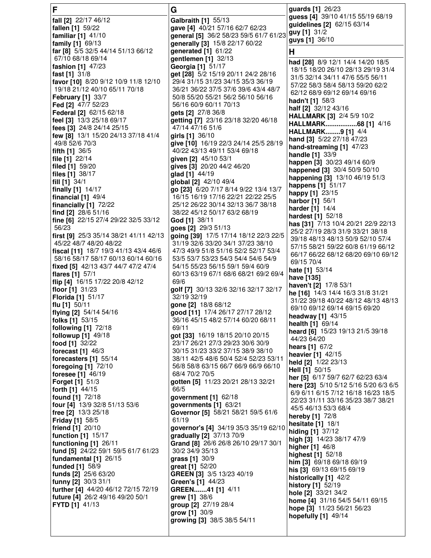| F                                                         | G                                                                    | guards [1] 26/23                                                          |
|-----------------------------------------------------------|----------------------------------------------------------------------|---------------------------------------------------------------------------|
| fall [2] 22/17 46/12                                      | Galbraith [1] 55/13                                                  | guess [4] 39/10 41/15 55/19 68/19                                         |
| fallen [1] 59/22                                          | gave [4] 40/21 57/16 62/7 62/23                                      | guidelines [2] 62/15 63/14                                                |
| familiar $[1]$ 41/10                                      | general [5] 36/2 58/23 59/5 61/7 61/23                               | guy [1] 31/2                                                              |
| family [1] 69/13                                          | generally [3] 15/8 22/17 60/22                                       | guys [1] 36/10                                                            |
| far [8] 5/5 32/5 44/14 51/13 66/12                        | generated [1] 61/22                                                  | н                                                                         |
| 67/10 68/18 69/14                                         | gentlemen [1] 32/13                                                  | had [28] 8/9 12/1 14/4 14/20 18/5                                         |
| fashion [1] 47/23                                         | Georgia [1] 51/17                                                    | 18/15 18/20 26/10 28/13 29/19 31/4                                        |
| fast $[1]$ 31/8                                           | get [28] 5/2 15/19 20/11 24/2 28/16                                  | 31/5 32/14 34/11 47/6 55/5 56/11                                          |
| favor [10] 8/20 9/12 10/9 11/8 12/10                      | 29/4 31/15 31/23 34/15 35/3 36/19                                    | 57/22 58/3 58/4 58/13 59/20 62/2                                          |
| 19/18 21/12 40/10 65/11 70/18                             | 36/21 36/22 37/5 37/6 39/6 43/4 48/7                                 | 62/12 68/9 69/12 69/14 69/16                                              |
| <b>February [1] 33/7</b>                                  | 50/8 55/20 55/21 56/2 56/10 56/16                                    | hadn't [1] 58/3                                                           |
| Fed [2] 47/7 52/23                                        | 56/16 60/9 60/11 70/13                                               | half [2] 32/12 43/16                                                      |
| <b>Federal [2] 62/15 62/18</b>                            | gets [2] 27/8 36/8                                                   | <b>HALLMARK [3] 2/4 5/9 10/2</b>                                          |
| feel [3] 13/3 25/18 69/17                                 | getting [7] 23/16 23/18 32/20 46/18                                  | HALLMARK68 [1] 4/16                                                       |
| fees [3] 24/8 24/14 25/15                                 | 47/14 47/16 51/6                                                     | HALLMARK9 [1] 4/4                                                         |
| few [8] 13/1 15/20 24/13 37/18 41/4                       | girls [1] 36/10                                                      | hand [3] 5/22 27/18 47/23                                                 |
| 49/8 52/6 70/3                                            | give [10] 16/19 22/3 24/14 25/5 28/19                                | hand-streaming [1] 47/23                                                  |
| <b>fifth [1]</b> $36/5$                                   | 40/22 43/13 49/11 53/4 69/18                                         | handle [1] 33/9                                                           |
| file $[1]$ 22/14                                          | given [2] 45/10 53/1                                                 | happen [3] 30/23 49/14 60/9                                               |
| filed [1] 59/20                                           | gives [3] 20/20 44/2 46/20                                           | happened [3] 30/4 50/9 50/10                                              |
| files $[1]$ 38/17<br>fill $[1]$ 34/1                      | glad [1] 44/19<br>global [2] 42/10 49/4                              | happening [3] 13/10 46/19 51/3                                            |
| finally $[1]$ 14/17                                       | go [23] 6/20 7/17 8/14 9/22 13/4 13/7                                | happens [1] 51/17                                                         |
| financial $[1]$ 49/4                                      | 16/15 16/19 17/16 22/21 22/22 25/5                                   | happy [1] 23/15                                                           |
| financially $[1]$ 72/22                                   | 25/12 26/22 30/14 32/13 36/7 38/18                                   | harbor [1] 56/1                                                           |
| find [2] 28/6 51/16                                       | 38/22 45/12 50/17 63/2 68/19                                         | <b>harder</b> [1] 14/4                                                    |
| fine [6] 22/15 27/4 29/22 32/5 33/12                      | God [1] 38/11                                                        | <b>hardest</b> [1] 52/18                                                  |
| 56/23                                                     | goes [2] 29/3 51/13                                                  | has [31] 7/13 10/4 20/21 22/9 22/13                                       |
| first [9] 25/3 35/14 38/21 41/11 42/13                    | going [39] 17/5 17/14 18/12 22/3 22/5                                | 25/2 27/19 28/3 31/9 33/21 38/18                                          |
| 45/22 48/7 48/20 48/22                                    | 31/19 32/6 33/20 34/1 37/23 38/10                                    | 39/18 48/13 48/13 50/9 52/10 57/4                                         |
| fiscal [11] 18/7 19/3 41/13 43/4 46/6                     | 47/3 49/9 51/8 51/16 52/2 52/17 53/4                                 | 57/15 58/21 59/22 60/8 61/19 66/12<br>66/17 66/22 68/12 68/20 69/10 69/12 |
| 58/16 58/17 58/17 60/13 60/14 60/16                       | 53/5 53/7 53/23 54/3 54/4 54/6 54/9                                  | 69/15 70/4                                                                |
| fixed [5] 42/13 43/7 44/7 47/2 47/4                       | 54/15 55/23 56/15 59/1 59/4 60/9                                     |                                                                           |
| flares [1] 57/1                                           | 60/13 63/19 67/1 68/6 68/21 69/2 69/4                                | <b>hate [1]</b> $53/14$<br>have [135]                                     |
| flip [4] 16/15 17/22 20/8 42/12                           | 69/6                                                                 | haven't [2] 17/8 53/1                                                     |
| floor $[1]$ 31/23                                         | golf [7] 30/13 32/6 32/16 32/17 32/17                                | he [16] 14/3 14/4 16/3 31/8 31/21                                         |
| <b>Florida</b> [1] 51/17                                  | 32/19 32/19                                                          | 31/22 39/18 40/22 48/12 48/13 48/13                                       |
| flu [1] $50/11$                                           | gone [2] 18/8 68/12                                                  | 69/10 69/12 69/14 69/15 69/20                                             |
| flying [2] 54/14 54/16                                    | good [11] 17/4 26/17 27/17 28/12                                     | headway [1] 43/15                                                         |
| folks [1] 53/15                                           | 36/16 45/15 48/2 57/14 60/20 68/11                                   | health [1] 69/14                                                          |
| following [1] 72/18                                       | 69/11                                                                | heard [6] 15/23 19/13 21/5 39/18                                          |
| followup [1] 49/18<br>food [1] 32/22                      | got [33] 16/19 18/15 20/10 20/15<br>23/17 26/21 27/3 29/23 30/6 30/9 | 44/23 64/20                                                               |
| forecast [1] 46/3                                         | 30/15 31/23 33/2 37/15 38/9 38/10                                    | hears [1] 67/2                                                            |
| forecasters [1] 55/14                                     | 38/11 42/5 48/6 50/4 52/4 52/23 53/11                                | heavier [1] 42/15                                                         |
| foregoing $[1]$ 72/10                                     | 56/8 58/8 63/15 66/7 66/9 66/9 66/10                                 | held [2] 1/22 23/13                                                       |
| <b>foresee</b> $[1]$ 46/19                                | 68/4 70/2 70/5                                                       | Hell [1] 50/15                                                            |
| <b>Forget [1] 51/3</b>                                    | gotten [5] 11/23 20/21 28/13 32/21                                   | her [5] 6/17 59/7 62/7 62/23 63/4                                         |
| forth [1] 44/15                                           | 66/5                                                                 | here [23] 5/10 5/12 5/16 5/20 6/3 6/5                                     |
| found [1] 72/18                                           | government $[1]$ 62/18                                               | 6/9 6/11 6/15 7/12 16/18 16/23 18/5                                       |
| four [4] 13/9 32/8 51/13 53/6                             | governments [1] 63/21                                                | 22/23 31/11 33/16 35/23 38/7 38/21                                        |
| free [2] 13/3 25/18                                       | Governor [5] 58/21 58/21 59/5 61/6                                   | 45/5 46/13 53/3 68/4                                                      |
| <b>Friday [1] 58/5</b>                                    | 61/19                                                                | hereby [1] 72/8<br>hesitate [1] 18/1                                      |
| friend [1] 20/10                                          | governor's [4] 34/19 35/3 35/19 62/10                                | hiding [1] 37/12                                                          |
| function [1] 15/17                                        | gradually [2] 37/13 70/9                                             | high [3] 14/23 38/17 47/9                                                 |
| functioning [1] 26/11                                     | Grand [8] 26/6 26/8 26/10 29/17 30/1                                 | <b>higher</b> [1] 46/8                                                    |
| fund [5] 24/22 59/1 59/5 61/7 61/23                       | 30/2 34/9 35/13                                                      | highest [1] 52/18                                                         |
| fundamental [1] 26/15                                     | grass [1] 30/9                                                       | him [3] 69/18 69/18 69/19                                                 |
| funded [1] 58/9                                           | great [1] 52/20                                                      | his [3] 69/13 69/15 69/19                                                 |
| funds [2] 25/6 63/20                                      | GREEN [3] 3/5 13/23 40/19                                            | historically [1] 42/2                                                     |
| funny [2] 30/3 31/1                                       | Green's [1] 44/23                                                    | history [1] 52/19                                                         |
| further [4] 44/20 46/12 72/15 72/19                       | GREEN41 [1] 4/11                                                     | hole [2] 33/21 34/2                                                       |
| future [4] 26/2 49/16 49/20 50/1<br><b>FYTD</b> [1] 41/13 | grew [1] 38/6<br>group [2] 27/19 28/4                                | home [4] 31/16 54/5 54/11 69/15                                           |
|                                                           | grow [1] 30/9                                                        | hope [3] 11/23 56/21 56/23                                                |
|                                                           | growing [3] 38/5 38/5 54/11                                          | hopefully [1] 49/14                                                       |
|                                                           |                                                                      |                                                                           |
|                                                           |                                                                      |                                                                           |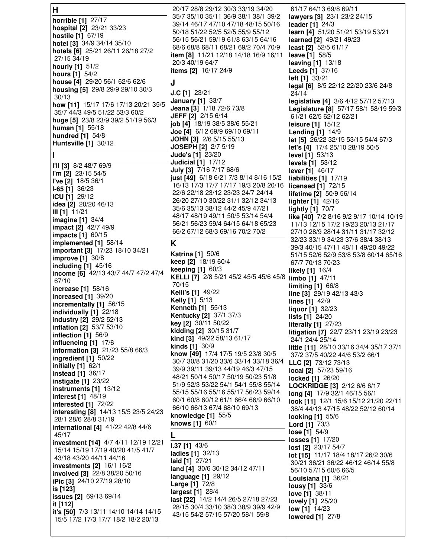| H                                                 | 20/17 28/8 29/12 30/3 33/19 34/20                                               | 61/17 64/13 69/8 69/11                                                      |
|---------------------------------------------------|---------------------------------------------------------------------------------|-----------------------------------------------------------------------------|
| horrible [1] 27/17                                | 35/7 35/10 35/11 36/9 38/1 38/1 39/2                                            | lawyers [3] 23/1 23/2 24/15                                                 |
| hospital [2] 23/21 33/23                          | 39/14 46/17 47/10 47/18 48/15 50/16                                             | leader [1] 24/3                                                             |
| hostile [1] 67/19                                 | 50/18 51/22 52/5 52/5 55/9 55/12<br>56/15 56/21 59/19 61/8 63/15 64/16          | learn [4] 51/20 51/21 53/19 53/21<br>learned [2] 49/21 49/23                |
| hotel [3] 34/9 34/14 35/10                        | 68/6 68/8 68/11 68/21 69/2 70/4 70/9                                            | least [2] 52/5 61/17                                                        |
| hotels [6] 25/21 26/11 26/18 27/2                 | item [8] 11/21 12/18 14/18 16/9 16/11                                           | leave [1] 58/5                                                              |
| 27/15 34/19                                       | 20/3 40/19 64/7                                                                 | <b>leaving [1] 13/18</b>                                                    |
| hourly [1] 51/2<br><b>hours</b> [1] $54/2$        | items [2] 16/17 24/9                                                            | Leeds [1] 37/16                                                             |
| house [4] 29/20 56/1 62/6 62/6                    | J                                                                               | left [1] 33/21                                                              |
| housing [5] 29/8 29/9 29/10 30/3                  |                                                                                 | legal [6] 8/5 22/12 22/20 23/6 24/8                                         |
| 30/13                                             | J.C [1] 23/21                                                                   | 24/14                                                                       |
| how [11] 15/17 17/6 17/13 20/21 35/5              | <b>January [1] 33/7</b><br>Jeana [3] 1/18 72/6 73/8                             | legislative [4] 3/6 4/12 57/12 57/13                                        |
| 35/7 44/3 49/5 51/22 53/3 60/2                    | <b>JEFF</b> [2] 2/15 6/14                                                       | Legislature [8] 57/17 58/1 58/19 59/3<br>61/21 62/5 62/12 62/21             |
| huge [5] 23/8 23/9 39/2 51/19 56/3                | job [4] 18/19 38/5 38/6 55/21                                                   | leisure $[1]$ 15/12                                                         |
| <b>human</b> $[1]$ 55/18                          | Joe [4] 6/12 69/9 69/10 69/11                                                   | <b>Lending [1] 14/9</b>                                                     |
| hundred [1] 54/8                                  | JOHN [3] 2/6 5/15 55/13                                                         | let [5] 26/22 32/15 53/15 54/4 67/3                                         |
| Huntsville [1] 30/12                              | JOSEPH [2] 2/7 5/19                                                             | let's [4] 17/4 25/10 28/19 50/5                                             |
|                                                   | <b>Jude's [1] 23/20</b>                                                         | <b>level [1]</b> 53/13                                                      |
| <b>I'II [3]</b> 8/2 48/7 69/9                     | <b>Judicial [1] 17/12</b>                                                       | levels [1] 53/12                                                            |
| $\Gamma$ m [2] 23/15 54/5                         | <b>July [3]</b> 7/16 7/17 68/6                                                  | lever $[1]$ 46/17                                                           |
| l've [2] 18/5 36/1                                | just [49] 6/18 6/21 7/3 8/14 8/16 15/2<br>16/13 17/3 17/7 17/17 19/3 20/8 20/16 | liabilities [1] 17/19<br>licensed [1] 72/15                                 |
| $ I-65$ [1] 36/23                                 | 22/6 22/18 23/12 23/23 24/7 24/14                                               | lifetime [2] 50/9 56/14                                                     |
| ICU [1] 29/12                                     | 26/20 27/10 30/22 31/1 32/12 34/13                                              | lighter [1] 42/16                                                           |
| idea [2] 20/20 46/13                              | 35/6 35/13 38/12 44/2 45/9 47/21                                                | <b>lightly [1] 70/7</b>                                                     |
| III [1]  11/21<br><b>imagine [1]</b> 34/4         | 48/17 48/19 49/11 50/5 53/14 54/4                                               | like [40] 7/2 8/16 9/2 9/17 10/14 10/19                                     |
| impact [2] 42/7 49/9                              | 56/21 56/23 59/4 64/15 64/18 65/23                                              | 11/13 12/15 17/2 19/23 20/13 21/17                                          |
| <b>impacts [1] 60/15</b>                          | 66/2 67/12 68/3 69/16 70/2 70/2                                                 | 27/10 28/9 28/14 31/11 31/17 32/12                                          |
| implemented [1] 58/14                             | K                                                                               | 32/23 33/19 34/23 37/6 38/4 38/13                                           |
| important [3] 17/23 18/10 34/21                   | <b>Katrina [1] 50/6</b>                                                         | 39/3 40/15 47/11 48/11 49/20 49/22                                          |
| <b>improve [1] 30/8</b>                           | keep [2] 18/19 60/4                                                             | 51/15 52/6 52/9 53/8 53/8 60/14 65/16<br>67/7 70/13 70/23                   |
| including $[1]$ 45/16                             | keeping [1] 60/3                                                                | likely [1] 16/4                                                             |
| income [6] 42/13 43/7 44/7 47/2 47/4<br>67/10     | KELLI [7] 2/8 5/21 45/2 45/5 45/6 45/8   limbo [1] 47/11                        |                                                                             |
| <b>increase</b> [1] 58/16                         | 70/15                                                                           | limiting $[1]$ 66/8                                                         |
| $ $ increased [1] $39/20$                         | <b>Kelli's [1] 49/22</b>                                                        | line [3] 29/19 42/13 43/3                                                   |
|                                                   |                                                                                 |                                                                             |
|                                                   | <b>Kelly</b> [1] 5/13                                                           | lines $[1]$ 42/9                                                            |
| incrementally [1] 56/15<br>individually [1] 22/18 | <b>Kenneth [1] 55/13</b>                                                        | liquor [1] 32/23                                                            |
| industry [2] 29/2 52/13                           | Kentucky [2] 37/1 37/3                                                          | lists [1] 24/20                                                             |
| inflation [2] 53/7 53/10                          | key [2] 30/11 50/22                                                             | <b>literally [1] 27/23</b>                                                  |
| inflection [1] 56/9                               | kidding [2] 30/15 31/7<br>kind [3] 49/22 58/13 61/17                            | litigation [7] 22/7 23/11 23/19 23/23<br>24/1 24/4 25/14                    |
| influencing [1] 17/6                              | kinds [1] 30/9                                                                  | little [11] 28/10 33/16 34/4 35/17 37/1                                     |
| information [3] 21/23 55/8 66/3                   | know [49] 17/4 17/5 19/5 23/8 30/5                                              | 37/2 37/5 40/22 44/6 53/2 66/1                                              |
| ingredient [1] 50/22                              | 30/7 30/8 31/20 33/6 33/14 33/18 36/4                                           | LLC [2] 73/12 73/13                                                         |
| initially [1] 62/1<br><b>instead</b> [1] 36/17    | 39/9 39/11 39/13 44/19 46/3 47/15                                               | local [2] 57/23 59/16                                                       |
| instigate [1] 23/22                               | 48/21 50/14 50/17 50/19 50/23 51/8                                              | locked [1] 26/20                                                            |
| instruments [1] 13/12                             | 51/9 52/3 53/22 54/1 54/1 55/8 55/14<br>55/15 55/16 55/16 55/17 56/23 59/14     | LOCKRIDGE [3] 2/12 6/6 6/17                                                 |
| interest [1] 48/19                                | 60/1 60/8 60/12 61/1 66/4 66/9 66/10                                            | long [4] 17/9 32/1 46/15 56/1                                               |
| interested [1] 72/22                              | 66/10 66/13 67/4 68/10 69/13                                                    | look [11] 12/1 15/6 15/12 21/20 22/11<br>38/4 44/13 47/15 48/22 52/12 60/14 |
| interesting [8] 14/13 15/5 23/5 24/23             | knowledge $[1]$ 55/5                                                            | <b>looking [1] 55/6</b>                                                     |
| 28/1 28/6 28/8 31/19                              | knows [1] 60/1                                                                  | <b>Lord</b> [1] 73/3                                                        |
| international [4] 41/22 42/8 44/6<br>45/17        | L                                                                               | lose $[1]$ 54/9                                                             |
| investment [14] 4/7 4/11 12/19 12/21              |                                                                                 | losses [1] 17/20                                                            |
| 15/14 15/19 17/19 40/20 41/5 41/7                 | $1.37$ [1] $43/6$<br>ladies [1] 32/13                                           | lost [2] 23/17 54/7                                                         |
| 43/18 43/20 44/11 44/16                           | laid [1] 27/21                                                                  | lot [15] 11/17 18/4 18/17 26/2 30/6                                         |
| <b>investments [2] 16/1 16/2</b>                  | land [4] 30/6 30/12 34/12 47/11                                                 | 30/21 36/21 36/22 46/12 46/14 55/8<br>56/10 57/15 60/6 66/5                 |
| involved [3] 22/8 38/20 50/16                     | language [1] 29/12                                                              | Louisiana [1] 36/21                                                         |
| iPic [3] 24/10 27/19 28/10                        | Large [1] 72/8                                                                  | <b>lousy</b> [1] 33/6                                                       |
| is [123]<br><b>issues [2]</b> 69/13 69/14         | largest [1] 28/4                                                                | love [1] 38/11                                                              |
| it [112]                                          | last [22] 14/2 14/4 26/5 27/18 27/23                                            | <b>lovely</b> [1] 25/20                                                     |
| it's [50] 7/3 13/11 14/10 14/14 14/15             | 28/15 30/4 33/10 38/3 38/9 39/9 42/9<br>43/15 54/2 57/15 57/20 58/1 59/8        | low [1] 14/23                                                               |
| 15/5 17/2 17/3 17/7 18/2 18/2 20/13               |                                                                                 | <b>lowered</b> [1] 27/8                                                     |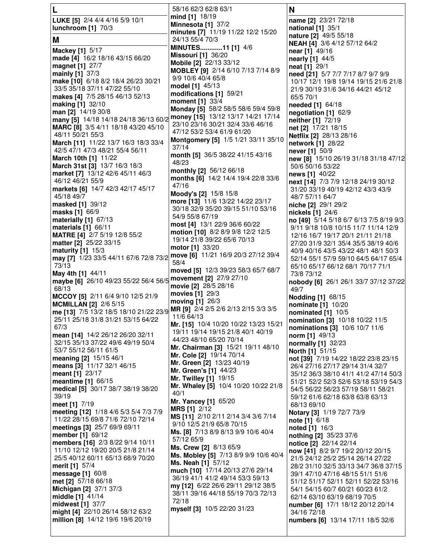|                                                                          | 58/16 62/3 62/8 63/1                                                   | N                                                                      |
|--------------------------------------------------------------------------|------------------------------------------------------------------------|------------------------------------------------------------------------|
| LUKE [5] 2/4 4/4 4/16 5/9 10/1                                           | mind [1] 18/19                                                         | name [2] 23/21 72/18                                                   |
| lunchroom [1] 70/3                                                       | Minnesota [1] 37/2                                                     | national [1] 35/1                                                      |
| Μ                                                                        | minutes [7] 11/19 11/22 12/2 15/20<br>24/13 55/4 70/3                  | nature [2] 49/5 55/18                                                  |
|                                                                          | MINUTES11 [1] 4/6                                                      | <b>NEAH [4]</b> 3/6 4/12 57/12 64/2                                    |
| <b>Mackey [1] 5/17</b>                                                   | <b>Missouri [1] 36/20</b>                                              | near [1] 49/16                                                         |
| made [4] 16/2 18/16 43/15 66/20                                          | Mobile [2] 22/13 33/12                                                 | nearly [1] 44/5                                                        |
| magnet [1] 27/7<br>mainly [1] 37/3                                       | MOBLEY [9] 2/14 6/10 7/13 7/14 8/9                                     | neat [1] 29/1<br>need [21] 5/7 7/7 7/17 8/7 9/7 9/9                    |
| make [10] 6/18 8/2 18/4 26/23 30/21                                      | 9/9 10/6 40/4 65/8                                                     | 10/17 12/1 19/8 19/14 19/15 21/6 21/8                                  |
| 33/5 35/18 37/11 47/22 55/10                                             | model [1] 45/13                                                        | 21/9 30/19 31/6 34/16 44/21 45/12                                      |
| makes [4] 7/5 28/15 46/13 52/13                                          | modifications [1] 59/21                                                | 65/5 70/1                                                              |
| making [1] 32/10                                                         | moment [1] 33/4<br>Monday [5] 58/2 58/5 58/6 59/4 59/8                 | needed [1] 64/18                                                       |
| man [2] 14/19 30/8                                                       |                                                                        | negotiation [1] 62/9                                                   |
| many [5] 14/18 14/18 24/18 36/13 60/2 money [15] 13/12 13/17 14/21 17/14 | 23/10 23/16 30/21 32/4 33/6 46/16                                      | neither [1] 72/19                                                      |
| MARC [8] 3/5 4/11 18/18 43/20 45/10<br>48/11 50/21 55/3                  | 47/12 53/2 53/4 61/9 61/20                                             | net [2] 17/21 18/15                                                    |
| March [11] 11/22 13/7 16/3 18/3 33/4                                     | Montgomery [5] 1/5 1/21 33/11 35/10                                    | Netflix [2] 28/13 28/16<br>network [1] 28/22                           |
| 42/5 47/1 47/3 48/21 55/4 56/11                                          | 37/14                                                                  | never [1] 50/9                                                         |
| March 10th [1] 11/22                                                     | month [5] 36/5 38/22 41/15 43/16                                       | new [8] 15/10 26/19 31/18 31/18 47/12                                  |
| March 31st [3] 13/7 16/3 18/3                                            | 48/23                                                                  | 50/6 50/16 53/22                                                       |
| market [7] 13/12 42/6 45/11 46/3                                         | monthly [2] 56/12 66/18<br>months [6] 14/2 14/4 19/4 22/8 33/6         | news [1] 40/22                                                         |
| 46/12 46/21 55/9                                                         | 47/16                                                                  | next [14] 7/3 7/9 12/18 24/19 30/12                                    |
| markets [6] 14/7 42/3 42/17 45/17                                        | Moody's [2] 15/8 15/8                                                  | 31/20 33/19 40/19 42/12 43/3 43/9                                      |
| 45/18 49/7<br>masked [1] 39/12                                           | more [13] 11/6 13/22 14/22 23/17                                       | 48/7 57/11 64/7                                                        |
| masks [1] 66/9                                                           | 30/18 32/9 35/20 39/15 51/10 53/16                                     | niche [2] 29/1 29/2<br>nickels [1] 24/6                                |
| materially [1] 67/13                                                     | 54/9 55/8 67/19                                                        | no [49] 5/14 5/18 6/7 6/13 7/5 8/19 9/3                                |
| materials [1] 66/11                                                      | most [4] 13/1 22/9 36/6 60/22                                          | 9/11 9/18 10/8 10/15 11/7 11/14 12/9                                   |
| MATRE [4] 2/7 5/19 12/8 55/2                                             | motion [10] 8/2 8/9 9/8 12/2 12/5                                      | 12/16 16/7 19/17 20/1 21/11 21/18                                      |
| matter [2] 25/22 33/15                                                   | 19/14 21/8 39/22 65/6 70/13<br>motor [1] 33/20                         | 27/20 31/9 32/1 35/4 35/5 38/19 40/6                                   |
| maturity $[1]$ 15/3                                                      | move [6] 11/21 16/9 20/3 27/12 39/4                                    | 40/9 40/16 43/5 43/22 48/1 48/1 50/3                                   |
| may [7] 1/23 33/5 44/11 67/6 72/8 73/2<br>73/13                          | 58/4                                                                   | 52/14 55/1 57/9 59/10 64/5 64/17 65/4                                  |
| May 4th [1] 44/11                                                        | moved [5] 12/3 39/23 58/3 65/7 68/7                                    | 65/10 65/17 66/12 68/1 70/17 71/1<br>73/8 73/12                        |
| maybe [6] 26/10 49/23 55/22 56/4 56/5 movement [2] 27/9 27/10            |                                                                        | nobody [6] 26/1 26/1 33/7 37/12 37/22                                  |
| 68/13                                                                    | movie [2] 28/5 28/16                                                   | 49/7                                                                   |
| MCCOY [5] 2/11 6/4 9/10 12/5 21/9                                        | movies [1] 29/3                                                        | <b>Nodding [1] 68/15</b>                                               |
| <b>MCMILLAN [2] 2/6 5/15</b>                                             | moving [1] 26/3<br>MR [9] 2/4 2/5 2/6 2/13 2/15 3/3 3/5                | nominate [1] 10/20                                                     |
| me [13] 7/5 13/2 18/5 18/10 21/22 23/9                                   | 11/6 64/13                                                             | nominated [1] 10/5                                                     |
| 25/11 25/18 31/8 31/21 53/15 64/22<br>67/3                               | Mr. [15] 10/4 10/20 10/22 13/23 15/21                                  | nomination [3] 10/18 10/22 11/5                                        |
| mean [14] 14/2 26/12 26/20 32/11                                         | 19/11 19/14 19/15 21/8 40/1 40/19                                      | nominations [3] 10/6 10/7 11/6<br>norm [1] 49/13                       |
| 32/15 35/13 37/22 49/6 49/19 50/4                                        | 44/23 48/10 65/20 70/14                                                | normally [1] 32/23                                                     |
| 53/7 55/12 56/11 61/5                                                    | Mr. Chairman [3] 15/21 19/11 48/10                                     | <b>North [1] 51/15</b>                                                 |
| meaning [2] 15/15 46/1                                                   | Mr. Cole [2] 19/14 70/14<br>Mr. Green [2] 13/23 40/19                  | not [39] 7/19 14/22 18/22 23/8 23/15                                   |
| means [3] 11/17 32/1 46/15                                               | Mr. Green's [1] 44/23                                                  | 26/4 27/16 27/17 29/14 31/4 32/7                                       |
| meant [1] 23/17                                                          | Mr. Twilley [1] 19/15                                                  | 35/12 36/3 38/10 41/1 41/2 47/14 50/3                                  |
| meantime [1] 66/15<br>medical [5] 30/17 38/7 38/19 38/20                 | Mr. Whaley [5] 10/4 10/20 10/22 21/8                                   | 51/21 52/2 52/3 52/6 53/18 53/19 54/3                                  |
| 39/19                                                                    | 40/1                                                                   | 54/5 56/22 56/23 57/19 58/11 58/21<br>59/12 61/6 62/18 63/8 63/8 63/13 |
| meet [1] 7/19                                                            | Mr. Yancey [1] 65/20                                                   | 68/13 69/10                                                            |
| meeting [12] 1/18 4/6 5/3 5/4 7/3 7/9                                    | <b>MRS [1] 2/12</b>                                                    | Notary [3] 1/19 72/7 73/9                                              |
| 11/22 28/15 69/8 71/6 72/10 72/14                                        | MS [11] 2/10 2/11 2/14 3/4 3/6 7/14                                    | <b>note</b> [1] $6/18$                                                 |
| meetings [3] 25/7 69/9 69/11                                             | 9/10 12/5 21/9 65/8 70/15<br>Ms. [8] 7/13 8/9 8/13 9/9 10/6 40/4       | noted [1] 16/3                                                         |
| member [1] 69/12                                                         | 57/12 65/9                                                             | nothing [2] 35/23 37/6                                                 |
| members [16] 2/3 8/22 9/14 10/11<br>11/10 12/12 19/20 20/5 21/8 21/14    | Ms. Crew [2] 8/13 65/9                                                 | notice [2] 22/14 22/14                                                 |
| 25/5 40/12 60/11 65/13 68/9 70/20                                        | Ms. Mobley [5] 7/13 8/9 9/9 10/6 40/4                                  | now [41] 8/2 9/7 19/2 20/12 20/15<br>21/5 24/12 25/2 25/14 26/14 27/22 |
| merit [1] 57/4                                                           | Ms. Neah [1] 57/12                                                     | 28/2 31/10 32/5 33/13 34/7 36/8 37/15                                  |
| message [1] 60/8                                                         | much [10] 17/14 20/13 27/6 29/14                                       | 39/1 47/10 47/16 48/15 51/1 51/6                                       |
| met [2] 57/18 66/18                                                      | 36/19 41/1 41/2 49/14 53/3 59/13<br>my [12] 6/22 26/6 29/11 29/12 38/5 | 51/12 51/17 52/11 52/11 52/22 53/16                                    |
| Michigan [2] 37/1 37/3                                                   | 38/11 39/16 44/18 55/19 70/3 72/13                                     | 54/1 54/15 60/7 60/21 60/23 61/2                                       |
| middle [1] 41/14                                                         | 72/18                                                                  | 62/14 63/10 63/19 68/19 70/5                                           |
| midwest [1] 37/7<br>might [4] 22/10 26/14 58/12 63/2                     | myself [3] 10/5 22/20 31/23                                            | number [6] 17/1 18/12 20/12 20/14                                      |
| million [8] 14/12 19/6 19/6 20/19                                        |                                                                        | 34/16 72/18<br>numbers [6] 13/14 17/11 18/5 32/6                       |
|                                                                          |                                                                        |                                                                        |
|                                                                          |                                                                        |                                                                        |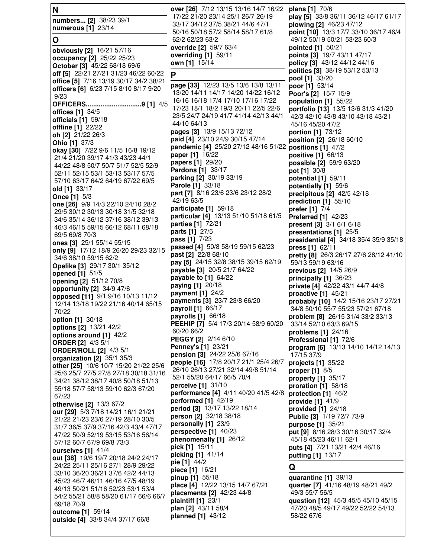| N                                                                       | over [26] 7/12 13/15 13/16 14/7 16/22                                     | plans [1] 70/6                                                         |
|-------------------------------------------------------------------------|---------------------------------------------------------------------------|------------------------------------------------------------------------|
| numbers [2] 38/23 39/1                                                  | 17/22 21/20 23/14 25/1 26/7 26/19                                         | play [5] 33/8 36/11 36/12 46/17 61/17                                  |
| numerous [1] 23/14                                                      | 33/17 34/12 37/5 38/21 44/6 47/1<br>50/16 50/18 57/2 58/14 58/17 61/8     | plowing [2] 46/23 47/12                                                |
| O                                                                       | 62/2 62/23 63/2                                                           | point [10] 13/3 17/7 33/10 36/17 46/4<br>49/12 50/19 50/21 53/23 60/3  |
|                                                                         | override [2] 59/7 63/4                                                    | pointed [1] 50/21                                                      |
| obviously [2] 16/21 57/16                                               | overriding [1] 59/11                                                      | points [3] 19/7 43/11 47/17                                            |
| occupancy [2] 25/22 25/23<br>October [3] 45/22 68/18 69/6               | own [1] 15/14                                                             | policy [3] 43/12 44/12 44/16                                           |
| off [5] 22/21 27/21 31/23 46/22 60/22                                   | P                                                                         | politics [3] 38/19 53/12 53/13                                         |
| office [5] 7/16 13/19 30/17 34/2 38/21                                  |                                                                           | pool [1] 33/20                                                         |
| officers [6] 6/23 7/15 8/10 8/17 9/20                                   | page [33] 12/23 13/5 13/6 13/8 13/11                                      | poor [1] 53/14                                                         |
| 9/23                                                                    | 13/20 14/11 14/17 14/20 14/22 16/12<br>16/16 16/18 17/4 17/10 17/16 17/22 | Poor's [2] 15/7 15/9                                                   |
| OFFICERS9 [1] 4/5                                                       | 17/23 18/1 18/2 19/3 20/11 22/5 22/6                                      | population [1] 55/22<br>portfolio [13] 13/5 13/6 31/3 41/20            |
| offices $[1]$ 34/5                                                      | 23/5 24/7 24/19 41/7 41/14 42/13 44/1                                     | 42/3 42/10 43/8 43/10 43/18 43/21                                      |
| officials [1] 59/18                                                     | 44/10 64/13                                                               | 45/16 45/20 47/2                                                       |
| offline [1] 22/22                                                       | pages [3] 13/9 15/13 72/12                                                | portion [1] 73/12                                                      |
| oh [2] 21/22 26/3<br>Ohio [1] 37/3                                      | paid [4] 23/10 24/9 30/15 47/14                                           | position [2] 26/18 60/10                                               |
| okay [30] 7/22 9/6 11/5 16/8 19/12                                      | pandemic [4] 25/20 27/12 48/16 51/22                                      | positions [1] 47/2                                                     |
| 21/4 21/20 39/17 41/3 43/23 44/1                                        | paper [1] 16/22                                                           | positive [1] 66/13                                                     |
| 44/22 48/8 50/7 50/7 51/7 52/5 52/9                                     | papers [1] 29/20                                                          | possible [2] 59/9 63/20                                                |
| 52/11 52/15 53/1 53/13 53/17 57/5                                       | Pardons [1] 33/17<br>parking [2] 30/19 33/19                              | pot [1] 30/8                                                           |
| 57/10 63/17 64/2 64/19 67/22 69/5                                       | Parole [1] 33/18                                                          | potential [1] 59/11<br>potentially [1] 59/6                            |
| old [1] 33/17                                                           | part [7] 8/16 23/6 23/6 23/12 28/2                                        | precipitous [2] 42/5 42/18                                             |
| <b>Once [1] 5/3</b>                                                     | 42/19 63/5                                                                | prediction [1] 55/10                                                   |
| one [26] 9/9 14/3 22/10 24/10 28/2<br>29/5 30/12 30/13 30/18 31/5 32/18 | participate [1] 59/18                                                     | prefer [1] 7/4                                                         |
| 34/6 35/14 36/12 37/16 38/12 39/13                                      | particular [4] 13/13 51/10 51/18 61/5                                     | <b>Preferred [1] 42/23</b>                                             |
| 46/3 46/15 59/15 66/12 68/11 68/18                                      | parties [1] 72/21                                                         | present [3] 3/1 6/1 6/18                                               |
| 69/5 69/8 70/3                                                          | parts [1] 27/5                                                            | presentations [1] 25/5                                                 |
| ones [3] 25/1 55/14 55/15                                               | <b>pass</b> [1] $7/23$<br>passed [4] 50/8 58/19 59/15 62/23               | presidential [4] 34/18 35/4 35/9 35/18                                 |
| only [9] 17/12 18/9 26/20 29/23 32/15                                   | past [2] 22/8 68/10                                                       | press [1] 62/11<br>pretty [8] 26/3 26/17 27/6 28/12 41/10              |
| 34/6 38/10 59/15 62/2                                                   | pay [5] 24/15 32/8 38/15 39/15 62/19                                      | 59/13 59/19 63/16                                                      |
| Opelika [3] 29/17 30/1 35/12                                            | payable [3] 20/5 21/7 64/22                                               | previous [2] 14/5 26/9                                                 |
| opened [1] 51/5<br>opening [2] 51/12 70/8                               | payable to [1] 64/22                                                      | principally [1] 36/23                                                  |
| opportunity [2] 34/9 47/6                                               | paying [1] 20/18                                                          | private [4] 42/22 43/1 44/7 44/8                                       |
| opposed [11] 9/1 9/16 10/13 11/12                                       | payment [1] 24/2                                                          | proactive $[1]$ 45/21                                                  |
| 12/14 13/18 19/22 21/16 40/14 65/15                                     | payments [3] 23/7 23/8 66/20<br>payroll [1] 66/17                         | probably [10] 14/2 15/16 23/17 27/21                                   |
| 70/22                                                                   | payrolls [1] 66/18                                                        | 34/8 50/10 55/7 55/23 57/21 67/18<br>problem [8] 26/15 31/4 33/2 33/13 |
| option [1] 30/18                                                        | PEEHIP [7] 5/4 17/3 20/14 58/9 60/20                                      | 33/14 52/10 63/3 69/15                                                 |
| options [2] 13/21 42/2                                                  | 60/20 66/2                                                                | problems $[1]$ 24/16                                                   |
| options around [1] 42/2<br><b>ORDER [2] 4/3 5/1</b>                     | PEGGY [2] 2/14 6/10                                                       | Professional [1] 72/6                                                  |
| <b>ORDER/ROLL [2] 4/3 5/1</b>                                           | Penney's [1] 23/21                                                        | program [6] 13/13 14/10 14/12 14/13                                    |
| organization [2] 35/1 35/3                                              | pension [3] 24/22 25/6 67/16                                              | 17/15 37/9                                                             |
| other [25] 10/6 10/7 15/20 21/22 25/6                                   | people [16] 17/8 20/17 21/1 25/4 26/7                                     | projects [1] 35/22                                                     |
| 25/6 25/7 27/5 27/8 27/18 30/18 31/16                                   | 26/10 26/13 27/21 32/14 49/8 51/14<br>52/1 55/20 64/17 66/5 70/4          | <b>proper</b> [1] 8/5                                                  |
| 34/21 38/12 38/17 40/8 50/18 51/13                                      | perceive [1] 31/10                                                        | property [1] 35/17<br>proration [1] 58/18                              |
| 55/18 57/7 58/13 59/10 62/3 67/20                                       | performance [4] 4/11 40/20 41/5 42/8                                      | protection [1] 46/2                                                    |
| 67/23<br>otherwise [2] 13/3 67/2                                        | performed [1] 42/19                                                       | provide [1] 41/9                                                       |
| our [29] 5/3 7/18 14/21 16/1 21/21                                      | period [3] 13/17 13/22 18/14                                              | provided $[1]$ 24/18                                                   |
| 21/22 21/23 23/6 27/19 28/10 30/5                                       | person [2] 32/18 38/18                                                    | <b>Public [3] 1/19 72/7 73/9</b>                                       |
| 31/7 36/5 37/9 37/16 42/3 43/4 47/17                                    | personally [1] 23/9                                                       | purpose [1] 35/21                                                      |
| 47/22 50/9 52/19 53/15 53/16 56/14                                      | perspective [1] 40/23                                                     | put [9] 8/16 28/3 30/16 30/17 32/4                                     |
| 57/12 60/7 67/9 69/8 73/3                                               | phenomenally [1] 26/12<br>pick [1] 15/11                                  | 45/18 45/23 46/11 62/1<br>puts [4] 7/21 13/21 42/4 46/16               |
| ourselves [1] 41/4                                                      | picking [1] 41/14                                                         | putting [1] 13/17                                                      |
| out [38] 19/6 19/7 20/18 24/2 24/17                                     | pie [1] 44/2                                                              |                                                                        |
| 24/22 25/11 25/16 27/1 28/9 29/22<br>33/10 36/20 36/21 37/6 42/2 44/13  | piece [1] 16/21                                                           | Q                                                                      |
| 45/23 46/7 46/11 46/16 47/5 48/19                                       | pinup [1] 55/18                                                           | quarantine [1] 39/13                                                   |
| 49/13 50/21 51/16 52/23 53/1 53/4                                       | place [4] 12/22 13/15 14/7 67/21                                          | quarter [7] 41/16 48/19 48/21 49/2                                     |
| 54/2 55/21 58/8 58/20 61/17 66/6 66/7                                   | placements [2] 42/23 44/8                                                 | 49/3 55/7 56/5<br>question [12] 45/3 45/5 45/10 45/15                  |
| 69/18 70/9                                                              | plaintiff [1] 23/1<br>plan [2] 43/11 58/4                                 | 47/20 48/5 49/17 49/22 52/22 54/13                                     |
| outcome [1] 59/14                                                       | planned [1] 43/12                                                         | 58/22 67/6                                                             |
| outside [4] 33/8 34/4 37/17 66/8                                        |                                                                           |                                                                        |
|                                                                         |                                                                           |                                                                        |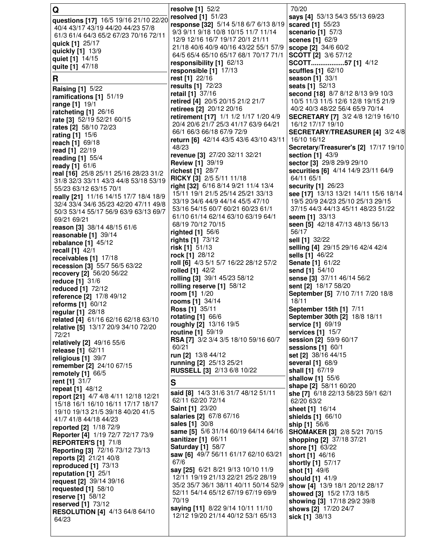| Q                                                                               | resolve [1] 52/2                                                            | 70/20                                                       |
|---------------------------------------------------------------------------------|-----------------------------------------------------------------------------|-------------------------------------------------------------|
| questions [17] 16/5 19/16 21/10 22/20                                           | resolved $[1]$ 51/23                                                        | says [4] 53/13 54/3 55/13 69/23                             |
| 40/4 43/17 43/19 44/20 44/23 57/8                                               | response [32] 5/14 5/18 6/7 6/13 8/19                                       | scared [1] 55/23                                            |
| 61/3 61/4 64/3 65/2 67/23 70/16 72/11                                           | 9/3 9/11 9/18 10/8 10/15 11/7 11/14                                         | scenario [1] 57/3                                           |
| quick [1] 25/17                                                                 | 12/9 12/16 16/7 19/17 20/1 21/11<br>21/18 40/6 40/9 40/16 43/22 55/1 57/9   | scenes [1] 62/9<br>scope [2] 34/6 60/2                      |
| quickly [1] 13/9                                                                | 64/5 65/4 65/10 65/17 68/1 70/17 71/1                                       | SCOTT [2] 3/6 57/12                                         |
| quiet [1] 14/15                                                                 | responsibility [1] 62/13                                                    | SCOTT57 [1] 4/12                                            |
| quite [1] 47/18                                                                 | responsible [1] 17/13                                                       | scuffles [1] 62/10                                          |
| R                                                                               | rest [1] 22/16                                                              | season [1] 33/1                                             |
|                                                                                 | results [1] 72/23                                                           | <b>seats</b> [1] 52/13                                      |
| <b>Raising [1] 5/22</b><br>ramifications [1] 51/19                              | retail [1] 37/16                                                            | second [18] 8/7 8/12 8/13 9/9 10/3                          |
| range [1] 19/1                                                                  | retired [4] 20/5 20/15 21/2 21/7                                            | 10/5 11/3 11/5 12/6 12/8 19/15 21/9                         |
| ratcheting [1] 26/16                                                            | retirees [2] 20/12 20/16                                                    | 40/2 40/3 48/22 56/4 65/9 70/14                             |
| rate [3] 52/19 52/21 60/15                                                      | retirement [17] 1/1 1/2 1/17 1/20 4/9                                       | SECRETARY [7] 3/2 4/8 12/19 16/10                           |
| rates [2] 58/10 72/23                                                           | 20/4 20/6 21/7 25/3 41/17 63/9 64/21                                        | 16/12 17/17 19/10                                           |
| rating [1] 15/6                                                                 | 66/1 66/3 66/18 67/9 72/9                                                   | SECRETARY/TREASURER [4] 3/2 4/8                             |
| reach [1] 69/18                                                                 | return [6] 42/14 43/5 43/6 43/10 43/11                                      | 16/10 16/12                                                 |
| read [1] 22/19                                                                  | 48/23                                                                       | Secretary/Treasurer's [2] 17/17 19/10                       |
| reading [1] 55/4                                                                | revenue [3] 27/20 32/11 32/21<br><b>Review [1] 39/19</b>                    | section [1] 43/9<br>sector [3] 29/8 29/9 29/10              |
| ready $[1] 61/6$                                                                | richest [1] 28/7                                                            | securities [6] 4/14 14/9 23/11 64/9                         |
| real [16] 25/8 25/11 25/16 28/23 31/2                                           | <b>RICKY [3]</b> 2/5 5/11 11/18                                             | 64/11 65/1                                                  |
| 31/8 32/3 33/11 43/3 44/8 53/18 53/19                                           | right [32] 6/16 8/14 9/21 11/4 13/4                                         | security [1] 26/23                                          |
| 55/23 63/12 63/15 70/1                                                          | 15/11 19/1 21/5 25/14 25/21 33/13                                           | see [17] 13/13 13/21 14/11 15/6 18/14                       |
| really [21] 11/16 14/15 17/7 18/4 18/9<br>32/4 33/4 34/6 35/23 42/20 47/11 49/8 | 33/19 34/6 44/9 44/14 45/5 47/10                                            | 19/5 20/9 24/23 25/10 25/13 29/15                           |
| 50/3 53/14 55/17 56/9 63/9 63/13 69/7                                           | 53/16 54/15 60/7 60/21 60/23 61/1                                           | 37/15 44/3 44/13 45/11 48/23 51/22                          |
| 69/21 69/21                                                                     | 61/10 61/14 62/14 63/10 63/19 64/1                                          | seem [1] 33/13                                              |
| reason [3] 38/14 48/15 61/6                                                     | 68/19 70/12 70/15                                                           | seen [5] 42/18 47/13 48/13 56/13                            |
| reasonable [1] 39/14                                                            | righted [1] 56/6                                                            | 56/17                                                       |
| rebalance $[1]$ 45/12                                                           | rights [1] 73/12                                                            | sell [1] 32/22                                              |
| recall [1] 42/1                                                                 | risk $[1]$ 51/13                                                            | selling [4] 29/15 29/16 42/4 42/4                           |
| receivables [1] 17/18                                                           | rock [1] $28/12$<br>roll [6] 4/3 5/1 5/7 16/22 28/12 57/2                   | <b>sells</b> [1] 46/22<br><b>Senate [1] 61/22</b>           |
| recession [3] 55/7 56/5 63/22                                                   | rolled [1] 42/2                                                             | send [1] 54/10                                              |
| recovery [2] 56/20 56/22                                                        | rolling [3] 39/1 45/23 58/12                                                | sense [3] 37/11 46/14 56/2                                  |
| <b>reduce</b> [1] 31/6<br>reduced [1] 72/12                                     | rolling reserve [1] 58/12                                                   | sent [2] 18/17 58/20                                        |
| reference [2] 17/8 49/12                                                        | room [1] 1/20                                                               | September [5] 7/10 7/11 7/20 18/8                           |
| reforms [1] 60/12                                                               | rooms [1] 34/14                                                             | 18/11                                                       |
| regular [1] 28/18                                                               | Ross [1] 35/11                                                              | September 15th [1] 7/11                                     |
| related [4] 61/16 62/16 62/18 63/10                                             | rotating [1] 66/6                                                           | September 30th [2] 18/8 18/11                               |
| relative [5] 13/17 20/9 34/10 72/20                                             | roughly [2] 13/16 19/5                                                      | service [1] 69/19                                           |
| 72/21                                                                           | <b>routine</b> [1] 59/19<br><b>RSA [7]</b> 3/2 3/4 3/5 18/10 59/16 60/7     | services [1] 15/7<br>session [2] 59/9 60/17                 |
| relatively [2] 49/16 55/6                                                       | 60/21                                                                       | sessions [1] 60/1                                           |
| release [1] 62/11                                                               | run [2] 13/8 44/12                                                          | set [2] 38/16 44/15                                         |
| religious [1] 39/7                                                              | running [2] 25/13 25/21                                                     | several [1] 68/9                                            |
| remember [2] 24/10 67/15<br>remotely $[1]$ 66/5                                 | <b>RUSSELL [3] 2/13 6/8 10/22</b>                                           | shall [1] 67/19                                             |
| rent [1] 31/7                                                                   |                                                                             | shallow [1] 55/6                                            |
| repeat [1] 48/12                                                                | S                                                                           | shape [2] 58/11 60/20                                       |
| report [21] 4/7 4/8 4/11 12/18 12/21                                            | said [8] 14/3 31/6 31/7 48/12 51/11                                         | she [7] 6/18 22/13 58/23 59/1 62/1                          |
| 15/18 16/1 16/10 16/11 17/17 18/17                                              | 62/11 62/20 72/14                                                           | 62/20 63/2                                                  |
| 19/10 19/13 21/5 39/18 40/20 41/5                                               | Saint [1] 23/20<br><b>salaries [2]</b> 67/8 67/16                           | sheet [1] 16/14<br>shields [1] 66/10                        |
| 41/7 41/8 44/18 44/23                                                           | sales [1] 30/8                                                              | ship [1] 56/6                                               |
| reported [2] 1/18 72/9                                                          | same [5] 5/6 31/14 60/19 64/14 64/16                                        | <b>SHOMAKER [3] 2/8 5/21 70/15</b>                          |
| Reporter [4] 1/19 72/7 72/17 73/9                                               | sanitizer [1] 66/11                                                         | shopping [2] 37/18 37/21                                    |
| <b>REPORTER'S [1] 71/8</b><br><b>Reporting [3] 72/16 73/12 73/13</b>            | <b>Saturday [1] 58/7</b>                                                    | shore [1] 63/22                                             |
| reports [2] 21/21 40/8                                                          | saw [6] 49/7 56/11 61/17 62/10 63/21                                        | short [1] 46/16                                             |
| reproduced [1] 73/13                                                            | 67/6                                                                        | shortly [1] 57/17                                           |
| reputation [1] 25/1                                                             | say [25] 6/21 8/21 9/13 10/10 11/9                                          | shot [1] 49/6                                               |
| request [2] 39/14 39/16                                                         | 12/11 19/19 21/13 22/21 25/2 28/19                                          | should [1] 41/9                                             |
| requested $[1]$ 58/10                                                           | 35/2 35/7 36/1 38/11 40/11 50/14 52/9<br>52/11 54/14 65/12 67/19 67/19 69/9 | show [4] 13/9 18/1 20/12 28/17<br>showed [3] 15/2 17/3 18/5 |
| <b>reserve</b> [1] 58/12                                                        | 70/19                                                                       | showing [3] 17/18 29/2 39/8                                 |
| reserved $[1]$ 73/12                                                            | saying [11] 8/22 9/14 10/11 11/10                                           | shows [2] 17/20 24/7                                        |
| <b>RESOLUTION [4] 4/13 64/8 64/10</b><br>64/23                                  | 12/12 19/20 21/14 40/12 53/1 65/13                                          | sick [1] 38/13                                              |
|                                                                                 |                                                                             |                                                             |
|                                                                                 |                                                                             |                                                             |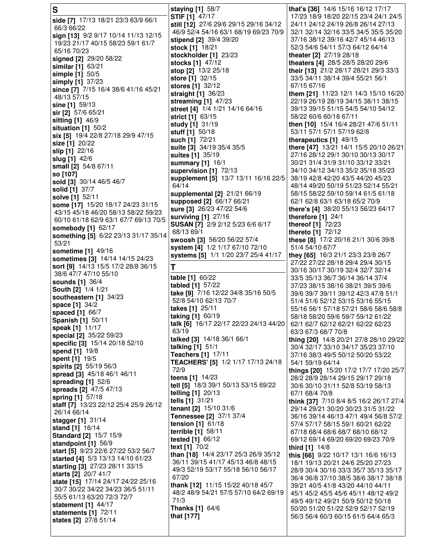**S side [7]** 17/13 18/21 23/3 63/9 66/1 66/3 66/22 **sign [13]** 9/2 9/17 10/14 11/13 12/15 19/23 21/17 40/15 58/23 59/1 61/7 65/16 70/23 **signed [2]** 29/20 58/22 **similar [1]** 63/21 **simple [1]** 50/5 **simply [1]** 37/23 **since [7]** 7/15 16/4 38/6 41/16 45/21 48/13 57/15 **sine [1]** 59/13 **sir [2]** 57/6 65/21 **sitting [1]** 46/9 **situation [1]** 50/2 **six [5]** 19/4 22/8 27/18 29/9 47/15 **size [1]** 20/22 **slip [1]** 22/16 **slug [1]** 42/6 **small [2]** 54/8 67/11 **so [107] sold [3]** 30/14 46/5 46/7 **solid [1]** 37/7 **solve [1]** 52/11 **some [17]** 15/20 18/17 24/23 31/15 43/15 45/18 46/20 58/13 58/22 59/23 60/10 61/18 62/9 63/1 67/7 69/13 70/5 **somebody [1]** 62/17 **something [5]** 6/22 23/13 31/17 35/14 53/21 **sometime [1]** 49/16 **sometimes [3]** 14/14 14/15 24/23 **sort [9]** 14/13 15/5 17/2 28/8 36/15 38/6 47/7 47/10 55/10 **sounds [1]** 36/4 **South [2]** 1/4 1/21 **southeastern [1]** 34/23 **space [1]** 34/2 **spaced [1]** 66/7 **Spanish [1]** 50/11 **speak [1]** 11/17 **special [2]** 35/22 59/23 **specific [3]** 15/14 20/18 52/10 **spend [1]** 19/8 **spent [1]** 19/5 **spirits [2]** 55/19 56/3 **spread [3]** 45/18 46/1 46/11 **spreading [1]** 52/6 **spreads [2]** 47/5 47/13 **spring [1]** 57/18 **staff [7]** 13/23 22/12 25/4 25/9 26/12 26/14 66/14 **stagger [1]** 31/14 **stand [1]** 16/14 **Standard [2]** 15/7 15/9 **standpoint [1]** 56/9 **start [5]** 9/23 22/6 27/22 53/2 56/7 **started [4]** 5/3 13/13 14/10 61/23 **starting [3]** 27/23 28/11 33/15 **starts [2]** 20/7 41/7 **state [15]** 17/14 24/17 24/22 25/16 30/7 30/22 34/22 34/23 36/5 51/11 55/5 61/13 63/20 72/3 72/7 **statement [1]** 44/17 **statements [1]** 72/11 **states [2]** 27/8 51/14 **staying [1]** 58/7 **STIF [1]** 47/17 **still [12]** 27/6 29/6 29/15 29/16 34/12 46/9 52/4 54/16 63/1 68/19 69/23 70/9 **stipend [2]** 39/4 39/20 **stock [1]** 18/21 **stockholder [1]** 23/23 **stocks [1]** 47/12 **stop [2]** 13/2 25/18 **store [1]** 32/15 **stores [1]** 32/12 **straight [1]** 36/23 **streaming [1]** 47/23 **street [4]** 1/4 1/21 14/16 64/16 **strict [1]** 63/15 **study [1]** 31/19 **stuff [1]** 50/18 **such [1]** 72/21 **suite [3]** 34/19 35/4 35/5 **suites [1]** 35/19 **summary [1]** 16/1 **supervision [1]** 72/13 **supplement [5]** 13/7 13/11 16/16 22/5 64/14 **supplemental [2]** 21/21 66/19 **supposed [2]** 66/17 66/21 **sure [3]** 26/23 47/22 54/6 **surviving [1]** 27/16 **SUSAN [7]** 2/9 2/12 5/23 6/6 6/17 68/13 69/1 **swoosh [3]** 56/20 56/22 57/4 **system [4]** 1/2 1/17 67/10 72/10 **systems [5]** 1/1 1/20 23/7 25/4 41/17 **T table [1]** 60/22 **tabled [1]** 57/22 **take [9]** 7/16 12/22 34/8 35/16 50/5 52/8 54/10 62/13 70/7 **takes [1]** 25/11 **taking [1]** 60/19 **talk [6]** 16/17 22/17 22/23 24/13 44/20 63/19 **talked [3]** 14/18 36/1 66/1 **talking [1]** 51/1 **Teachers [1]** 17/11 **TEACHERS' [5]** 1/2 1/17 17/13 24/18 72/9 **teens [1]** 14/23 **tell [5]** 18/3 39/1 50/13 53/15 69/22 **telling [1]** 20/13 **tells [1]** 31/21 **tenant [2]** 15/10 31/6 **Tennessee [2]** 37/1 37/4 **tension [1]** 61/18 **terrible [1]** 58/11 **tested [1]** 66/12 **text [1]** 70/2 **than [18]** 14/4 23/17 25/3 26/9 35/12 36/11 39/15 41/17 45/13 46/8 48/15 49/3 52/19 53/17 55/18 56/10 56/17 67/20 **thank [12]** 11/15 15/22 40/18 45/7 48/2 48/9 54/21 57/5 57/10 64/2 69/19 71/3 **Thanks [1]** 64/6 **that [177] that's [36]** 14/6 15/16 16/12 17/17 17/23 18/9 18/20 22/15 23/4 24/1 24/5 24/11 24/12 24/19 26/8 26/14 27/13 32/1 32/14 32/16 33/5 34/5 35/5 35/20 37/16 38/12 39/16 42/7 45/14 46/13 52/3 54/6 54/11 57/3 64/12 64/14 **theater [2]** 27/19 28/18 **theaters [4]** 28/5 28/5 28/20 29/6 **their [13]** 21/2 28/17 28/21 29/3 33/3 33/5 34/11 38/14 39/4 55/21 56/1 67/15 67/16 **them [21]** 11/23 12/1 14/3 15/10 16/20 22/19 26/19 28/19 34/15 38/11 38/15 39/13 39/15 51/15 54/5 54/10 54/12 58/22 60/6 60/18 67/11 **then [10]** 15/4 16/4 28/21 47/6 51/11 53/11 57/1 57/1 57/19 62/8 **therapeutics [1]** 49/15 **there [47]** 13/21 14/1 15/5 20/10 26/21 27/16 28/12 29/1 30/10 30/13 30/17 30/21 31/4 31/9 31/10 33/12 33/21 34/10 34/12 34/13 35/2 35/18 35/23 38/19 42/8 42/20 43/5 44/20 45/23 48/14 49/20 50/19 51/23 52/14 55/21 58/15 58/22 59/10 59/14 61/5 61/18 62/1 62/8 63/1 63/18 65/2 70/9 **there's [4]** 38/20 55/13 56/23 64/17 **therefore [1]** 24/1 **thereof [1]** 72/23 **thereto [1]** 72/12 **these [8]** 17/2 20/16 21/1 30/6 39/8 51/4 54/10 67/7 **they [65]** 16/3 21/1 23/3 23/8 26/7 27/22 27/22 28/18 29/4 29/4 30/15 30/16 30/17 30/19 32/4 32/7 32/14 33/5 35/13 36/7 36/14 36/14 37/4 37/23 38/15 38/16 38/21 39/5 39/6 39/6 39/7 39/11 39/12 42/3 47/8 51/1 51/4 51/6 52/12 53/15 53/16 55/15 55/16 56/1 57/18 57/21 58/6 58/6 58/8 58/18 58/20 59/6 59/7 59/12 61/22 62/1 62/7 62/12 62/21 62/22 62/23 63/3 67/3 68/7 70/8 **thing [20]** 14/8 20/21 27/8 28/10 29/22 30/4 32/17 33/10 34/17 35/23 37/10 37/16 38/3 49/5 50/12 50/20 53/22 54/1 59/19 64/14 **things [20]** 15/20 17/2 17/7 17/20 25/7 28/2 28/9 28/14 29/15 29/17 29/18 30/6 30/10 31/11 52/8 53/19 58/13 67/1 68/4 70/8 **think [37]** 7/10 8/4 8/5 16/2 26/17 27/4 29/14 29/21 30/20 30/23 31/5 31/22 36/16 39/14 46/13 47/1 49/4 56/8 57/2 57/4 57/17 58/15 59/1 60/21 62/22 67/18 68/4 68/6 68/7 68/10 68/12 69/12 69/14 69/20 69/20 69/23 70/9 **third [1]** 14/8 **this [66]** 9/22 10/17 13/1 16/6 16/13 18/1 19/13 20/21 24/6 25/20 27/23 28/9 30/4 30/16 33/3 35/7 35/13 35/17 36/4 36/8 37/10 38/5 38/6 38/17 38/18 39/21 40/5 41/8 43/20 44/10 44/11 45/1 45/2 45/5 45/6 45/11 48/12 49/2 49/5 49/12 49/21 50/9 50/12 50/18 50/20 51/20 51/22 52/9 52/17 52/19 56/3 56/4 60/3 60/15 61/5 64/4 65/3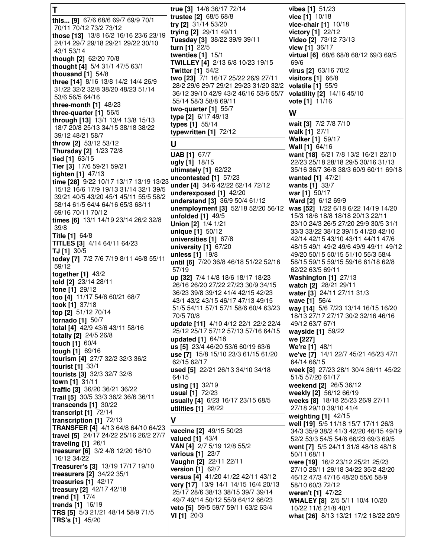| Т                                                                         | true [3] 14/6 36/17 72/14                                                | vibes [1] 51/23                                                            |
|---------------------------------------------------------------------------|--------------------------------------------------------------------------|----------------------------------------------------------------------------|
| this [9] 67/6 68/6 69/7 69/9 70/1                                         | trustee [2] 68/5 68/8                                                    | vice [1] 10/18                                                             |
| 70/11 70/12 73/2 73/12                                                    | try [2] 31/14 53/20<br>trying [2] 29/11 49/11                            | vice-chair $[1]$ 10/18<br>victory [1] 22/12                                |
| those [13] 13/8 16/2 16/16 23/6 23/19                                     | Tuesday [3] 38/22 39/9 39/11                                             | Video [2] 73/12 73/13                                                      |
| 24/14 29/7 29/18 29/21 29/22 30/10                                        | turn [1] $22/5$                                                          | view [1] 36/17                                                             |
| 43/1 53/14                                                                | twenties $[1]$ 15/1                                                      | virtual [6] 68/6 68/8 68/12 69/3 69/5                                      |
| though [2] 62/20 70/8<br>thought [4] 5/4 31/1 47/5 63/1                   | TWILLEY [4] 2/13 6/8 10/23 19/15                                         | 69/6                                                                       |
| thousand $[1]$ 54/8                                                       | <b>Twitter [1] 54/2</b>                                                  | virus [2] 63/16 70/2                                                       |
| three [14] 8/16 13/8 14/2 14/4 26/9                                       | two [23] 7/1 16/17 25/22 26/9 27/11                                      | visitors $[1]$ 66/8                                                        |
| 31/22 32/2 32/8 38/20 48/23 51/14                                         | 28/2 29/6 29/7 29/21 29/23 31/20 32/2                                    | volatile [1] 55/9                                                          |
| 53/6 56/5 64/16                                                           | 36/12 39/10 42/9 43/2 46/16 53/6 55/7                                    | volatility [2] 14/16 45/10                                                 |
| three-month [1] 48/23                                                     | 55/14 58/3 58/8 69/11<br>two-quarter $[1]$ 55/7                          | vote [1] 11/16                                                             |
| three-quarter [1] 56/5                                                    | type [2] 6/17 49/13                                                      | W                                                                          |
| through [13] 13/1 13/4 13/8 15/13                                         | types [1] 55/14                                                          | wait [3] 7/2 7/8 7/10                                                      |
| 18/7 20/8 25/13 34/15 38/18 38/22<br>39/12 48/21 58/7                     | typewritten [1] 72/12                                                    | walk [1] 27/1                                                              |
| throw [2] 53/12 53/12                                                     | U                                                                        | <b>Walker</b> [1] 59/17                                                    |
| Thursday [2] 1/23 72/8                                                    |                                                                          | Wall [1] 64/16                                                             |
| tied [1] 63/15                                                            | <b>UAB</b> [1] 67/7<br>ugly [1] 18/15                                    | want [18] 6/21 7/8 13/2 16/21 22/10<br>22/23 25/18 28/18 29/5 30/16 31/13  |
| Tier [3] 17/6 59/21 59/21                                                 | ultimately [1] 62/22                                                     | 35/16 36/7 36/8 38/3 60/9 60/11 69/18                                      |
| tighten $[1]$ 47/13                                                       | uncontested $[1]$ 57/23                                                  | wanted [1] 47/21                                                           |
| time [28] 9/22 10/17 13/17 13/19 13/23                                    | under [4] 34/6 42/22 62/14 72/12                                         | wants [1] 33/7                                                             |
| 15/12 16/6 17/9 19/13 31/14 32/1 39/5                                     | underexposed [1] 42/20                                                   | war [1] $50/17$                                                            |
| 39/21 40/5 43/20 45/1 45/11 55/5 58/2<br>58/14 61/5 64/4 64/16 65/3 68/11 | understand [3] 36/9 50/4 61/12                                           | Ward [2] 6/12 69/9                                                         |
| 69/16 70/11 70/12                                                         | unemployment [3] 52/18 52/20 56/12                                       | was [52] 1/22 6/18 6/22 14/19 14/20                                        |
| times [6] 13/1 14/19 23/14 26/2 32/8                                      | unfolded $[1]$ 49/5                                                      | 15/3 18/6 18/8 18/18 20/13 22/11                                           |
| 39/8                                                                      | Union [2] 1/4 1/21<br><b>unique [1]</b> $50/12$                          | 23/10 24/3 26/5 27/20 29/9 30/5 31/1<br>33/3 33/22 38/12 39/15 41/20 42/10 |
| <b>Title [1] 64/8</b>                                                     | universities $[1]$ 67/8                                                  | 42/14 42/15 43/10 43/11 44/11 47/6                                         |
| TITLES [3] 4/14 64/11 64/23                                               | university $[1]$ 67/20                                                   | 48/15 49/1 49/2 49/6 49/9 49/11 49/12                                      |
| <b>TJ</b> [1] $30/5$                                                      | unless [1] 19/8                                                          | 49/20 50/15 50/15 51/10 55/3 58/4                                          |
| today [7] 7/2 7/6 7/19 8/11 46/8 55/11<br>59/12                           | until [6] 7/20 36/8 46/18 51/22 52/16                                    | 58/15 59/15 59/15 59/16 61/18 62/8                                         |
| together [1] 43/2                                                         | 57/19                                                                    | 62/22 63/5 69/11                                                           |
| told [2] 23/14 28/11                                                      | up [32] 7/4 14/8 18/6 18/17 18/23                                        | Washington [1] 27/13                                                       |
| tone [1] 29/12                                                            | 26/16 26/20 27/22 27/23 30/9 34/15<br>36/23 39/8 39/12 41/4 42/15 42/23  | watch [2] 28/21 29/11<br>water [3] 24/11 27/11 31/3                        |
| too [4] 11/17 54/6 60/21 68/7                                             | 43/1 43/2 43/15 46/17 47/13 49/15                                        | wave [1] 56/4                                                              |
| took [1] 37/18                                                            | 51/5 54/11 57/1 57/1 58/6 60/4 63/23                                     | way [14] 5/6 7/23 13/14 16/15 16/20                                        |
| top [2] 51/12 70/14                                                       | 70/5 70/8                                                                | 18/13 27/17 27/17 30/2 32/16 46/16                                         |
| tornado [1] 50/7<br>total [4] 42/9 43/6 43/11 58/16                       | update [11] 4/10 4/12 22/1 22/2 22/4                                     | 49/12 63/7 67/1                                                            |
| totally [2] 24/5 26/8                                                     | 25/12 25/17 57/12 57/13 57/16 64/15                                      | wayside [1] 59/22                                                          |
| touch [1] 60/4                                                            | updated [1] 64/18                                                        | we [227]                                                                   |
| tough [1] 69/16                                                           | us [5] 23/4 46/20 53/6 60/19 63/6<br>use [7] 15/8 15/10 23/3 61/15 61/20 | We're [1] 48/1<br>we've [7] 14/1 22/7 45/21 46/23 47/1                     |
| tourism [4] 27/7 32/2 32/3 36/2                                           | 62/15 62/17                                                              | 64/14 66/15                                                                |
| tourist [1] 33/1                                                          | used [5] 22/21 26/13 34/10 34/18                                         | week [8] 27/23 28/1 30/4 36/11 45/22                                       |
| tourists [3] 32/3 32/7 32/8                                               | 64/15                                                                    | 51/5 57/20 61/17                                                           |
| town [1] 31/11<br>traffic [3] 36/20 36/21 36/22                           | using [1] 32/19                                                          | weekend [2] 26/5 36/12                                                     |
| Trail [5] 30/5 33/3 36/2 36/6 36/11                                       | usual [1] 72/23                                                          | weekly [2] 56/12 66/19                                                     |
| transcends [1] 30/22                                                      | usually [4] 6/23 16/17 23/15 68/5                                        | weeks [8] 18/18 25/23 26/9 27/11                                           |
| transcript [1] 72/14                                                      | utilities [1] 26/22                                                      | 27/18 29/10 39/10 41/4                                                     |
| transcription [1] 72/13                                                   | V                                                                        | weighting $[1]$ 42/15<br>well [19] 5/5 11/18 15/7 17/11 26/3               |
| TRANSFER [4] 4/13 64/8 64/10 64/23                                        | vaccine [2] 49/15 50/23                                                  | 34/3 35/9 38/2 41/3 42/20 46/15 49/19                                      |
| travel [5] 24/17 24/22 25/16 26/2 27/7                                    | valued [1] 43/4                                                          | 52/2 53/3 54/5 54/6 66/23 69/3 69/5                                        |
| traveling [1] 26/1<br>treasurer [6] 3/2 4/8 12/20 16/10                   | VAN [4] 2/7 5/19 12/8 55/2                                               | went [7] 5/5 24/11 31/8 48/18 48/18                                        |
| 16/12 34/22                                                               | various [1] 23/7                                                         | 50/11 68/11                                                                |
| Treasurer's [3] 13/19 17/17 19/10                                         | Vaughn [2] 22/11 22/11                                                   | were [19] 16/2 23/12 25/21 25/23                                           |
| treasurers [2] 34/22 35/1                                                 | version [1] 62/7<br>versus [4] 41/20 41/22 42/11 43/12                   | 27/10 28/11 29/18 34/22 35/2 42/20<br>46/12 47/3 47/16 48/20 55/6 58/9     |
| treasuries [1] 42/17                                                      | very [17] 13/9 14/1 14/15 16/4 20/13                                     | 58/10 60/3 72/12                                                           |
| treasury [2] 42/17 42/18                                                  | 25/17 28/6 38/13 38/15 39/7 39/14                                        | weren't [1] 47/22                                                          |
| trend [1] 17/4                                                            | 49/7 49/14 50/12 55/9 64/12 66/23                                        | WHALEY [8] 2/5 5/11 10/4 10/20                                             |
| trends [1] 16/19<br>TRS [5] 5/3 21/21 48/14 58/9 71/5                     | veto [5] 59/5 59/7 59/11 63/2 63/4                                       | 10/22 11/6 21/8 40/1                                                       |
| TRS's [1] 45/20                                                           | VI [1] 20/3                                                              | what [26] 8/13 13/21 17/2 18/22 20/9                                       |
|                                                                           |                                                                          |                                                                            |
|                                                                           |                                                                          |                                                                            |